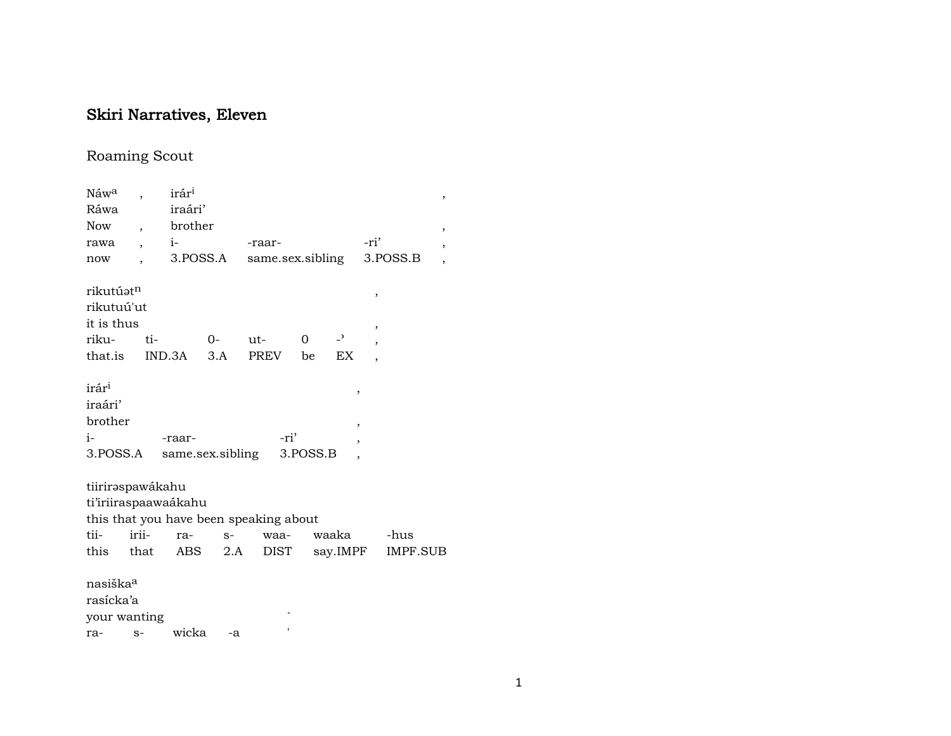# Skiri Narratives, Eleven

# Roaming Scout

| Náwa                  |                          | irár <sup>i</sup>    |          |                                        |          |                          |                          |          | ,                        |
|-----------------------|--------------------------|----------------------|----------|----------------------------------------|----------|--------------------------|--------------------------|----------|--------------------------|
| Ráwa                  |                          | iraári'              |          |                                        |          |                          |                          |          |                          |
| <b>Now</b>            | $\overline{\phantom{a}}$ | brother              |          |                                        |          |                          |                          |          | ,                        |
| rawa                  |                          | $i-$                 |          | -raar-                                 |          |                          | -ri'                     |          | $\overline{\phantom{a}}$ |
| now                   |                          |                      | 3.POSS.A | same.sex.sibling                       |          |                          |                          | 3.POSS.B | $\overline{\phantom{a}}$ |
| rikutúət <sup>n</sup> |                          |                      |          |                                        |          |                          | $\overline{\phantom{a}}$ |          |                          |
| rikutuú'ut            |                          |                      |          |                                        |          |                          |                          |          |                          |
| it is thus            |                          |                      |          |                                        |          |                          | ,                        |          |                          |
| riku-                 | ti-                      |                      | $O -$    | $ut -$                                 | $\Omega$ | $\overline{\phantom{0}}$ |                          |          |                          |
| that.is               |                          | IND.3A               | 3.A      | PREV                                   | be       | EX                       |                          |          |                          |
| irár <sup>i</sup>     |                          |                      |          |                                        |          | ,                        |                          |          |                          |
| iraári'               |                          |                      |          |                                        |          |                          |                          |          |                          |
| brother               |                          |                      |          |                                        |          | ,                        |                          |          |                          |
| $i-$                  |                          | -raar-               |          | -ri'                                   |          | ,                        |                          |          |                          |
| 3.POSS.A              |                          | same.sex.sibling     |          |                                        | 3.POSS.B |                          |                          |          |                          |
| tiiriraspawákahu      |                          |                      |          |                                        |          |                          |                          |          |                          |
|                       |                          | ti'iriiraspaawaákahu |          |                                        |          |                          |                          |          |                          |
|                       |                          |                      |          | this that you have been speaking about |          |                          |                          |          |                          |
| tii-                  | irii-                    | ra-                  | $S-$     | waa-                                   |          | waaka                    |                          | -hus     |                          |
| this                  | that                     |                      | ABS 2.A  | DIST                                   |          | say.IMPF                 |                          | IMPF.SUB |                          |
| nasiška <sup>a</sup>  |                          |                      |          |                                        |          |                          |                          |          |                          |
| rasícka'a             |                          |                      |          |                                        |          |                          |                          |          |                          |
| your wanting          |                          |                      |          |                                        |          |                          |                          |          |                          |
| ra-                   | $S-$                     | wicka                | -a       |                                        |          |                          |                          |          |                          |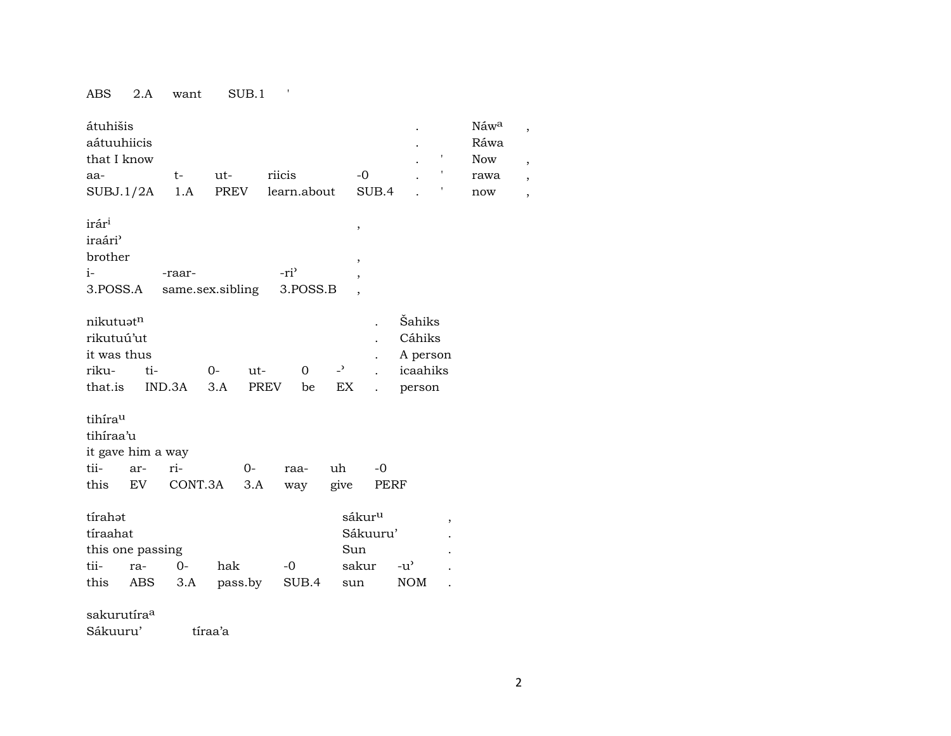### ABS 2.A want SUB.1 '

| átuhišis<br>aátuuhiicis<br>that I know<br>aa-<br>SUBJ.1/2A             | $t-$<br>1.A    | ut-<br>PREV        | riicis<br>learn.about        |                      | $-0$<br>SUB.4                                                            |                                                    | t                        | Náwa<br>Ráwa<br><b>Now</b><br>rawa<br>now | ,<br>$\overline{\phantom{a}}$<br>$\overline{\phantom{a}}$<br>$\overline{\phantom{a}}$ |
|------------------------------------------------------------------------|----------------|--------------------|------------------------------|----------------------|--------------------------------------------------------------------------|----------------------------------------------------|--------------------------|-------------------------------------------|---------------------------------------------------------------------------------------|
| irár <sup>i</sup><br>iraári <sup></sup><br>brother<br>i-<br>3.POSS.A   | -raar-         | same.sex.sibling   | -ri <sup>3</sup><br>3.POSS.B |                      | $\, ,$<br>$\, ,$<br>$\overline{\phantom{a}}$<br>$\overline{\phantom{a}}$ |                                                    |                          |                                           |                                                                                       |
| nikutuatn<br>rikutuú'ut<br>it was thus<br>riku-<br>ti-<br>that.is      | IND.3A         | $0-$<br>ut-<br>3.A | $\Omega$<br>PREV<br>be       | $\overline{a}$<br>EX | $\ddot{\phantom{a}}$                                                     | Šahiks<br>Cáhiks<br>A person<br>icaahiks<br>person |                          |                                           |                                                                                       |
| tihírau<br>tihíraa'u<br>it gave him a way<br>tii-<br>ar-<br>this<br>EV | ri-<br>CONT.3A | $0-$<br>3.A        | raa-<br>way                  | uh<br>give           | $-0$<br>PERF                                                             |                                                    |                          |                                           |                                                                                       |
| tírahot<br>tíraahat<br>this one passing<br>tii-<br>ra-<br>this<br>ABS  | $0-$<br>3.A    | hak<br>pass.by     | -0<br>SUB.4                  | sun                  | sákur <sup>u</sup><br>Sákuuru'<br>Sun<br>sakur                           | $-u^{\prime}$<br><b>NOM</b>                        | $\, ,$<br>$\overline{a}$ |                                           |                                                                                       |
| sakurutíra <sup>a</sup><br>Sákuuru'                                    |                | tíraa'a            |                              |                      |                                                                          |                                                    |                          |                                           |                                                                                       |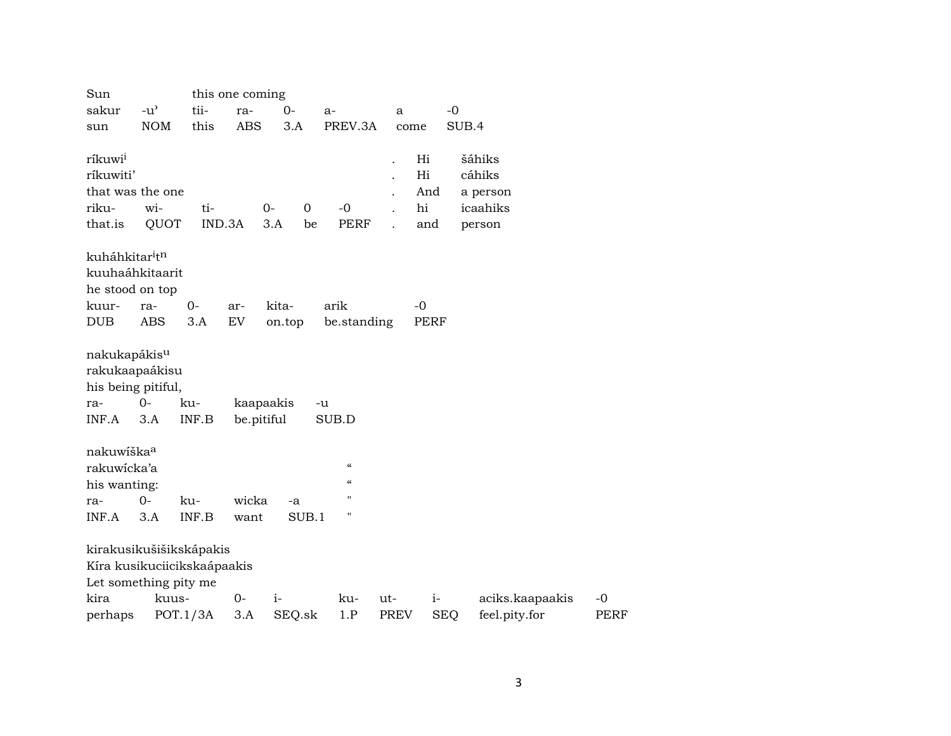| Sun                                    |                                     |          | this one coming |           |                    |      |             |                 |             |
|----------------------------------------|-------------------------------------|----------|-----------------|-----------|--------------------|------|-------------|-----------------|-------------|
| sakur                                  | $-u$ <sup><math>\prime</math></sup> | tii-     | ra-             | $0-$      | $a-$               | a    |             | $-0$            |             |
| sun                                    | <b>NOM</b>                          | this     | <b>ABS</b>      | 3.A       | PREV.3A            |      | come        | SUB.4           |             |
|                                        |                                     |          |                 |           |                    |      |             |                 |             |
| ríkuwi <sup>i</sup>                    |                                     |          |                 |           |                    |      | Hi          | šáhiks          |             |
| ríkuwiti'                              |                                     |          |                 |           |                    |      | Hi          | cáhiks          |             |
|                                        | that was the one                    |          |                 |           |                    |      | And         | a person        |             |
| riku-                                  | wi-                                 | ti-      |                 | $0-$<br>0 | $-0$               |      | hi          | icaahiks        |             |
| that.is                                | QUOT                                | IND.3A   |                 | 3.A<br>be | <b>PERF</b>        |      | and         | person          |             |
|                                        |                                     |          |                 |           |                    |      |             |                 |             |
| kuháhkitar <sup>i</sup> t <sup>n</sup> |                                     |          |                 |           |                    |      |             |                 |             |
|                                        | kuuhaáhkitaarit                     |          |                 |           |                    |      |             |                 |             |
| he stood on top                        |                                     |          |                 |           |                    |      |             |                 |             |
| kuur-                                  | ra-                                 | $0-$     | ar-             | kita-     | arik               |      | $-0$        |                 |             |
| <b>DUB</b>                             | <b>ABS</b>                          | 3.A      | <b>EV</b>       | on.top    | be.standing        |      | <b>PERF</b> |                 |             |
|                                        |                                     |          |                 |           |                    |      |             |                 |             |
| nakukapákis <sup>u</sup>               |                                     |          |                 |           |                    |      |             |                 |             |
|                                        | rakukaapaákisu                      |          |                 |           |                    |      |             |                 |             |
|                                        | his being pitiful,                  |          |                 |           |                    |      |             |                 |             |
| ra-                                    | $O -$                               | ku-      | kaapaakis       |           | -u                 |      |             |                 |             |
| INF.A                                  | 3.A                                 | INF.B    | be.pitiful      |           | SUB.D              |      |             |                 |             |
| nakuwíška <sup>a</sup>                 |                                     |          |                 |           |                    |      |             |                 |             |
|                                        |                                     |          |                 |           | $\epsilon\epsilon$ |      |             |                 |             |
| rakuwicka'a                            |                                     |          |                 |           | $\epsilon$         |      |             |                 |             |
| his wanting:                           |                                     |          |                 |           | п                  |      |             |                 |             |
| ra-                                    | $0 -$                               | ku-      | wicka           | -a        |                    |      |             |                 |             |
| INF.A                                  | 3.A                                 | INF.B    | want            | SUB.1     | 11                 |      |             |                 |             |
|                                        | kirakusikušišikskápakis             |          |                 |           |                    |      |             |                 |             |
|                                        |                                     |          |                 |           |                    |      |             |                 |             |
|                                        | Kíra kusikuciicikskaápaakis         |          |                 |           |                    |      |             |                 |             |
|                                        | Let something pity me               |          |                 |           |                    |      |             |                 |             |
| kira                                   | kuus-                               |          | $0-$            | $i-$      | ku-                | ut-  | $i-$        | aciks.kaapaakis | $-0$        |
| perhaps                                |                                     | POT.1/3A | 3.A             | $SEQ$ .sk | 1.P                | PREV | <b>SEQ</b>  | feel.pity.for   | <b>PERF</b> |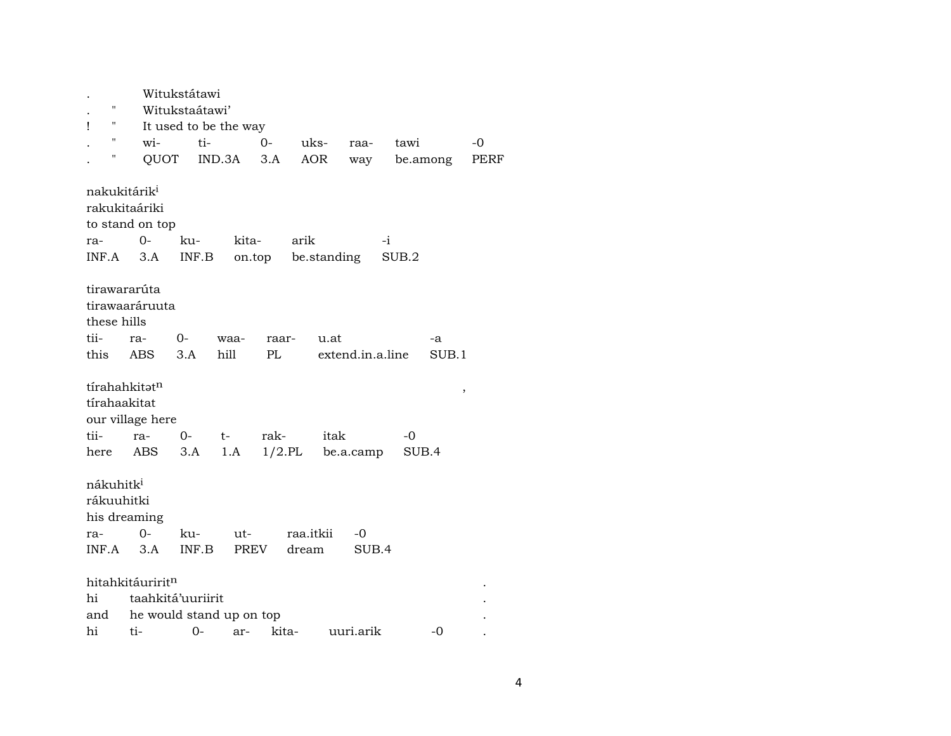|                          |                              | Witukstátawi             |       |       |           |                          |       |       |          |      |
|--------------------------|------------------------------|--------------------------|-------|-------|-----------|--------------------------|-------|-------|----------|------|
| $\mathbf{H}$             |                              | Witukstaátawi'           |       |       |           |                          |       |       |          |      |
| 11<br>Ţ                  |                              | It used to be the way    |       |       |           |                          |       |       |          |      |
| "                        | wi-                          | ti-                      |       | $0 -$ | uks-      | raa-                     |       | tawi  |          | -0   |
| Н                        |                              | QUOT IND.3A              |       | 3.A   | AOR       | way                      |       |       | be.among | PERF |
| nakukitárik <sup>i</sup> |                              |                          |       |       |           |                          |       |       |          |      |
|                          | rakukitaáriki                |                          |       |       |           |                          |       |       |          |      |
|                          | to stand on top              |                          |       |       |           |                          |       |       |          |      |
| ra-                      | $0 -$                        | ku-                      | kita- |       | arik      |                          | -i    |       |          |      |
| INF.A                    | 3.A                          | INF.B                    |       |       |           | on.top be.standing       | SUB.2 |       |          |      |
| tirawararúta             |                              |                          |       |       |           |                          |       |       |          |      |
|                          | tirawaaráruuta               |                          |       |       |           |                          |       |       |          |      |
| these hills              |                              |                          |       |       |           |                          |       |       |          |      |
| tii-                     |                              |                          |       |       |           |                          |       |       |          |      |
|                          | ra-                          | 0-                       | waa-  | raar- |           | u.at<br>extend.in.a.line |       |       | -a       |      |
| this                     | ABS                          | 3.A                      | hill  | PL    |           |                          |       |       | SUB.1    |      |
|                          |                              |                          |       |       |           |                          |       |       |          |      |
|                          | tírahahkitət <sup>n</sup>    |                          |       |       |           |                          |       |       | $\, ,$   |      |
| tírahaakitat             |                              |                          |       |       |           |                          |       |       |          |      |
|                          | our village here             |                          |       |       |           |                          |       |       |          |      |
| tii-                     | ra-                          | $0-$                     | $t-$  | rak-  |           | itak                     |       | -0    |          |      |
| here                     | ABS                          | 3.A                      | 1.A   |       |           | $1/2$ .PL be.a.camp      |       | SUB.4 |          |      |
| nákuhitk <sup>i</sup>    |                              |                          |       |       |           |                          |       |       |          |      |
|                          |                              |                          |       |       |           |                          |       |       |          |      |
| rákuuhitki               |                              |                          |       |       |           |                          |       |       |          |      |
|                          | his dreaming                 |                          |       |       |           |                          |       |       |          |      |
| ra-                      | $O -$                        | ku-                      | ut-   |       | raa.itkii | -0                       |       |       |          |      |
| $INF.A$ 3.A              |                              | INF.B                    |       | PREV  | dream     |                          | SUB.4 |       |          |      |
|                          | hitahkitáuririt <sup>n</sup> |                          |       |       |           |                          |       |       |          |      |
| hi                       |                              | taahkitá'uuriirit        |       |       |           |                          |       |       |          |      |
| and                      |                              | he would stand up on top |       |       |           |                          |       |       |          |      |
| hi                       | ti-                          | $O -$                    | ar-   | kita- |           | uuri.arik                |       |       | $-0$     |      |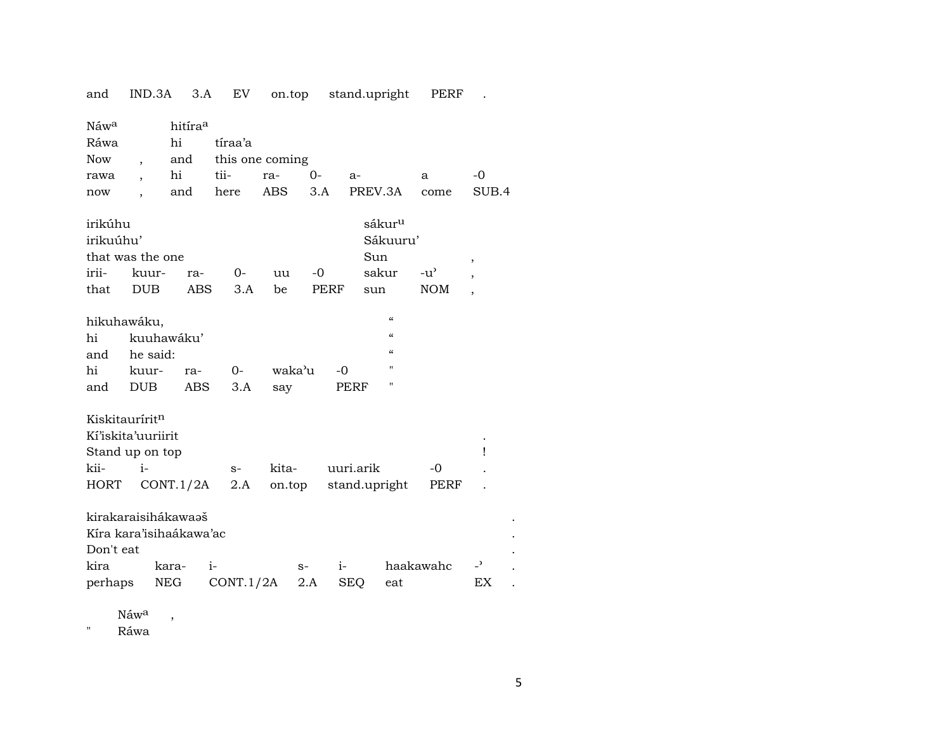| and                                                                     | IND.3A                   | 3.A                                            | EV                | on.top          |                   | stand.upright              |                                         | PERF                        |                                |
|-------------------------------------------------------------------------|--------------------------|------------------------------------------------|-------------------|-----------------|-------------------|----------------------------|-----------------------------------------|-----------------------------|--------------------------------|
| Náw <sup>a</sup><br>Ráwa<br><b>Now</b>                                  | $\overline{\phantom{a}}$ | hitíra <sup>a</sup><br>hi<br>and               | tíraa'a           | this one coming |                   |                            |                                         |                             |                                |
| rawa                                                                    |                          | hi                                             | tii-              | ra-             | $0 -$             | $a-$                       |                                         | a                           | $-0$                           |
| now                                                                     |                          | and                                            | here              | ABS             | 3.A               | PREV.3A                    |                                         | come                        | SUB.4                          |
| irikúhu<br>irikuúhu'<br>that was the one<br>irii-<br>that               | kuur-<br><b>DUB</b>      | ra-<br><b>ABS</b>                              | 0-<br>3.A         | uu<br>be        | -0<br><b>PERF</b> | Sun<br>sun                 | sákur <sup>u</sup><br>Sákuuru'<br>sakur | $-u^{\prime}$<br><b>NOM</b> | ,<br>$\overline{\phantom{a}}$  |
| hikuhawáku,                                                             |                          |                                                |                   |                 |                   |                            | $\epsilon\epsilon$                      |                             |                                |
| hi                                                                      |                          | kuuhawáku'                                     |                   |                 |                   |                            | $\epsilon$                              |                             |                                |
| and                                                                     | he said:                 |                                                |                   |                 |                   |                            | $\alpha$                                |                             |                                |
| hi                                                                      | kuur-                    | ra-                                            | $0-$              | waka'u          | $-0$              |                            | $^{\prime}$                             |                             |                                |
| and                                                                     | <b>DUB</b>               | ABS                                            | 3.A               | say             |                   | PERF                       | $^{\prime}$                             |                             |                                |
| Kiskitauríritn<br>Kí'iskita'uuriirit<br>Stand up on top<br>kii-<br>HORT | $i-$                     | CONT.1/2A                                      | $S-$<br>2.A       | kita-<br>on.top |                   | uuri.arik<br>stand.upright |                                         | $-0$<br>PERF                | Ţ                              |
| Don't eat                                                               |                          | kirakaraisihákawaəš<br>Kíra kara'isihaákawa'ac |                   |                 |                   |                            |                                         |                             |                                |
| kira<br>perhaps                                                         |                          | kara-<br>NEG                                   | $i-$<br>CONT.1/2A | $S-$            | $i-$<br>2.A       | <b>SEQ</b>                 | eat                                     | haakawahc                   | $\overline{\phantom{a}}$<br>EX |

Náw<sup>a</sup>,

" Ráwa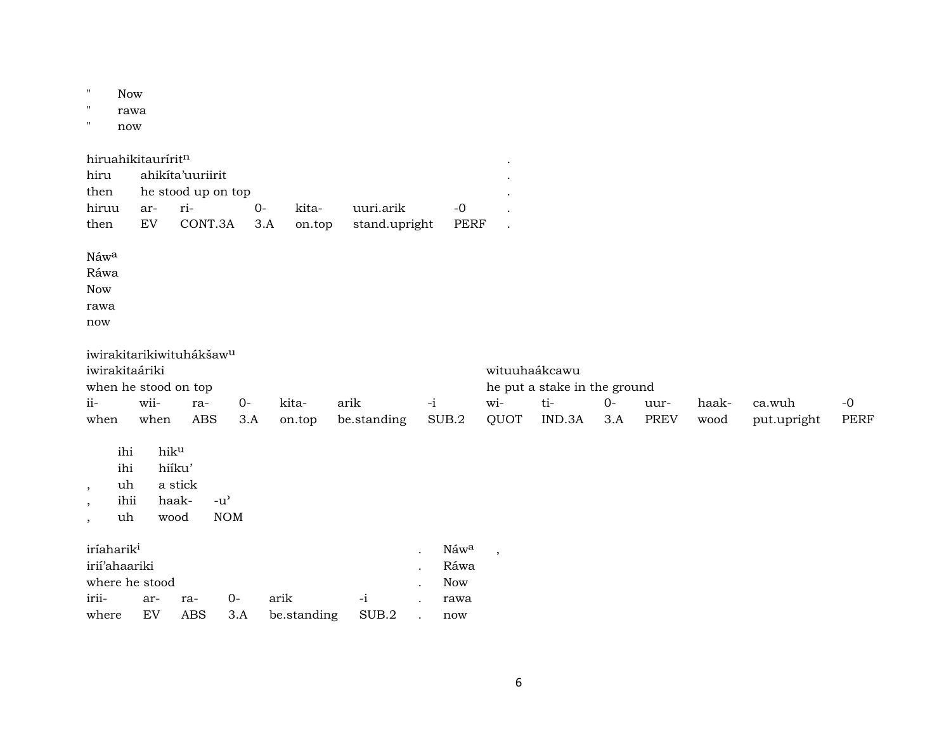| $\mathbf{H}$<br>$\mathbf{H}$<br>$\pmb{\Pi}$               | <b>Now</b><br>rawa<br>now      |                                                                              |                            |                             |             |                 |                            |      |                                           |                          |                                                                |             |                     |               |                       |                     |
|-----------------------------------------------------------|--------------------------------|------------------------------------------------------------------------------|----------------------------|-----------------------------|-------------|-----------------|----------------------------|------|-------------------------------------------|--------------------------|----------------------------------------------------------------|-------------|---------------------|---------------|-----------------------|---------------------|
| hiru<br>then<br>hiruu<br>then                             |                                | hiruahikitauríritn<br>ahikita'uuriirit<br>ar-<br>EV                          | ri-<br>CONT.3A             | he stood up on top          | $0-$<br>3.A | kita-<br>on.top | uuri.arik<br>stand.upright |      | $-0$<br><b>PERF</b>                       |                          |                                                                |             |                     |               |                       |                     |
| Náwa<br>Ráwa<br><b>Now</b><br>rawa<br>now                 |                                |                                                                              |                            |                             |             |                 |                            |      |                                           |                          |                                                                |             |                     |               |                       |                     |
| iwirakitaáriki<br>$ii-$<br>when                           |                                | iwirakitarikiwituhákšaw <sup>u</sup><br>when he stood on top<br>wii-<br>when | ra-<br><b>ABS</b>          | $0-$                        | 3.A         | kita-<br>on.top | arik<br>be.standing        | $-i$ | SUB.2                                     | $wi-$<br>QUOT            | wituuhaákcawu<br>he put a stake in the ground<br>ti-<br>IND.3A | $0-$<br>3.A | uur-<br><b>PREV</b> | haak-<br>wood | ca.wuh<br>put.upright | $-0$<br><b>PERF</b> |
| $\cdot$<br>$\cdot$<br>$\overline{\phantom{a}}$            | ihi<br>ihi<br>uh<br>ihii<br>uh | hiku<br>wood                                                                 | hiíku'<br>a stick<br>haak- | $-u^{\prime}$<br><b>NOM</b> |             |                 |                            |      |                                           |                          |                                                                |             |                     |               |                       |                     |
| iríaharik <sup>i</sup><br>irií'ahaariki<br>irii-<br>where |                                | where he stood<br>ar-<br>EV                                                  | ra-<br><b>ABS</b>          | $0-$<br>3.A                 | arik        | be.standing     | $\mathbf{-i}$<br>SUB.2     |      | Náwa<br>Ráwa<br><b>Now</b><br>rawa<br>now | $\overline{\phantom{a}}$ |                                                                |             |                     |               |                       |                     |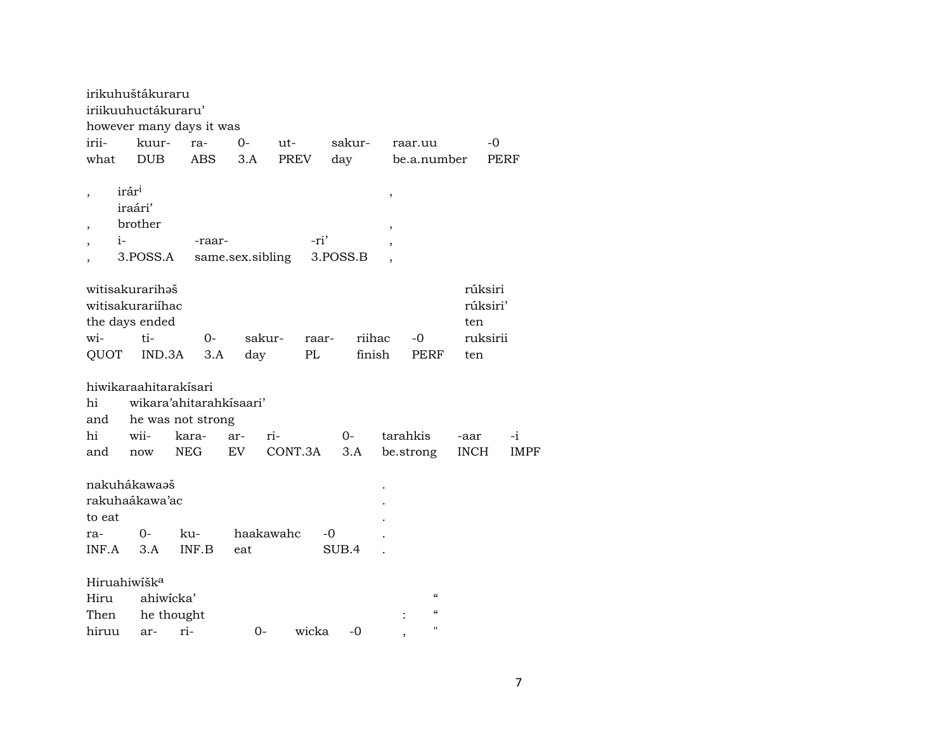|                                                              | irikuhuštákuraru                                      |                          |                  |                 |          |        |                                        |                            |             |
|--------------------------------------------------------------|-------------------------------------------------------|--------------------------|------------------|-----------------|----------|--------|----------------------------------------|----------------------------|-------------|
|                                                              | iriikuuhuctákuraru'                                   |                          |                  |                 |          |        |                                        |                            |             |
|                                                              |                                                       | however many days it was |                  |                 |          |        |                                        |                            |             |
| irii-                                                        | kuur-                                                 | ra-                      | $O -$            | ut-             | sakur-   |        | raar.uu                                | -0                         |             |
| what                                                         | <b>DUB</b>                                            | <b>ABS</b>               | 3.A              | PREV            | day      |        | be.a.number                            |                            | <b>PERF</b> |
| $\overline{\phantom{a}}$<br>$\overline{\phantom{a}}$<br>$i-$ | irár <sup>i</sup><br>iraári'<br>brother<br>3.POSS.A   | -raar-                   | same.sex.sibling | -ri'            | 3.POSS.B | ,<br>, |                                        |                            |             |
|                                                              | witisakurarihəš<br>witisakurariíhac<br>the days ended |                          |                  |                 |          |        |                                        | rúksiri<br>rúksiri'<br>ten |             |
| wi-                                                          | $ti-$                                                 | $0-$                     |                  | sakur-<br>raar- |          | riihac | -0                                     | ruksirii                   |             |
| QUOT                                                         | IND.3A                                                | 3.A                      | day              | PL              |          | finish | PERF                                   | ten                        |             |
|                                                              | hiwikaraahitarakisari                                 |                          |                  |                 |          |        |                                        |                            |             |
| hi                                                           |                                                       | wikara'ahitarahkisaari'  |                  |                 |          |        |                                        |                            |             |
| and                                                          |                                                       | he was not strong        |                  |                 |          |        |                                        |                            |             |
| hi                                                           | wii-                                                  | kara-                    | ar-              | ri-             | 0-       |        | tarahkis                               | -aar                       | $-i$        |
| and                                                          | now                                                   | <b>NEG</b>               | EV               | CONT.3A         | 3.A      |        | be.strong                              | <b>INCH</b>                | IMPF        |
|                                                              |                                                       |                          |                  |                 |          |        |                                        |                            |             |
|                                                              | nakuhákawaaš                                          |                          |                  |                 |          |        |                                        |                            |             |
|                                                              | rakuhaákawa'ac                                        |                          |                  |                 |          |        |                                        |                            |             |
| to eat                                                       |                                                       |                          |                  |                 |          |        |                                        |                            |             |
| ra-                                                          | $O-$                                                  | ku-                      |                  | haakawahc       | -0       |        |                                        |                            |             |
| INF.A                                                        | 3.A                                                   | INF.B                    | eat              |                 | SUB.4    |        |                                        |                            |             |
|                                                              |                                                       |                          |                  |                 |          |        |                                        |                            |             |
| Hiruahiwišk <sup>a</sup>                                     |                                                       |                          |                  |                 |          |        |                                        |                            |             |
| Hiru                                                         | ahiwicka'                                             |                          |                  |                 |          |        | $\epsilon\epsilon$                     |                            |             |
| Then                                                         |                                                       | he thought               |                  |                 |          |        | $\boldsymbol{\zeta}\boldsymbol{\zeta}$ |                            |             |
| hiruu                                                        | ar-                                                   | ri-                      | $0-$             | wicka           | -0       |        | $\pmb{\mathsf{H}}$                     |                            |             |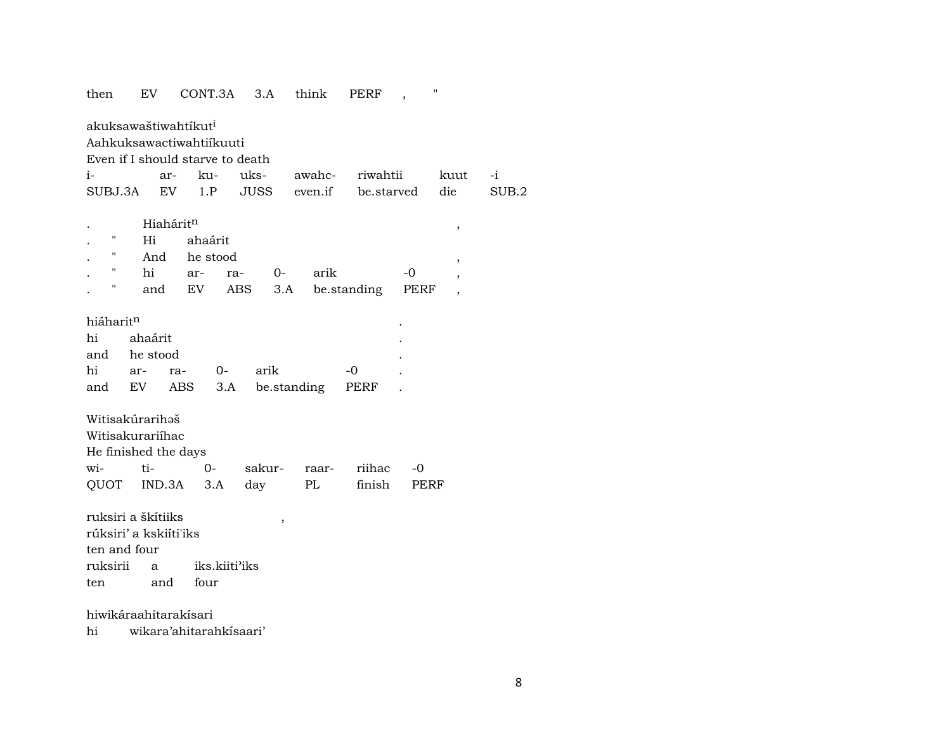# then EV CONT.3A 3.A think PERF , " akuksawaštiwahtíkut<sup>i</sup> Aahkuksawactiwahtiíkuuti Even if I should starve to death i- ar- ku- uks- awahc- riwahtii kuut -i SUBJ.3A EV 1.P JUSS even.if be.starved die SUB.2

|                   | Hiahárit <sup>n</sup> |          |     |       |                     |      |  |
|-------------------|-----------------------|----------|-----|-------|---------------------|------|--|
| п                 | Hi                    | ahaárit  |     |       |                     |      |  |
| $^{\prime\prime}$ | And                   | he stood |     |       |                     |      |  |
| ,,                | hi                    | ar-      | ra- | $O -$ | arik                | -0   |  |
| п                 | and                   | EV       |     |       | ABS 3.A be.standing | PERF |  |

| hiáharit <sup>n</sup> |         |               |                                 |      | ٠ |
|-----------------------|---------|---------------|---------------------------------|------|---|
| hi                    | ahaárit |               |                                 |      | ٠ |
| and he stood          |         |               |                                 |      |   |
|                       |         | hi ar- ra- 0- | arik                            | $-0$ |   |
|                       |         |               | and EV ABS 3.A be.standing PERF |      |   |

| Witisakúrarihəš      |  |       |                        |  |
|----------------------|--|-------|------------------------|--|
| Witisakurariihac     |  |       |                        |  |
| He finished the days |  |       |                        |  |
| wi- ti- 0-           |  |       | sakur- raar- riihac -0 |  |
| QUOT IND.3A 3.A day  |  | PL PL | finish PERF            |  |

ruksiri a škítiiks , rúksiri' a kskiíti'iks ten and four ruksirii a iks.kiiti"iks ten and four

hiwikáraahitarakísari

hi wikara'ahitarahkísaari'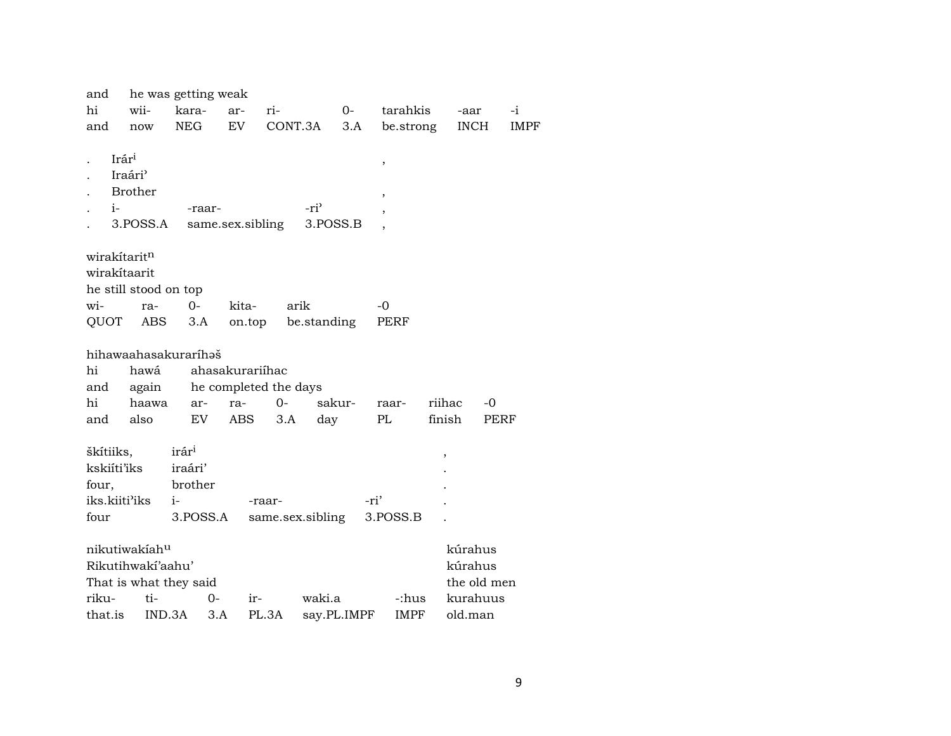| and           |                                                                        | he was getting weak            |                  |                       |             |                                    |           |                                |             |
|---------------|------------------------------------------------------------------------|--------------------------------|------------------|-----------------------|-------------|------------------------------------|-----------|--------------------------------|-------------|
| hi            | wii-                                                                   | kara-                          | ar-              | ri-                   | $0-$        |                                    | tarahkis  | -aar                           | $-i$        |
| and           | now                                                                    | <b>NEG</b>                     | EV               | CONT.3A               | 3.A         |                                    | be.strong | <b>INCH</b>                    | <b>IMPF</b> |
| $i-$          | Irár <sup>i</sup><br>Iraári <sup>3</sup><br><b>Brother</b><br>3.POSS.A | -raar-                         | same.sex.sibling | -ri <sup>3</sup>      | 3.POSS.B    | $\, ,$<br>$\overline{\phantom{a}}$ |           |                                |             |
| wirakítaritn  |                                                                        |                                |                  |                       |             |                                    |           |                                |             |
| wirakítaarit  |                                                                        |                                |                  |                       |             |                                    |           |                                |             |
|               | he still stood on top                                                  |                                |                  |                       |             |                                    |           |                                |             |
| wi-           | ra-                                                                    | $0-$                           | kita-            | arik                  |             | -0                                 |           |                                |             |
| QUOT          | ABS                                                                    | 3.A                            | on.top           |                       | be.standing | PERF                               |           |                                |             |
|               |                                                                        | hihawaahasakuraríhaš           |                  |                       |             |                                    |           |                                |             |
| hi            | hawá                                                                   |                                | ahasakurariíhac  |                       |             |                                    |           |                                |             |
| and           | again                                                                  |                                |                  | he completed the days |             |                                    |           |                                |             |
| hi            | haawa                                                                  | ar-                            | ra-              | $0-$                  | sakur-      | raar-                              |           | riihac                         | $-0$        |
| and           | also                                                                   | EV                             | ABS              | 3.A                   | day         | PL                                 |           | finish                         | <b>PERF</b> |
|               |                                                                        |                                |                  |                       |             |                                    |           |                                |             |
| škítiiks,     |                                                                        | irár <sup>i</sup>              |                  |                       |             |                                    |           | $\, ,$                         |             |
| kskiíti'iks   |                                                                        | iraári'                        |                  |                       |             |                                    |           |                                |             |
| four,         |                                                                        | brother                        |                  |                       |             |                                    |           |                                |             |
| iks.kiiti'iks |                                                                        | $i-$                           |                  | -raar-                |             | -ri'                               |           |                                |             |
| four          |                                                                        | 3.POSS.A                       |                  | same.sex.sibling      |             | 3.POSS.B                           |           |                                |             |
| riku-         | nikutiwakiahu<br>Rikutihwakí'aahu'<br>ti-                              | That is what they said<br>$0-$ | ir-              |                       | waki.a      |                                    | -:hus     | kúrahus<br>kúrahus<br>kurahuus | the old men |
| that.is       |                                                                        | IND.3A<br>3.A                  |                  | PL.3A                 | say.PL.IMPF |                                    | IMPF      | old.man                        |             |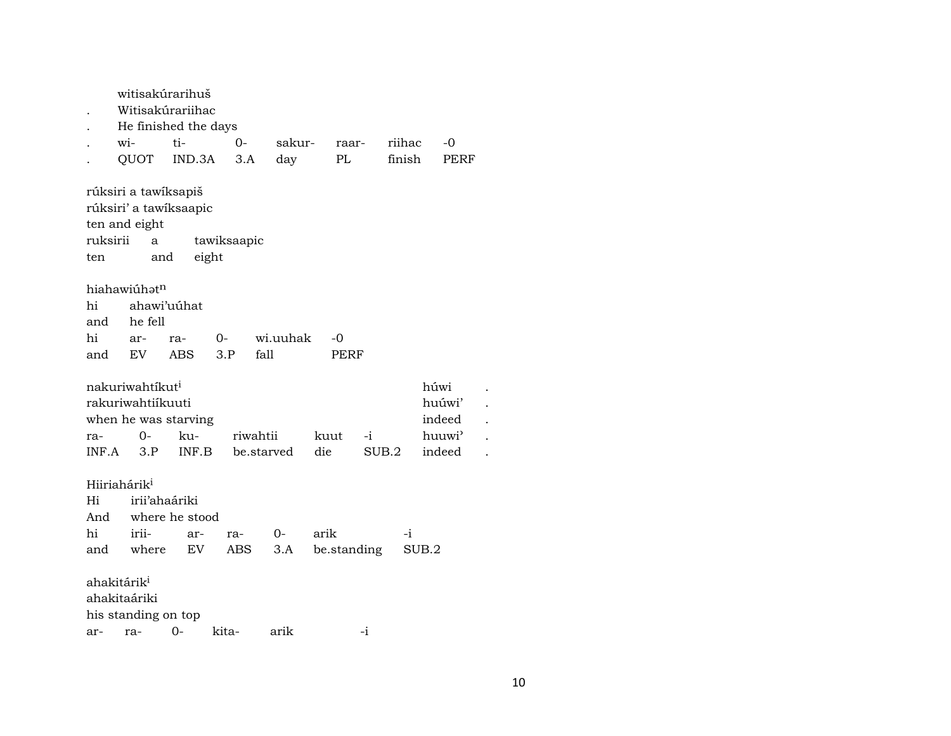witisakúrarihuš . Witisakúrariihac . He finished the days . wi- ti- 0- sakur- raar- riihac -0 . QUOT IND.3A 3.A day PL finish PERF rúksiri a tawíksapiš rúksiri' a tawíksaapic ten and eight ruksirii a tawiksaapic ten and eight hiahawiúhatn hi ahawi'uúhat and he fell hi ar- ra- 0- wi.uuhak -0 and EV ABS 3.P fall PERF nakuriwahtíkut<sup>i</sup> húwi . rakuriwahtiíkuuti huúwi' . when he was starving indeed . ra- 0- ku- riwahtii kuut -i huuwi" . INF.A 3.P INF.B be.starved die SUB.2 indeed . Hiiriahárik<sup>i</sup> Hi irii'ahaáriki And where he stood hi irii- ar- ra- 0- arik -i and where EV ABS 3.A be.standing SUB.2 ahakitárik<sup>i</sup> ahakitaáriki his standing on top ar- ra- 0- kita- arik -i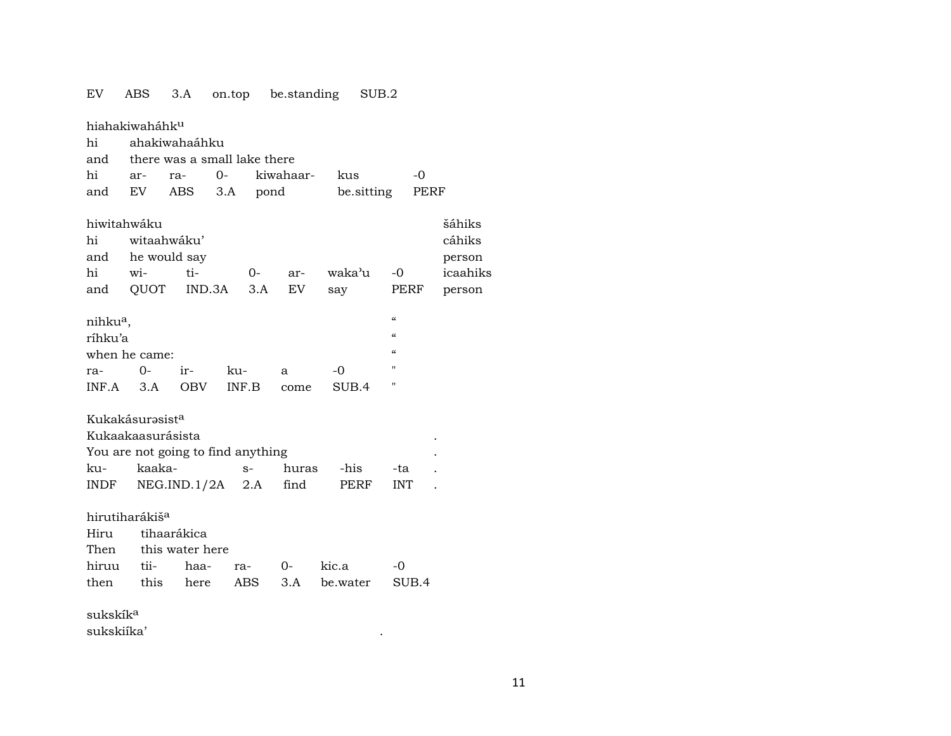| EV                              | ABS                         | 3.A                                | on.top be.standing |           |            | SUB.2              |         |
|---------------------------------|-----------------------------|------------------------------------|--------------------|-----------|------------|--------------------|---------|
|                                 | hiahakiwaháhk <sup>u</sup>  |                                    |                    |           |            |                    |         |
| hi                              |                             | ahakiwahaáhku                      |                    |           |            |                    |         |
| and                             |                             | there was a small lake there       |                    |           |            |                    |         |
| hi                              | ar-                         | ra-                                | $O -$              | kiwahaar- | kus        | -0                 |         |
| and                             | EV                          | ABS                                | 3.A                | pond      | be sitting | PERF               |         |
|                                 | hiwitahwáku                 |                                    |                    |           |            |                    | šáhiks  |
| hi                              | witaahwáku'                 |                                    |                    |           |            |                    | cáhiks  |
| and                             |                             | he would say                       |                    |           |            |                    | person  |
| hi                              | wi-                         | ti-                                | 0-                 | ar-       | waka'u     | $-0$               | icaahik |
| and                             | QUOT                        | IND.3A                             | 3.A                | EV        | say        | PERF               | person  |
|                                 |                             |                                    |                    |           |            | $\epsilon\epsilon$ |         |
| nihku <sup>a</sup> ,<br>ríhku'a |                             |                                    |                    |           |            | $\epsilon$         |         |
|                                 | when he came:               |                                    |                    |           |            | $\alpha$           |         |
| ra-                             | $O -$                       | ir-                                | ku-                | a         | -0         | п                  |         |
| INF.A                           | 3.A                         | <b>OBV</b>                         | INF.B              | come      | SUB.4      | п                  |         |
|                                 |                             |                                    |                    |           |            |                    |         |
|                                 | Kukakásurəsist <sup>a</sup> |                                    |                    |           |            |                    |         |
|                                 | Kukaakaasurásista           |                                    |                    |           |            |                    |         |
|                                 |                             | You are not going to find anything |                    |           |            |                    |         |
| ku-                             | kaaka-                      |                                    | $S-$               | huras     | -his       | -ta                |         |
| <b>INDF</b>                     |                             | NEG.IND.1/2A                       | 2.A                | find      | PERF       | <b>INT</b>         |         |
|                                 | hirutiharákiš <sup>a</sup>  |                                    |                    |           |            |                    |         |
| Hiru                            |                             | tihaarákica                        |                    |           |            |                    |         |
| Then                            |                             | this water here                    |                    |           |            |                    |         |
| hiruu                           | tii-                        | haa-                               | ra-                | 0-        | kic.a      | -0                 |         |
| then                            | this                        | here                               | ABS                | 3.A       | be.water   | SUB.4              |         |
|                                 |                             |                                    |                    |           |            |                    |         |
| sukskík <sup>a</sup>            |                             |                                    |                    |           |            |                    |         |
| sukskiíka'                      |                             |                                    |                    |           |            |                    |         |

| hi<br>and            | wi-<br>QUOT | ti-<br>IND.3A 3.A EV | 0- | ar- | waka'u<br>say | $-0$<br>PERF                           | icaahiks<br>person |
|----------------------|-------------|----------------------|----|-----|---------------|----------------------------------------|--------------------|
| nihku <sup>a</sup> , |             |                      |    |     |               | "                                      |                    |
| ríhku'a              |             |                      |    |     |               | $\boldsymbol{\zeta}\boldsymbol{\zeta}$ |                    |
|                      | m           |                      |    |     |               | $\epsilon$                             |                    |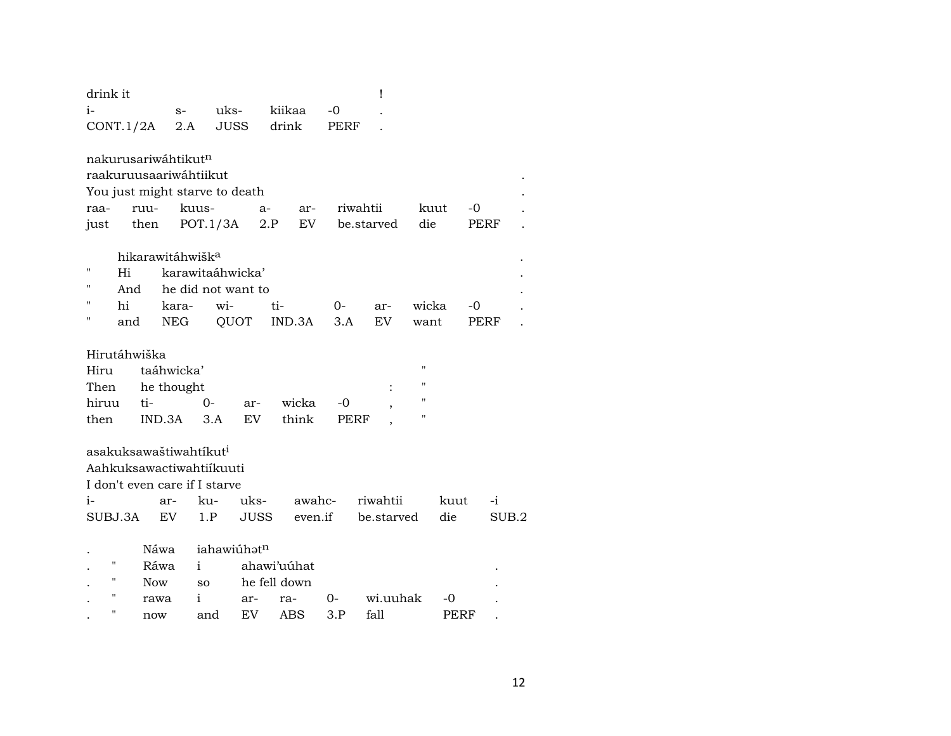| drink it                           |            |                              |                         |             |              |      | Ţ          |                    |      |      |       |
|------------------------------------|------------|------------------------------|-------------------------|-------------|--------------|------|------------|--------------------|------|------|-------|
| $i-$                               |            | $S-$                         | uks-                    |             | kiikaa       | -0   |            |                    |      |      |       |
| CONT.1/2A                          |            | 2.A                          | <b>JUSS</b>             |             | drink        | PERF |            |                    |      |      |       |
|                                    |            |                              |                         |             |              |      |            |                    |      |      |       |
| nakurusariwáhtikut <sup>n</sup>    |            |                              |                         |             |              |      |            |                    |      |      |       |
| raakuruusaariwáhtiikut             |            |                              |                         |             |              |      |            |                    |      |      |       |
| You just might starve to death     |            |                              |                         |             |              |      |            |                    |      |      |       |
| raa-                               | ruu-       | kuus-                        |                         | $a-$        | ar-          |      | riwahtii   |                    | kuut | $-0$ |       |
| just                               | then       |                              | POT.1/3A                | 2.P         | EV           |      | be.starved | die                |      | PERF |       |
|                                    |            | hikarawitáhwišk <sup>a</sup> |                         |             |              |      |            |                    |      |      |       |
| 11<br>Hi                           |            |                              | karawitaáhwicka'        |             |              |      |            |                    |      |      |       |
| "                                  | And        |                              | he did not want to      |             |              |      |            |                    |      |      |       |
| 11<br>hi                           |            | kara-                        | wi-                     |             | ti-          | 0-   | ar-        | wicka              |      | $-0$ |       |
| н<br>and                           |            | <b>NEG</b>                   | QUOT                    |             | IND.3A       | 3.A  | EV         | want               |      | PERF |       |
|                                    |            |                              |                         |             |              |      |            |                    |      |      |       |
| Hirutáhwiška                       |            |                              |                         |             |              |      |            |                    |      |      |       |
| Hiru                               |            | taáhwicka'                   |                         |             |              |      |            | $\pmb{\mathsf{H}}$ |      |      |       |
| Then                               |            | he thought                   |                         |             |              |      |            | п                  |      |      |       |
| hiruu                              | ti-        |                              | $O -$                   | ar-         | wicka        | -0   |            | $\blacksquare$     |      |      |       |
| then                               | IND.3A     |                              | 3.A                     | EV          | think        | PERF |            | $\mathbf{H}$       |      |      |       |
| asakuksawaštiwahtíkut <sup>i</sup> |            |                              |                         |             |              |      |            |                    |      |      |       |
| Aahkuksawactiwahtiikuuti           |            |                              |                         |             |              |      |            |                    |      |      |       |
| I don't even care if I starve      |            |                              |                         |             |              |      |            |                    |      |      |       |
| $i-$                               |            | ar-                          | ku-                     | uks-        | awahc-       |      | riwahtii   |                    | kuut | $-i$ |       |
| SUBJ.3A                            |            | EV.                          | 1.P                     | <b>JUSS</b> | even.if      |      | be.starved |                    | die  |      | SUB.2 |
|                                    |            |                              |                         |             |              |      |            |                    |      |      |       |
|                                    | Náwa       |                              | iahawiúhat <sup>n</sup> |             |              |      |            |                    |      |      |       |
| н                                  | Ráwa       | i.                           |                         |             | ahawi'uuhat  |      |            |                    |      |      |       |
| п                                  | <b>Now</b> | SO.                          |                         |             | he fell down |      |            |                    |      |      |       |
| п                                  | rawa       | $\mathbf{i}$                 | ar-                     |             | ra-          | 0-   | wi.uuhak   |                    | -0   |      |       |
| н                                  | now        |                              | EV.<br>and              |             | ABS          | 3.P  | fall       |                    | PERF |      |       |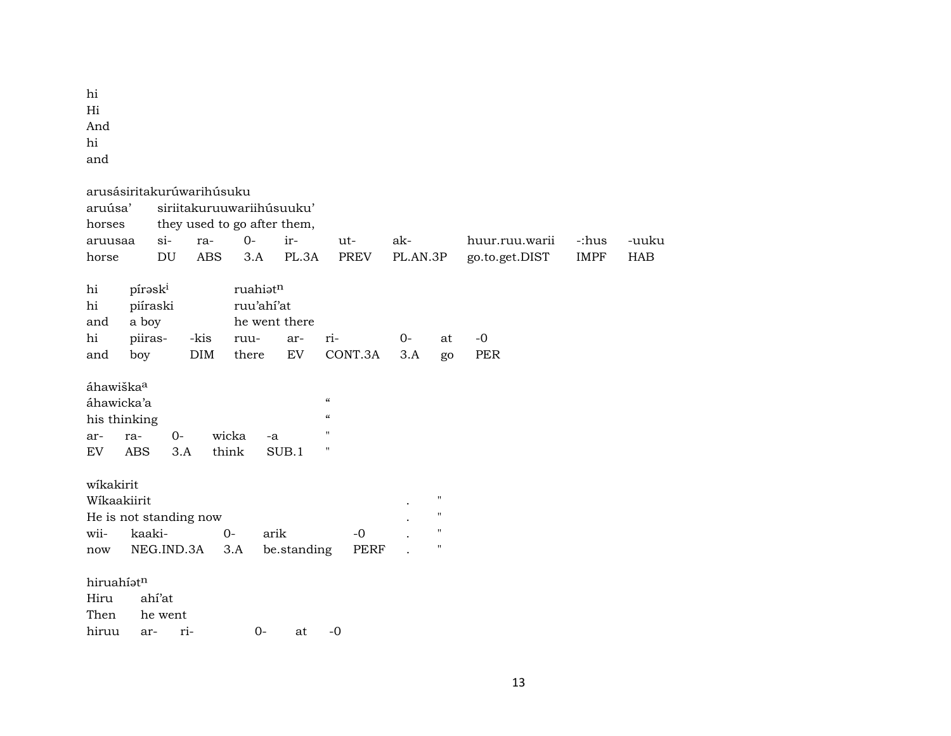hi Hi And hi and

| aruúsa'<br>horses                  | arusásiritakurúwarihúsuku                       |                   | siriitakuruuwariihúsuuku'                  |               |                                                                                |                 |                    |                                  |                      |                     |
|------------------------------------|-------------------------------------------------|-------------------|--------------------------------------------|---------------|--------------------------------------------------------------------------------|-----------------|--------------------|----------------------------------|----------------------|---------------------|
| aruusaa<br>horse                   | $si$ -<br>DU                                    | ra-<br><b>ABS</b> | they used to go after them,<br>$0-$<br>3.A | ir-<br>PL.3A  | ut-<br><b>PREV</b>                                                             | ak-<br>PL.AN.3P |                    | huur.ruu.warii<br>go.to.get.DIST | -:hus<br><b>IMPF</b> | -uuku<br><b>HAB</b> |
| hi<br>hi<br>and                    | pírask <sup>i</sup><br>piíraski<br>a boy        |                   | ruahiatn<br>ruu'ahí'at                     | he went there |                                                                                |                 |                    |                                  |                      |                     |
| hi                                 | piiras-                                         | -kis              | ruu-                                       | ar-           | ri-                                                                            | $0-$            | at                 | $-0$                             |                      |                     |
| and                                | boy                                             | <b>DIM</b>        | there                                      | EV            | CONT.3A                                                                        | 3.A             | go                 | <b>PER</b>                       |                      |                     |
| áhawiška <sup>a</sup><br>ar-<br>EV | áhawicka'a<br>his thinking<br>ra-<br><b>ABS</b> | $0-$<br>3.A       | wicka<br>$-a$<br>think                     | SUB.1         | $\epsilon$<br>$\boldsymbol{\mathcal{C}}$<br>$\mathbf{H}$<br>$\pmb{\mathsf{H}}$ |                 |                    |                                  |                      |                     |
| wikakirit                          |                                                 |                   |                                            |               |                                                                                |                 |                    |                                  |                      |                     |
|                                    | Wíkaakiirit                                     |                   |                                            |               |                                                                                |                 | $\pmb{\mathsf{H}}$ |                                  |                      |                     |
|                                    | He is not standing now                          |                   |                                            |               |                                                                                |                 | $\pmb{\mathsf{H}}$ |                                  |                      |                     |
| wii-                               | kaaki-                                          |                   | $O -$                                      | arik          | $-0$                                                                           |                 | $\pmb{\mathsf{H}}$ |                                  |                      |                     |
| now                                | NEG.IND.3A                                      |                   | 3.A                                        | be.standing   | PERF                                                                           |                 | $\pmb{\mathsf{H}}$ |                                  |                      |                     |
| hiruahíatn<br>Hiru<br>Then         | ahí'at<br>he went                               |                   |                                            |               |                                                                                |                 |                    |                                  |                      |                     |
| hiruu                              | ar-                                             | ri-               | $0-$                                       | at            | $-0$                                                                           |                 |                    |                                  |                      |                     |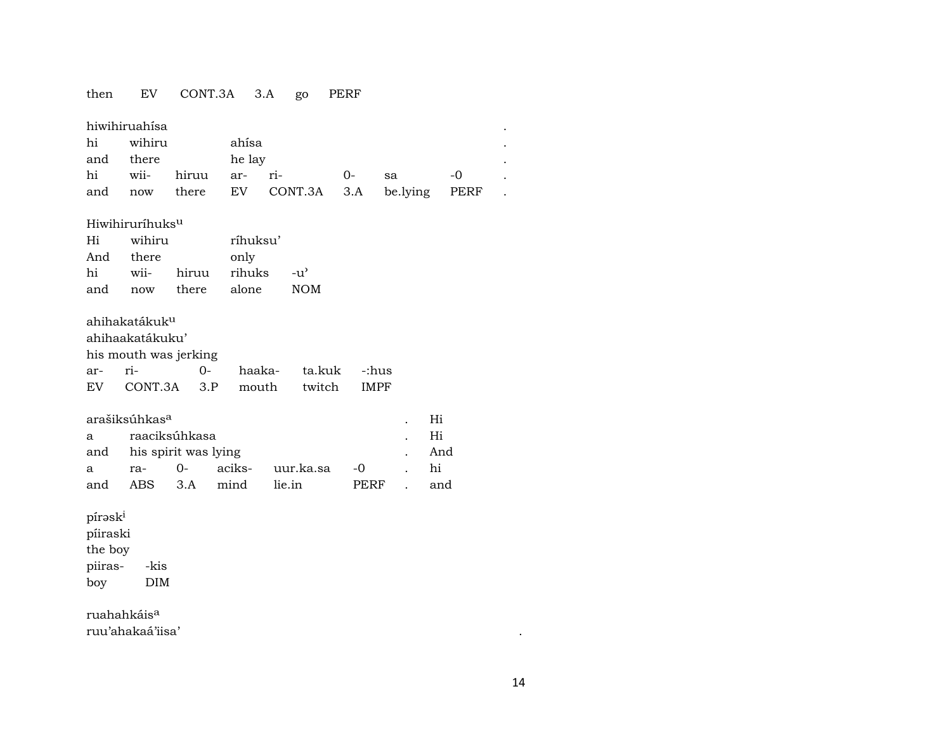# then EV CONT.3A 3.A go PERF

|     | hiwihiruahísa |                       |        |                                          |    |      |  |
|-----|---------------|-----------------------|--------|------------------------------------------|----|------|--|
|     | hi wihiru     |                       | ahísa  |                                          |    |      |  |
| and | there         |                       | he lay |                                          |    |      |  |
|     |               | hi wii- hiruu ar- ri- |        | $\Omega$                                 | sa | $-0$ |  |
| and |               |                       |        | now there EV CONT.3A 3.A be.lying PERF . |    |      |  |

### Hiwihiruríhuksµ

| Hi  | wihiru |       | ríhuksu' |                    |
|-----|--------|-------|----------|--------------------|
| And | there  |       | only     |                    |
| hi  | wii-   | hiruu | rihuks   | $-11$ <sup>2</sup> |
| and | now    | there | alone    | <b>NOM</b>         |

## ahihakatákukµ

|                       | ahihaakatákuku'             |  |                     |  |             |  |  |  |  |  |  |
|-----------------------|-----------------------------|--|---------------------|--|-------------|--|--|--|--|--|--|
| his mouth was jerking |                             |  |                     |  |             |  |  |  |  |  |  |
|                       |                             |  | haaka- ta.kuk -:hus |  |             |  |  |  |  |  |  |
|                       | EV CONT.3A 3.P mouth twitch |  |                     |  | <b>IMPF</b> |  |  |  |  |  |  |

|     | arašiksúhkas <sup>a</sup> |                          |                     |                     |       |  |     |  |  |  |
|-----|---------------------------|--------------------------|---------------------|---------------------|-------|--|-----|--|--|--|
|     |                           | a raaciksúhkasa          |                     |                     |       |  |     |  |  |  |
|     |                           | and his spirit was lying |                     |                     |       |  |     |  |  |  |
| a a | ra-                       |                          |                     | 0- aciks- uur.ka.sa | $-()$ |  | hi  |  |  |  |
| and |                           |                          | ABS 3.A mind lie.in |                     | PERF  |  | and |  |  |  |

pírəsk $^{\rm i}$ píiraski the boy piiras- -kis boy DIM

ruahahkáis<sup>a</sup> ruu'ahakaá'iisa' .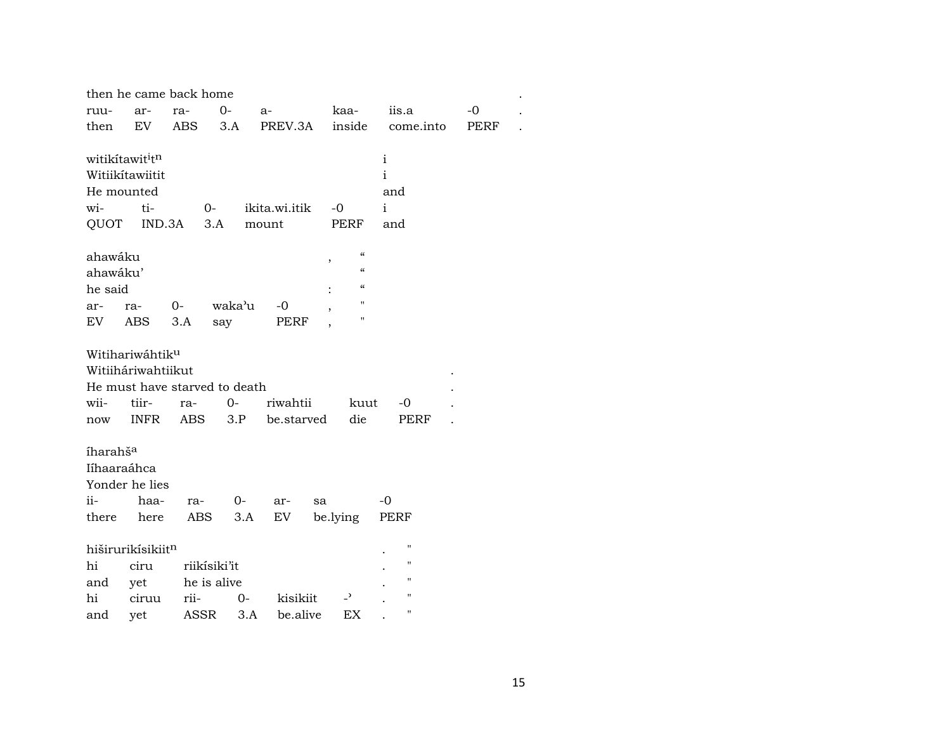|                      | then he came back home        |              |        |               |                         |                    |      |  |
|----------------------|-------------------------------|--------------|--------|---------------|-------------------------|--------------------|------|--|
| ruu-                 | ar-                           | ra-          | $0 -$  | $a-$          | kaa-                    | iis.a              | $-0$ |  |
| then                 | EV.                           | ABS          | 3.A    | PREV.3A       | inside                  | come.into          | PERF |  |
|                      |                               |              |        |               |                         |                    |      |  |
|                      | witikítawit <sup>i</sup> tn   |              |        |               |                         | $\mathbf{i}$       |      |  |
|                      | Witiikítawiitit               |              |        |               |                         | $\rm i$            |      |  |
|                      | He mounted                    |              |        |               |                         | and                |      |  |
| wi-                  | ti-                           | $0-$         |        | ikita.wi.itik | $-0$                    | $\mathbf{i}$       |      |  |
| QUOT                 | IND.3A                        | 3.A          |        | mount         | PERF                    | and                |      |  |
|                      |                               |              |        |               |                         |                    |      |  |
| ahawáku              |                               |              |        |               | $\epsilon\epsilon$<br>, |                    |      |  |
| ahawáku'             |                               |              |        |               | $\epsilon$              |                    |      |  |
| he said              |                               |              |        |               | $\epsilon$              |                    |      |  |
| ar-                  | ra-                           | 0-           | waka'u | $-0$          | п                       |                    |      |  |
| EV                   | ABS                           | 3.A          | say    | PERF          | п                       |                    |      |  |
|                      |                               |              |        |               |                         |                    |      |  |
|                      | Witihariwáhtiku               |              |        |               |                         |                    |      |  |
|                      | Witiiháriwahtiikut            |              |        |               |                         |                    |      |  |
|                      | He must have starved to death |              |        |               |                         |                    |      |  |
| wii-                 | tiir-                         | ra-          | $0-$   | riwahtii      | kuut                    | -0                 |      |  |
| now                  | INFR                          | ABS          | 3.P    | be.starved    | die                     | PERF               |      |  |
|                      |                               |              |        |               |                         |                    |      |  |
| íharahš <sup>a</sup> |                               |              |        |               |                         |                    |      |  |
|                      | Iíhaaraáhca                   |              |        |               |                         |                    |      |  |
|                      | Yonder he lies                |              |        |               |                         |                    |      |  |
| ii-                  | haa-                          | ra-          | $O-$   | ar-           | sa                      | $-0$               |      |  |
| there                | here                          | ABS          | 3.A    | EV            | be.lying                | PERF               |      |  |
|                      |                               |              |        |               |                         |                    |      |  |
|                      | hiširurikísikiitn             |              |        |               |                         | $\pmb{\mathsf{H}}$ |      |  |
| hi                   | ciru                          | riikisiki'it |        |               |                         | $\pmb{\mathsf{H}}$ |      |  |
| and                  | yet                           | he is alive  |        |               |                         | $\bar{\mathbf{H}}$ |      |  |
| hi                   | ciruu                         | rii-         | $0-$   | kisikiit      | $\overline{a}$          | $\pmb{\mathsf{H}}$ |      |  |
| and                  | yet                           | ASSR         | 3.A    | be.alive      | EX                      | $\pmb{\mathsf{H}}$ |      |  |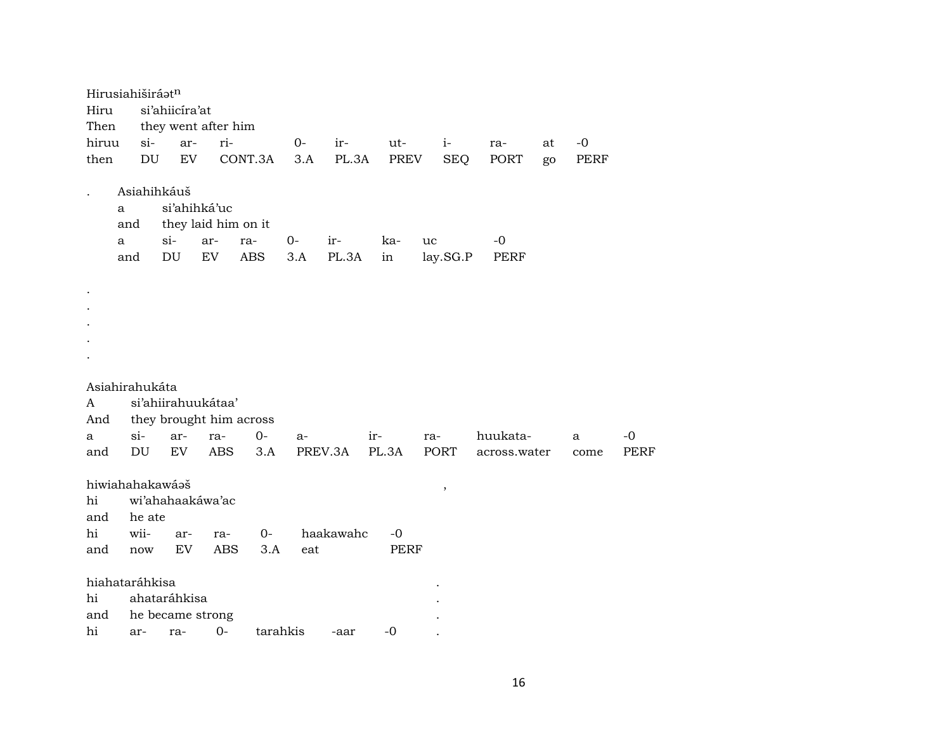| Hirusiahiširáatn     |                            |                            |                     |            |                         |      |           |             |             |              |    |      |             |
|----------------------|----------------------------|----------------------------|---------------------|------------|-------------------------|------|-----------|-------------|-------------|--------------|----|------|-------------|
| Hiru                 |                            |                            | si'ahiicíra'at      |            |                         |      |           |             |             |              |    |      |             |
| Then                 |                            |                            | they went after him |            |                         |      |           |             |             |              |    |      |             |
| hiruu                |                            | $si-$                      | ar-                 | ri-        |                         | $0-$ | ir-       | ut-         | $i-$        | ra-          | at | $-0$ |             |
| then                 |                            | $\mathop{\rm DU}\nolimits$ | ${\rm EV}$          |            | CONT.3A                 | 3.A  | PL.3A     | PREV        | <b>SEQ</b>  | PORT         | go | PERF |             |
| $\ddot{\phantom{0}}$ | Asiahihkáuš                |                            |                     |            |                         |      |           |             |             |              |    |      |             |
|                      | a                          |                            | si'ahihká'uc        |            |                         |      |           |             |             |              |    |      |             |
|                      | and                        |                            | they laid him on it |            |                         |      |           |             |             |              |    |      |             |
|                      | a                          |                            | $si$ -              | ar-        | ra-                     | $0-$ | ir-       | ka-         | uc          | $-0$         |    |      |             |
|                      | and                        |                            | DU                  | EV         | <b>ABS</b>              | 3.A  | PL.3A     | in          | lay.SG.P    | <b>PERF</b>  |    |      |             |
|                      |                            |                            |                     |            |                         |      |           |             |             |              |    |      |             |
| $\bullet$            |                            |                            |                     |            |                         |      |           |             |             |              |    |      |             |
|                      |                            |                            |                     |            |                         |      |           |             |             |              |    |      |             |
|                      |                            |                            |                     |            |                         |      |           |             |             |              |    |      |             |
|                      |                            |                            |                     |            |                         |      |           |             |             |              |    |      |             |
|                      |                            |                            |                     |            |                         |      |           |             |             |              |    |      |             |
|                      |                            |                            |                     |            |                         |      |           |             |             |              |    |      |             |
| Asiahirahukáta       |                            |                            |                     |            |                         |      |           |             |             |              |    |      |             |
| A                    |                            |                            | si'ahiirahuukátaa'  |            |                         |      |           |             |             |              |    |      |             |
| And                  |                            |                            |                     |            | they brought him across |      |           |             |             |              |    |      |             |
| a                    | $\sin$                     |                            | ar-                 | ra-        | $O -$                   | $a-$ |           | ir-         | ra-         | huukata-     |    | a    | -0          |
| and                  | $\mathop{\rm DU}\nolimits$ |                            | EV                  | <b>ABS</b> | 3.A                     |      | PREV.3A   | PL.3A       | <b>PORT</b> | across.water |    | come | <b>PERF</b> |
| hiwiahahakawáaš      |                            |                            |                     |            |                         |      |           |             |             |              |    |      |             |
| hi                   |                            |                            | wi'ahahaakáwa'ac    |            |                         |      |           |             | $\, ,$      |              |    |      |             |
| and                  |                            | he ate                     |                     |            |                         |      |           |             |             |              |    |      |             |
| hi                   | wii-                       |                            | ar-                 | ra-        | $O-$                    |      | haakawahc | $-0$        |             |              |    |      |             |
| and                  | now                        |                            | EV                  | <b>ABS</b> | 3.A                     | eat  |           | <b>PERF</b> |             |              |    |      |             |
|                      |                            |                            |                     |            |                         |      |           |             |             |              |    |      |             |
| hiahataráhkisa       |                            |                            |                     |            |                         |      |           |             |             |              |    |      |             |
| hi                   |                            |                            | ahataráhkisa        |            |                         |      |           |             |             |              |    |      |             |
| and                  |                            |                            | he became strong    |            |                         |      |           |             |             |              |    |      |             |
| hi                   | ar-                        |                            | ra-                 | $0-$       | tarahkis                |      | -aar      | $-0$        |             |              |    |      |             |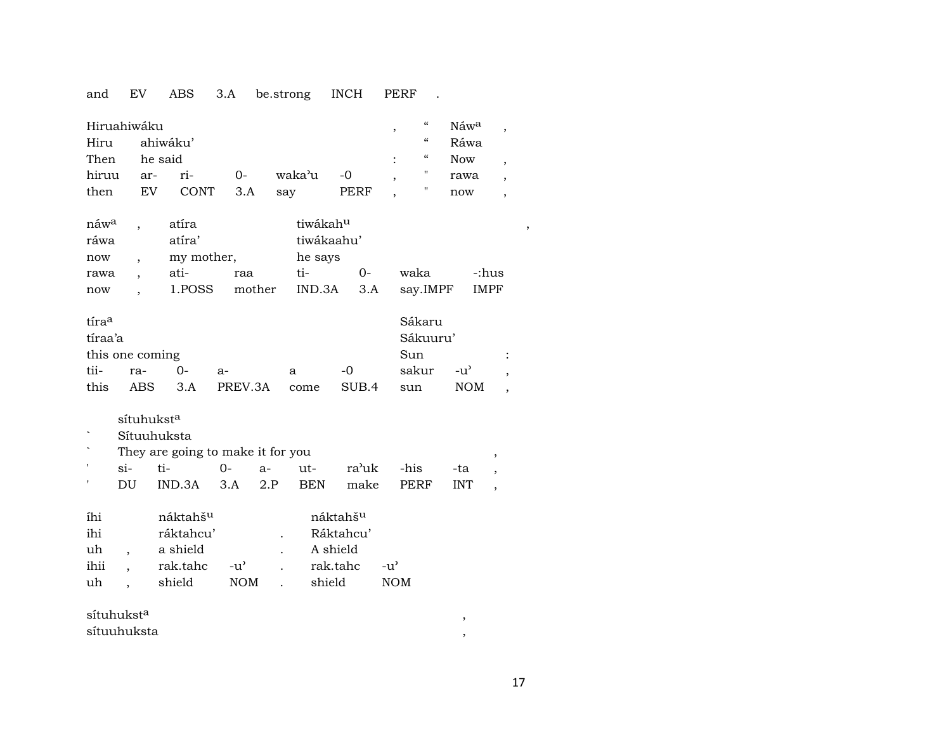### and EV ABS 3.A be.strong INCH PERF .

| Hiruahiwáku<br>Hiru<br>Then<br>hiruu<br>then        | ar-<br>EV                                                                    | ahiwáku'<br>he said<br>ri-<br><b>CONT</b>                           | $0-$<br>3.A                 | waka'u<br>say                        | $-0$<br><b>PERF</b>                                     | $\boldsymbol{\zeta}\boldsymbol{\zeta}$<br>,<br>$\epsilon\epsilon$<br>$\epsilon$<br>π<br>" | Náw <sup>a</sup><br>Ráwa<br><b>Now</b><br>rawa<br>now   | $\overline{\phantom{a}}$<br>$\overline{ }$<br>$\overline{ }$<br>$\overline{ }$ |
|-----------------------------------------------------|------------------------------------------------------------------------------|---------------------------------------------------------------------|-----------------------------|--------------------------------------|---------------------------------------------------------|-------------------------------------------------------------------------------------------|---------------------------------------------------------|--------------------------------------------------------------------------------|
| náw <sup>a</sup><br>ráwa<br>now<br>rawa<br>now      | $\ddot{\phantom{0}}$                                                         | atíra<br>atíra'<br>my mother,<br>ati-<br>1.POSS                     | raa<br>mother               | tiwákahu<br>he says<br>ti-<br>IND.3A | tiwákaahu'<br>$0-$<br>3.A                               | waka<br>say.IMPF                                                                          | -:hus<br><b>IMPF</b>                                    | $\, ,$                                                                         |
| tíraa<br>tíraa'a<br>this one coming<br>tii-<br>this | ra-<br>ABS                                                                   | $0-$<br>3.A                                                         | $a-$<br>PREV.3A             | a<br>come                            | $-0$<br>SUB.4                                           | Sákaru<br>Sákuuru'<br>Sun<br>sakur<br>sun                                                 | $-u^{\prime}$<br><b>NOM</b>                             |                                                                                |
| ,<br>1                                              | sítuhukst <sup>a</sup><br>$si-$<br>DU                                        | Sítuuhuksta<br>They are going to make it for you<br>ti-<br>IND.3A   | $0 -$<br>3.A                | $ut-$<br>$a-$<br>2.P<br><b>BEN</b>   | ra'uk<br>make                                           | -his<br>PERF                                                                              | $\, ,$<br>-ta<br><b>INT</b><br>$\overline{\phantom{a}}$ |                                                                                |
| íhi<br>ihi<br>uh<br>ihii<br>uh                      | $\overline{\phantom{a}}$<br>$\overline{\phantom{a}}$<br>$\ddot{\phantom{a}}$ | náktahš <sup>u</sup><br>ráktahcu'<br>a shield<br>rak.tahc<br>shield | $-u^{\prime}$<br><b>NOM</b> | $\overline{a}$                       | náktahšu<br>Ráktahcu'<br>A shield<br>rak.tahc<br>shield | $-u^{\prime}$<br><b>NOM</b>                                                               |                                                         |                                                                                |
| sítuhukst <sup>a</sup>                              |                                                                              |                                                                     |                             |                                      |                                                         |                                                                                           | $^\mathrm{^{^\circ}}$                                   |                                                                                |

17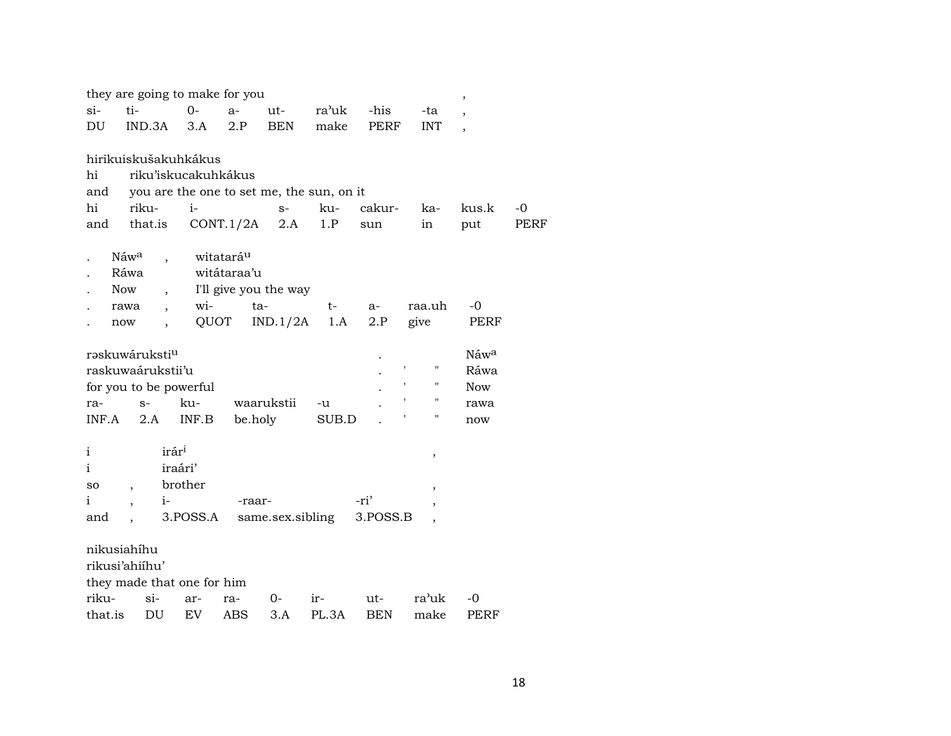|                            |                          |                      | they are going to make for you |                       |                                           |       |             |                    | $\overline{\phantom{a}}$ |             |
|----------------------------|--------------------------|----------------------|--------------------------------|-----------------------|-------------------------------------------|-------|-------------|--------------------|--------------------------|-------------|
| $\sin$                     | ti-                      |                      | $O -$                          | $a-$                  | $ut-$                                     | ra'uk | -his        | -ta                | $\cdot$                  |             |
| DU                         | IND.3A                   |                      | 3.A                            | 2.P                   | <b>BEN</b>                                | make  | <b>PERF</b> | <b>INT</b>         | $\overline{ }$           |             |
|                            |                          |                      |                                |                       |                                           |       |             |                    |                          |             |
|                            |                          |                      | hirikuiskušakuhkákus           |                       |                                           |       |             |                    |                          |             |
| hi                         |                          |                      | riku'iskucakuhkákus            |                       |                                           |       |             |                    |                          |             |
| and                        |                          |                      |                                |                       | you are the one to set me, the sun, on it |       |             |                    |                          |             |
| hi                         | riku-                    |                      | $i-$                           |                       | $S-$                                      | ku-   | cakur-      | ka-                | kus.k                    | -0          |
| and                        | that.is                  |                      |                                | CONT.1/2A             | 2.A                                       | 1.P   | sun         | in                 | put                      | <b>PERF</b> |
|                            | Náwa                     |                      |                                | witatará <sup>u</sup> |                                           |       |             |                    |                          |             |
|                            | Ráwa                     |                      |                                | witátaraa'u           |                                           |       |             |                    |                          |             |
|                            | Now                      |                      |                                |                       | I'll give you the way                     |       |             |                    |                          |             |
|                            | rawa                     | $\ddot{\phantom{0}}$ | wi-                            | ta-                   |                                           | t-    | $a-$        | raa.uh             | $-0$                     |             |
|                            | now                      |                      | QUOT                           |                       | IND.1/2A                                  | 1.A   | 2.P         | give               | PERF                     |             |
|                            |                          |                      |                                |                       |                                           |       |             |                    |                          |             |
| rəskuwáruksti <sup>u</sup> |                          |                      |                                |                       |                                           |       |             |                    | Náwa                     |             |
| raskuwaárukstii'u          |                          |                      |                                |                       |                                           |       |             | П                  | Ráwa                     |             |
|                            |                          |                      | for you to be powerful         |                       |                                           |       |             | ,<br>11            | <b>Now</b>               |             |
| ra-                        | $S-$                     |                      | ku-                            |                       | waarukstii                                | -u    |             | $\pmb{\mathsf{H}}$ | rawa                     |             |
| INF.A                      | 2.A                      |                      | INF.B                          | be.holy               |                                           | SUB.D |             | Ħ                  | now                      |             |
|                            |                          |                      |                                |                       |                                           |       |             |                    |                          |             |
| i                          |                          | irár <sup>i</sup>    |                                |                       |                                           |       |             | ,                  |                          |             |
| i                          |                          | iraári'              |                                |                       |                                           |       |             |                    |                          |             |
| so                         | $\overline{\phantom{a}}$ |                      | brother                        |                       |                                           |       |             |                    |                          |             |
| i                          |                          | $i-$                 |                                | -raar-                |                                           |       | -ri'        |                    |                          |             |
| and                        |                          |                      | 3.POSS.A                       |                       | same.sex.sibling                          |       | 3.POSS.B    |                    |                          |             |
| nikusiahíhu                |                          |                      |                                |                       |                                           |       |             |                    |                          |             |
| rikusi'ahiihu'             |                          |                      |                                |                       |                                           |       |             |                    |                          |             |
|                            |                          |                      |                                |                       |                                           |       |             |                    |                          |             |
|                            |                          |                      | they made that one for him     |                       |                                           |       |             |                    |                          |             |
| riku-                      |                          | $\sin$               | ar-                            | ra-                   | 0-                                        | ir-   | ut-         | ra'uk              | -0                       |             |
| that.is                    |                          | DU                   | EV.                            | <b>ABS</b>            | 3.A                                       | PL.3A | <b>BEN</b>  | make               | <b>PERF</b>              |             |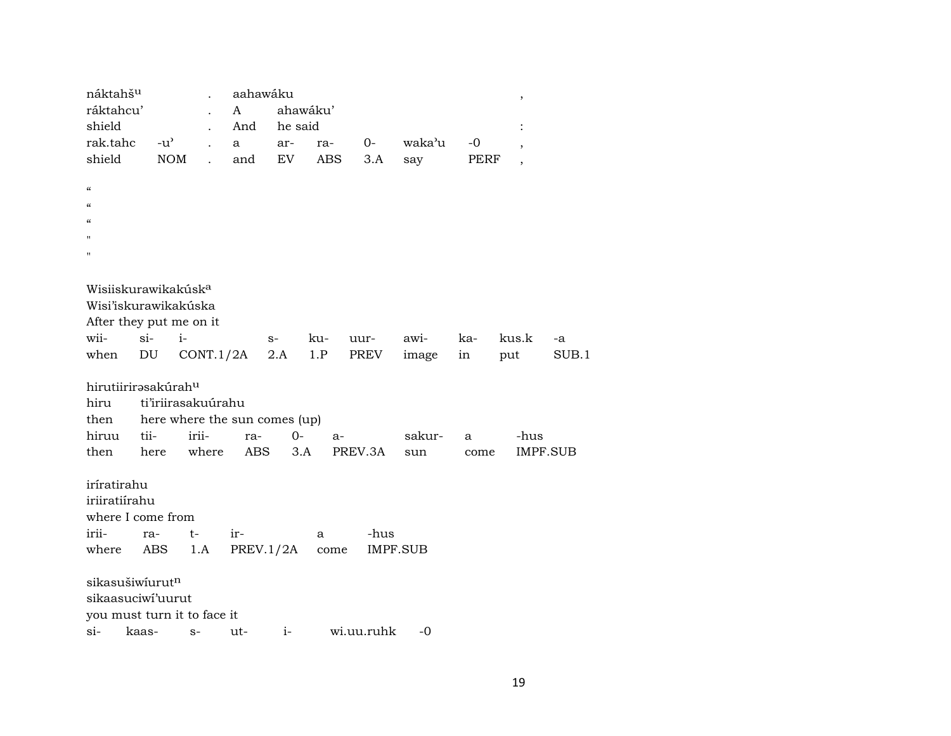| náktahš <sup>u</sup><br>ráktahcu'<br>shield |       |               |                    | A   | aahawáku<br>And | he said                       | ahawáku' |                 |        |      | ,                        |       |
|---------------------------------------------|-------|---------------|--------------------|-----|-----------------|-------------------------------|----------|-----------------|--------|------|--------------------------|-------|
| rak.tahc                                    |       | $-u^{\prime}$ |                    | a   |                 | ar-                           | ra-      | $O-$            | waka'u | -0   | $\cdot$                  |       |
| shield                                      |       | <b>NOM</b>    |                    |     | and             | EV                            | ABS      | 3.A             | say    | PERF | $\overline{\phantom{a}}$ |       |
|                                             |       |               |                    |     |                 |                               |          |                 |        |      |                          |       |
| $\epsilon\epsilon$                          |       |               |                    |     |                 |                               |          |                 |        |      |                          |       |
| $\pmb{\zeta}\pmb{\zeta}$                    |       |               |                    |     |                 |                               |          |                 |        |      |                          |       |
| $\epsilon$                                  |       |               |                    |     |                 |                               |          |                 |        |      |                          |       |
| $^{\prime}$                                 |       |               |                    |     |                 |                               |          |                 |        |      |                          |       |
| $^{\prime\prime}$                           |       |               |                    |     |                 |                               |          |                 |        |      |                          |       |
|                                             |       |               |                    |     |                 |                               |          |                 |        |      |                          |       |
| Wisiiskurawikakúsk <sup>a</sup>             |       |               |                    |     |                 |                               |          |                 |        |      |                          |       |
| Wisi'iskurawikakúska                        |       |               |                    |     |                 |                               |          |                 |        |      |                          |       |
| After they put me on it                     |       |               |                    |     |                 |                               |          |                 |        |      |                          |       |
| wii-                                        | $si-$ |               | $i-$               |     |                 | $S-$                          | ku-      | uur-            | awi-   | ka-  | kus.k                    | -a    |
| when                                        | DU    |               | $CONT.1/2A$ 2.A    |     |                 |                               | 1.P      | PREV            | image  | in   | put                      | SUB.1 |
|                                             |       |               |                    |     |                 |                               |          |                 |        |      |                          |       |
| hirutiirirasakúrahu                         |       |               |                    |     |                 |                               |          |                 |        |      |                          |       |
| hiru                                        |       |               | ti'iriirasakuúrahu |     |                 |                               |          |                 |        |      |                          |       |
| then                                        |       |               |                    |     |                 | here where the sun comes (up) |          |                 |        |      |                          |       |
| hiruu                                       | tii-  |               | irii-              |     | ra-             | $0-$                          | $a-$     |                 | sakur- | a    | -hus                     |       |
| then                                        | here  |               | where              |     | <b>ABS</b>      | 3.A                           |          | PREV.3A         | sun    | come | IMPF.SUB                 |       |
|                                             |       |               |                    |     |                 |                               |          |                 |        |      |                          |       |
| iríratirahu                                 |       |               |                    |     |                 |                               |          |                 |        |      |                          |       |
| iriiratiírahu                               |       |               |                    |     |                 |                               |          |                 |        |      |                          |       |
| where I come from                           |       |               |                    |     |                 |                               |          |                 |        |      |                          |       |
| irii-                                       | ra-   |               | t-                 | ir- |                 |                               | a        | -hus            |        |      |                          |       |
| where                                       | ABS   |               | 1.A                |     |                 | PREV.1/2A                     | come     | <b>IMPF.SUB</b> |        |      |                          |       |
|                                             |       |               |                    |     |                 |                               |          |                 |        |      |                          |       |
| sikasušiwíurutn                             |       |               |                    |     |                 |                               |          |                 |        |      |                          |       |
| sikaasuciwi'uurut                           |       |               |                    |     |                 |                               |          |                 |        |      |                          |       |
| you must turn it to face it                 |       |               |                    |     |                 |                               |          |                 |        |      |                          |       |
| $\sin$ -                                    | kaas- |               | $S-$               |     | ut-             | $i-$                          |          | wi.uu.ruhk      | -0     |      |                          |       |
|                                             |       |               |                    |     |                 |                               |          |                 |        |      |                          |       |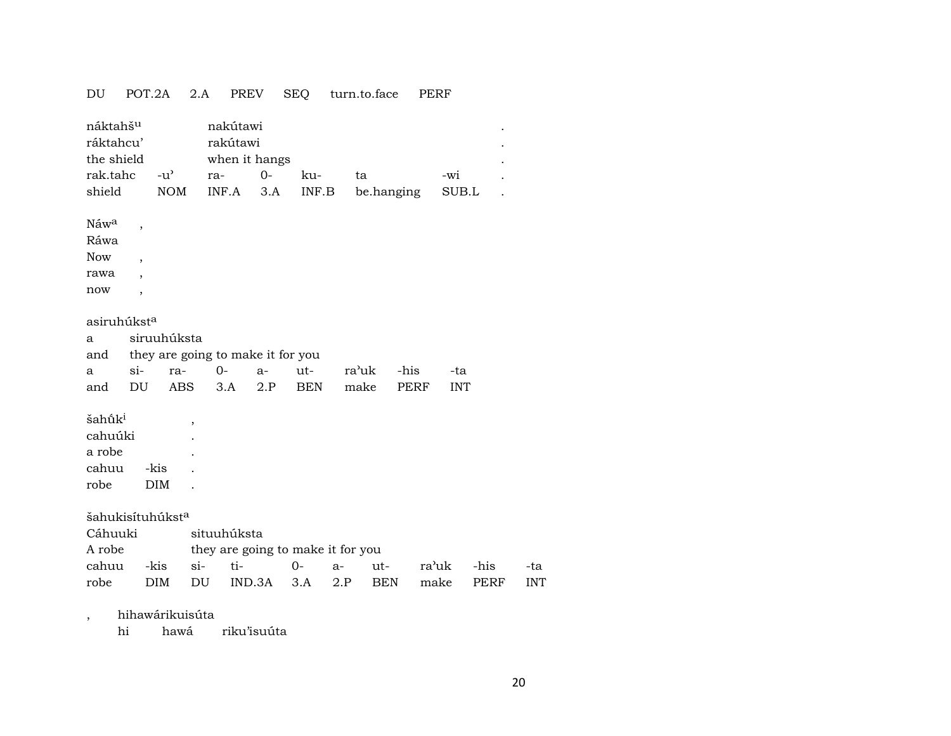| DU                                              | POT.2A                   | 2.A                                 | PREV                                  |        | <b>SEQ</b> | turn.to.face |             | PERF       |      |            |
|-------------------------------------------------|--------------------------|-------------------------------------|---------------------------------------|--------|------------|--------------|-------------|------------|------|------------|
| náktahš <sup>u</sup><br>ráktahcu'<br>the shield |                          |                                     | nakútawi<br>rakútawi<br>when it hangs |        |            |              |             |            |      |            |
| rak.tahc                                        |                          | $-u$ <sup><math>\prime</math></sup> | ra-                                   | $0-$   | ku-        | ta           |             | -wi        |      |            |
| shield                                          |                          | <b>NOM</b>                          | INF.A                                 | 3.A    | INF.B      |              | be.hanging  | SUB.L      |      |            |
| Náw <sup>a</sup>                                | ,                        |                                     |                                       |        |            |              |             |            |      |            |
| Ráwa                                            |                          |                                     |                                       |        |            |              |             |            |      |            |
| <b>Now</b>                                      | $\overline{\phantom{a}}$ |                                     |                                       |        |            |              |             |            |      |            |
| rawa                                            |                          |                                     |                                       |        |            |              |             |            |      |            |
| now                                             | ,                        |                                     |                                       |        |            |              |             |            |      |            |
|                                                 |                          |                                     |                                       |        |            |              |             |            |      |            |
| asiruhúkst <sup>a</sup>                         |                          |                                     |                                       |        |            |              |             |            |      |            |
| a                                               |                          | siruuhúksta                         |                                       |        |            |              |             |            |      |            |
| and                                             |                          |                                     | they are going to make it for you     |        |            |              |             |            |      |            |
| a                                               | $si-$                    | ra-                                 | $0-$                                  | $a-$   | ut-        | ra'uk        | -his        | -ta        |      |            |
| and                                             | DU                       | ABS                                 | 3.A                                   | 2.P    | <b>BEN</b> | make         | <b>PERF</b> | <b>INT</b> |      |            |
|                                                 |                          |                                     |                                       |        |            |              |             |            |      |            |
| šahūk <sup>i</sup>                              |                          | ,                                   |                                       |        |            |              |             |            |      |            |
| cahuúki                                         |                          |                                     |                                       |        |            |              |             |            |      |            |
| a robe                                          |                          |                                     |                                       |        |            |              |             |            |      |            |
| cahuu                                           | -kis                     |                                     |                                       |        |            |              |             |            |      |            |
| robe                                            | DIM                      |                                     |                                       |        |            |              |             |            |      |            |
| šahukisítuhúkst <sup>a</sup>                    |                          |                                     |                                       |        |            |              |             |            |      |            |
| Cáhuuki                                         |                          |                                     | situuhúksta                           |        |            |              |             |            |      |            |
| A robe                                          |                          |                                     | they are going to make it for you     |        |            |              |             |            |      |            |
| cahuu                                           | -kis                     | $si-$                               | ti-                                   |        | $O -$      | a-           | ut-         | ra'uk      | -his | -ta        |
| robe                                            | DIM                      | DU                                  |                                       | IND.3A | 3.A        | 2.P          | <b>BEN</b>  | make       | PERF | <b>INT</b> |
|                                                 |                          |                                     |                                       |        |            |              |             |            |      |            |
|                                                 |                          |                                     |                                       |        |            |              |             |            |      |            |

, hihawárikuisúta

hi hawá riku'isuúta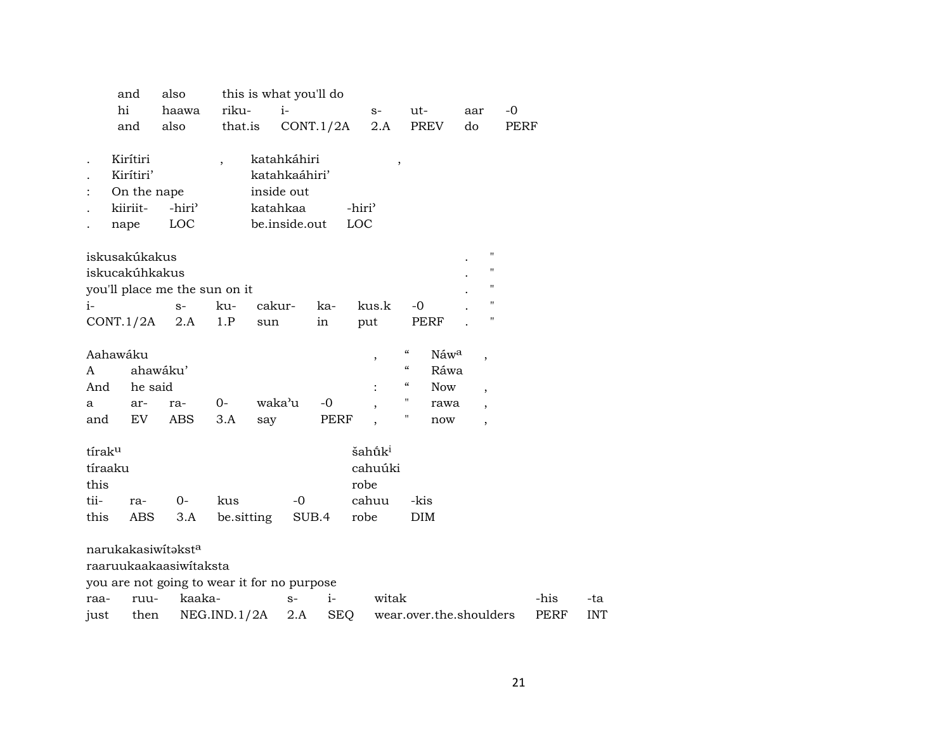|         | and                   | also                                        |             | this is what you'll do       |       |           |                          |                                        |                         |                          |                    |      |            |
|---------|-----------------------|---------------------------------------------|-------------|------------------------------|-------|-----------|--------------------------|----------------------------------------|-------------------------|--------------------------|--------------------|------|------------|
|         | hi                    | haawa                                       | riku-       | $i-$                         |       |           | $S-$                     | $ut -$                                 |                         | aar                      | $-0$               |      |            |
|         | and                   | also                                        | that.is     |                              |       | CONT.1/2A | 2.A                      |                                        | <b>PREV</b>             | do                       | PERF               |      |            |
|         |                       |                                             |             |                              |       |           |                          |                                        |                         |                          |                    |      |            |
|         | Kirítiri<br>Kirítiri' |                                             |             | katahkáhiri<br>katahkaáhiri' |       |           | $\, ,$                   |                                        |                         |                          |                    |      |            |
|         | On the nape           |                                             |             | inside out                   |       |           |                          |                                        |                         |                          |                    |      |            |
|         | kiiriit-              | -hiri <sup>3</sup>                          |             | katahkaa                     |       |           | -hiri <sup>3</sup>       |                                        |                         |                          |                    |      |            |
|         | nape                  | LOC                                         |             | be.inside.out                |       |           | LOC                      |                                        |                         |                          |                    |      |            |
|         |                       |                                             |             |                              |       |           |                          |                                        |                         |                          |                    |      |            |
|         | iskusakúkakus         |                                             |             |                              |       |           |                          |                                        |                         |                          | $\pmb{\mathsf{H}}$ |      |            |
|         | iskucakúhkakus        |                                             |             |                              |       |           |                          |                                        |                         |                          | "                  |      |            |
|         |                       | you'll place me the sun on it               |             |                              |       |           |                          |                                        |                         |                          | 11                 |      |            |
| $i-$    |                       | $S-$                                        | ku-         | cakur-                       |       | ka-       | kus.k                    | $-0$                                   |                         |                          | П                  |      |            |
|         | CONT.1/2A             | 2.A                                         | 1.P         | sun                          |       | in        | put                      |                                        | PERF                    |                          | н                  |      |            |
|         |                       |                                             |             |                              |       |           |                          |                                        |                         |                          |                    |      |            |
|         | Aahawáku              |                                             |             |                              |       |           | $\overline{\phantom{a}}$ | $\boldsymbol{\zeta}\boldsymbol{\zeta}$ | Náwa                    | $\overline{\phantom{a}}$ |                    |      |            |
| A       |                       | ahawáku'                                    |             |                              |       |           |                          | $\boldsymbol{\zeta}\boldsymbol{\zeta}$ | Ráwa                    |                          |                    |      |            |
| And     | he said               |                                             |             |                              |       |           |                          | $\boldsymbol{\zeta}\boldsymbol{\zeta}$ | <b>Now</b>              | $\overline{\phantom{a}}$ |                    |      |            |
| а       | ar-                   | ra-                                         | $0-$        | waka'u                       |       | $-0$      |                          | $\pmb{\mathsf{H}}$                     | rawa                    | $\overline{ }$           |                    |      |            |
| and     | EV                    | ABS                                         | 3.A         | say                          |       | PERF      |                          | "                                      | now                     | $\overline{\phantom{a}}$ |                    |      |            |
| tíraku  |                       |                                             |             |                              |       |           | šahū̃k <sup>i</sup>      |                                        |                         |                          |                    |      |            |
| tíraaku |                       |                                             |             |                              |       |           | cahuúki                  |                                        |                         |                          |                    |      |            |
| this    |                       |                                             |             |                              |       |           | robe                     |                                        |                         |                          |                    |      |            |
| tii-    | ra-                   | $0-$                                        | kus         |                              | $-0$  |           | cahuu                    | -kis                                   |                         |                          |                    |      |            |
| this    | <b>ABS</b>            | 3.A                                         | be.sitting  |                              | SUB.4 |           | robe                     | <b>DIM</b>                             |                         |                          |                    |      |            |
|         |                       |                                             |             |                              |       |           |                          |                                        |                         |                          |                    |      |            |
|         |                       | narukakasiwitaksta                          |             |                              |       |           |                          |                                        |                         |                          |                    |      |            |
|         |                       | raaruukaakaasiwitaksta                      |             |                              |       |           |                          |                                        |                         |                          |                    |      |            |
|         |                       | you are not going to wear it for no purpose |             |                              |       |           |                          |                                        |                         |                          |                    |      |            |
| raa-    | ruu-                  | kaaka-                                      |             |                              | $S-$  | $i-$      | witak                    |                                        |                         |                          |                    | -his | -ta        |
| just    | then                  |                                             | NEG.ID.1/2A |                              | 2.A   | SEQ       |                          |                                        | wear.over.the.shoulders |                          |                    | PERF | <b>INT</b> |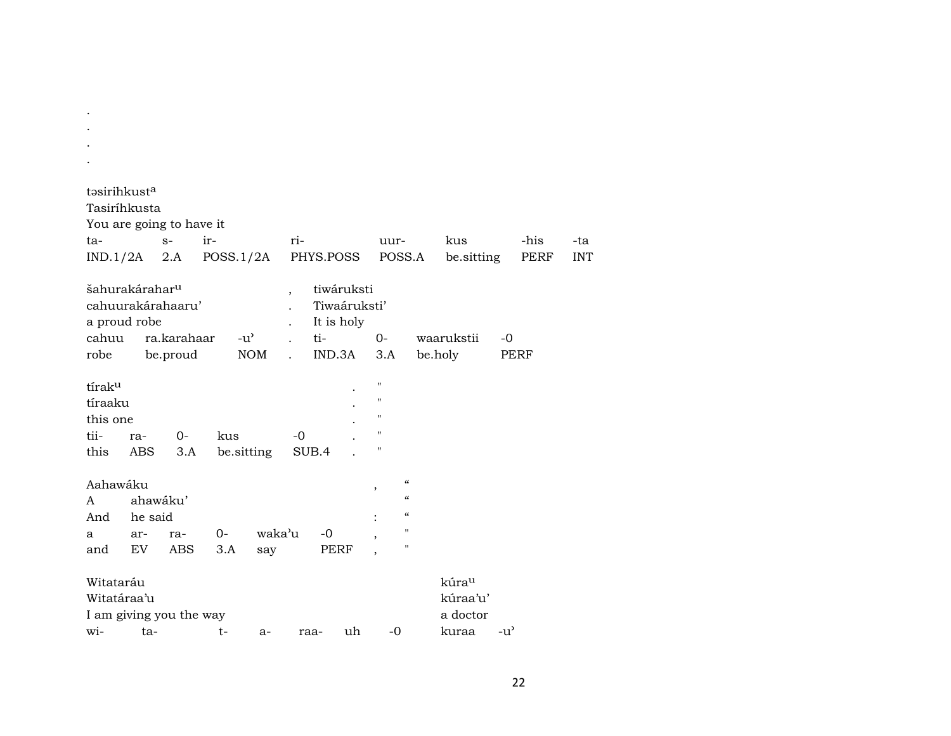| təsirihkust <sup>a</sup><br>Tasiríhkusta                        |                     |              |           |               |                          |       |                                          |                                                                                       |                                                                                        |                                           |               |      |            |
|-----------------------------------------------------------------|---------------------|--------------|-----------|---------------|--------------------------|-------|------------------------------------------|---------------------------------------------------------------------------------------|----------------------------------------------------------------------------------------|-------------------------------------------|---------------|------|------------|
| You are going to have it                                        |                     |              |           |               |                          |       |                                          |                                                                                       |                                                                                        |                                           |               |      |            |
| ta-                                                             |                     | $S-$         | ir-       |               | ri-                      |       |                                          | uur-                                                                                  |                                                                                        | kus                                       |               | -his | -ta        |
| IND.1/2A                                                        |                     | 2.A          | POSS.1/2A |               |                          |       | PHYS.POSS                                |                                                                                       | POSS.A                                                                                 | be sitting                                |               | PERF | <b>INT</b> |
| šahurakárahar <sup>u</sup><br>cahuurakárahaaru'<br>a proud robe |                     |              |           |               | $\overline{\phantom{a}}$ |       | tiwáruksti<br>Tiwaáruksti'<br>It is holy |                                                                                       |                                                                                        |                                           |               |      |            |
| cahuu                                                           |                     | ra.karahaar  |           | $-u^{\prime}$ | $\ddot{\phantom{a}}$     | ti-   |                                          | $O -$                                                                                 |                                                                                        | waarukstii                                | -0            |      |            |
| robe                                                            |                     | be.proud     |           | <b>NOM</b>    | $\ddot{\phantom{a}}$     |       | IND.3A                                   | 3.A                                                                                   |                                                                                        | be.holy                                   | PERF          |      |            |
| tírak <sup>u</sup><br>tíraaku<br>this one<br>tii-<br>this       | ra-<br>ABS          | $O -$<br>3.A | kus       | be sitting    | $-0$                     | SUB.4 |                                          | $\blacksquare$<br>$\pmb{\mathsf{H}}$<br>$\pmb{\mathsf{H}}$<br>$\pmb{\mathsf{H}}$<br>н |                                                                                        |                                           |               |      |            |
| Aahawáku<br>A<br>And                                            | ahawáku'<br>he said |              |           |               |                          |       |                                          | $\overline{\phantom{a}}$                                                              | $\boldsymbol{\mathcal{C}}$<br>$\boldsymbol{\mathcal{C}}$<br>$\boldsymbol{\mathcal{C}}$ |                                           |               |      |            |
| a                                                               | ar-                 | ra-          | 0-        | waka'u        |                          | $-0$  |                                          |                                                                                       | 11                                                                                     |                                           |               |      |            |
| and                                                             | EV                  | ABS          | 3.A       | say           |                          |       | PERF                                     |                                                                                       | "                                                                                      |                                           |               |      |            |
| Witataráu<br>Witatáraa'u<br>I am giving you the way             |                     |              |           |               |                          |       |                                          |                                                                                       |                                                                                        | kúra <sup>u</sup><br>kúraa'u'<br>a doctor |               |      |            |
| wi-                                                             | ta-                 |              | $t-$      | a-            |                          | raa-  | uh                                       | $-0$                                                                                  |                                                                                        | kuraa                                     | $-u^{\prime}$ |      |            |

. . .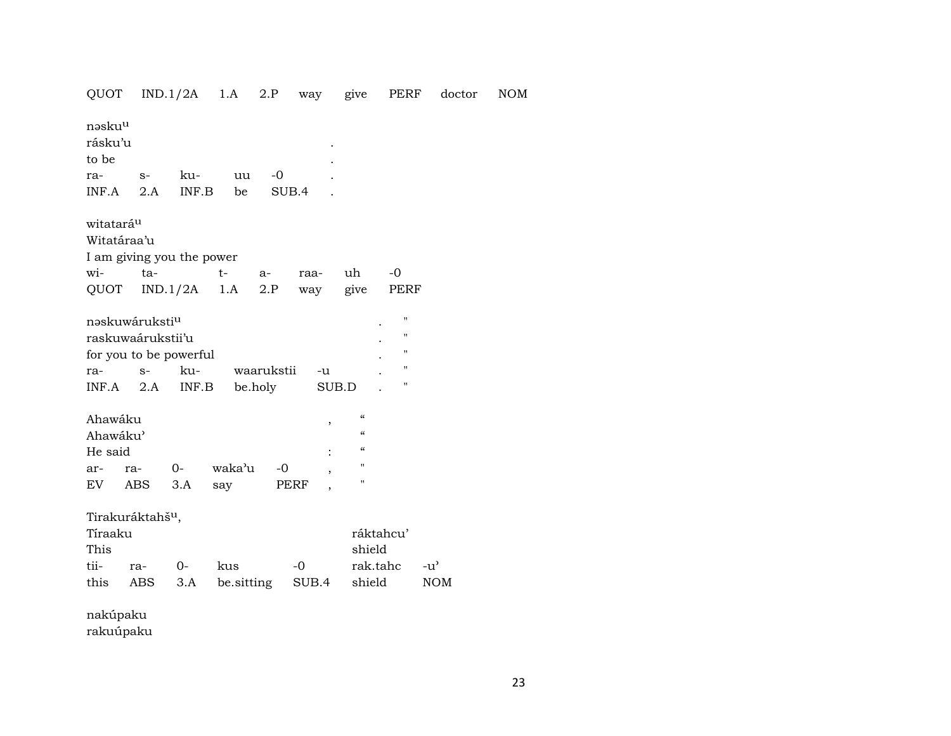| QUOT                                                                                      |             | $IND.1/2A$ 1.A |                   |                       | 2.P way give PERF |                                                     |                       | doctor                      | <b>NOM</b> |
|-------------------------------------------------------------------------------------------|-------------|----------------|-------------------|-----------------------|-------------------|-----------------------------------------------------|-----------------------|-----------------------------|------------|
| nəsku <sup>u</sup><br>rásku'u<br>to be<br>ra-                                             | $S-$        | ku-            | uu                | -0                    |                   |                                                     |                       |                             |            |
| INF.A                                                                                     | 2.A         | INF.B          | be                |                       | SUB.4             |                                                     |                       |                             |            |
| witatará <sup>u</sup><br>Witatáraa'u<br>I am giving you the power<br>wi-<br>QUOT          | ta-         | $IND.1/2A$ 1.A | $t-$              | a-<br>2.P             | raa-<br>way       | uh<br>give                                          | -0<br>PERF            |                             |            |
| naskuwáruksti <sup>u</sup><br>raskuwaárukstii'u<br>for you to be powerful<br>ra-<br>INF.A | $S-$<br>2.A | ku-<br>INF.B   |                   | waarukstii<br>be.holy | $-u$              | SUB.D                                               | п<br>н<br>п<br>п<br>н |                             |            |
| Ahawáku<br>Ahawáku'<br>He said<br>ar-<br>EV                                               | ra-<br>ABS  | $0-$<br>3.A    | waka'u<br>say     | $-0$                  | $\, ,$<br>PERF    | $\mathcal{C}$<br>$\epsilon$<br>$\epsilon$<br>п<br>п |                       |                             |            |
| Tirakuráktahš <sup>u</sup> ,<br>Tíraaku<br>This<br>tii-<br>this                           | ra-<br>ABS  | $O -$<br>3.A   | kus<br>be.sitting |                       | $-0$<br>SUB.4     | shield<br>rak.tahc<br>shield                        | ráktahcu'             | $-u^{\prime}$<br><b>NOM</b> |            |

nakúpaku rakuúpaku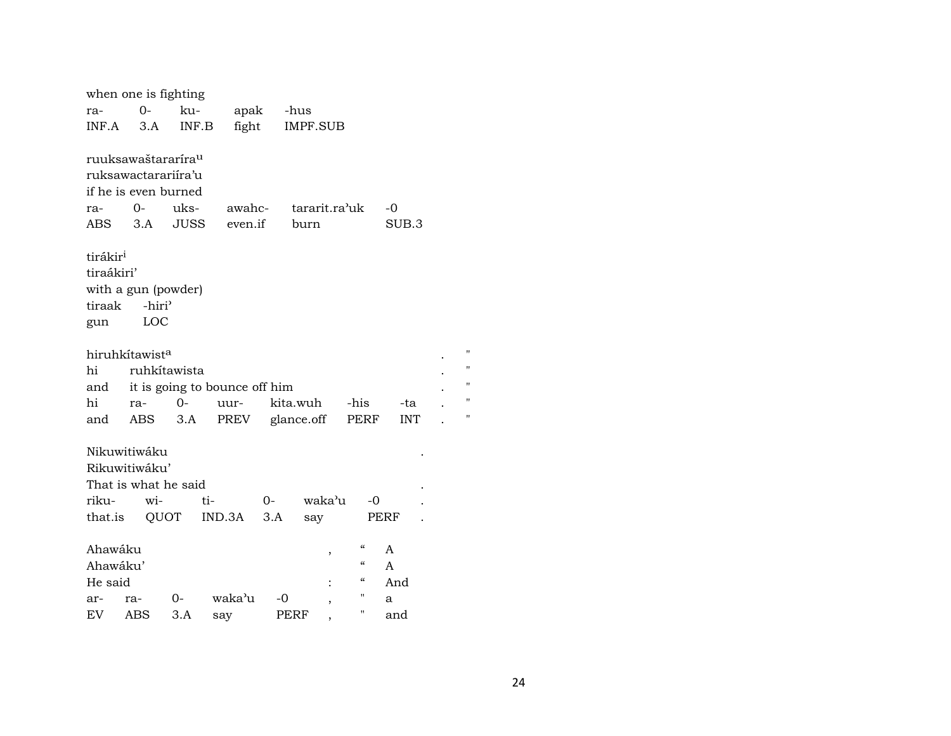|                      | when one is fighting           |                               |         |                 |               |            |                |
|----------------------|--------------------------------|-------------------------------|---------|-----------------|---------------|------------|----------------|
| ra-                  | $O -$                          | ku-                           |         | apak -hus       |               |            |                |
| INF.A                | 3.A                            | INF.B                         | fight   | <b>IMPF.SUB</b> |               |            |                |
|                      |                                |                               |         |                 |               |            |                |
|                      | ruuksawaštararíra <sup>u</sup> |                               |         |                 |               |            |                |
|                      | ruksawactarariira'u            |                               |         |                 |               |            |                |
|                      | if he is even burned           |                               |         |                 |               |            |                |
| ra-                  | $0-$                           | uks-                          | awahc-  |                 | tararit.ra'uk | -0         |                |
| ABS                  |                                | 3.A JUSS                      | even.if | burn            |               | SUB.3      |                |
|                      |                                |                               |         |                 |               |            |                |
| tirákir <sup>i</sup> |                                |                               |         |                 |               |            |                |
| tiraákiri'           |                                |                               |         |                 |               |            |                |
|                      | with a gun (powder)            |                               |         |                 |               |            |                |
| tiraak               | -hiri <sup>3</sup>             |                               |         |                 |               |            |                |
| gun                  | LOC                            |                               |         |                 |               |            |                |
|                      |                                |                               |         |                 |               |            |                |
|                      | hiruhkítawist <sup>a</sup>     |                               |         |                 |               |            | $\blacksquare$ |
| hi                   |                                | ruhkítawista                  |         |                 |               |            | $\blacksquare$ |
| and                  |                                | it is going to bounce off him |         |                 |               |            | $\blacksquare$ |
| hi                   | ra-                            | $0 -$                         | uur-    | kita.wuh        | -his          | -ta        | $\blacksquare$ |
| and                  | ABS                            | 3.A                           | PREV    | glance.off      | PERF          | <b>INT</b> | "              |
|                      |                                |                               |         |                 |               |            |                |
|                      | Nikuwitiwáku                   |                               |         |                 |               |            |                |
|                      | Rikuwitiwáku'                  |                               |         |                 |               |            |                |
|                      | That is what he said           |                               |         |                 |               |            |                |
| riku-                | wi-                            | ti-                           |         | 0-              | waka'u<br>-0  |            |                |
|                      |                                | that.is QUOT IND.3A           |         | 3.A<br>say      |               | PERF       |                |
|                      |                                |                               |         |                 |               |            |                |
| Ahawáku              |                                |                               |         |                 | $\alpha$<br>, | A          |                |
| Ahawáku'             |                                |                               |         |                 | $\epsilon$    | A          |                |
| He said              |                                |                               |         |                 | "             | And        |                |
| ar-                  | ra-                            | $0 -$                         | waka'u  | -0              | "             | a          |                |
| EV                   | ABS                            | 3.A                           | say     | PERF            | н<br>,        | and        |                |
|                      |                                |                               |         |                 |               |            |                |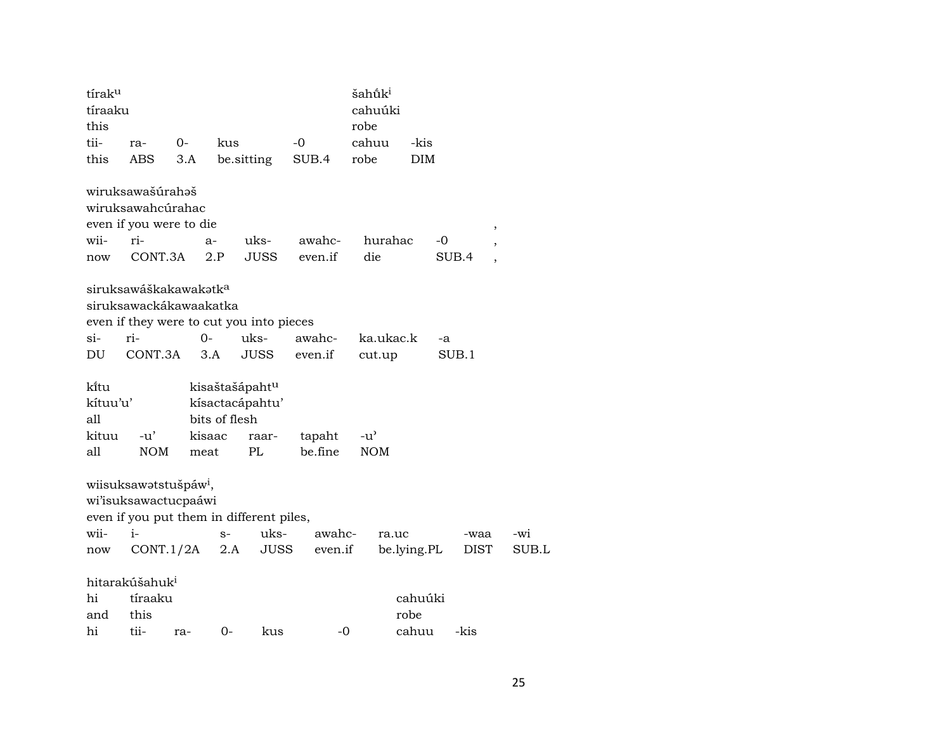| tíraku   |                                   |        |               |                                          |         | šahū́k <sup>i</sup> |             |             |                          |
|----------|-----------------------------------|--------|---------------|------------------------------------------|---------|---------------------|-------------|-------------|--------------------------|
| tíraaku  |                                   |        |               |                                          |         | cahuúki             |             |             |                          |
| this     |                                   |        |               |                                          |         | robe                |             |             |                          |
| tii-     | ra-                               | $0-$   | kus           |                                          | $-0$    | cahuu               | -kis        |             |                          |
| this     | <b>ABS</b>                        | 3.A    |               | be.sitting                               | SUB.4   | robe                | <b>DIM</b>  |             |                          |
|          | wiruksawašúrahaš                  |        |               |                                          |         |                     |             |             |                          |
|          | wiruksawahcúrahac                 |        |               |                                          |         |                     |             |             |                          |
|          | even if you were to die           |        |               |                                          |         |                     |             |             | ,                        |
| wii-     | ri-                               |        | $a-$          | uks-                                     | awahc-  | hurahac             | -0          |             |                          |
| now      | CONT.3A                           |        | 2.P           | <b>JUSS</b>                              | even.if | die                 |             | SUB.4       | $\overline{\phantom{a}}$ |
|          | siruksawáškakawakətk <sup>a</sup> |        |               |                                          |         |                     |             |             |                          |
|          | siruksawackákawaakatka            |        |               |                                          |         |                     |             |             |                          |
|          |                                   |        |               | even if they were to cut you into pieces |         |                     |             |             |                          |
| $\sin$   | ri-                               | $0-$   |               | uks-                                     | awahc-  | ka.ukac.k           | -a          |             |                          |
| DU       | CONT.3A                           |        | 3.A           | <b>JUSS</b>                              | even.if | cut.up              |             | SUB.1       |                          |
| ki̇̃tu   |                                   |        |               | kisaštašápaht <sup>u</sup>               |         |                     |             |             |                          |
| kítuu'u' |                                   |        |               | kísactacápahtu'                          |         |                     |             |             |                          |
| all      |                                   |        | bits of flesh |                                          |         |                     |             |             |                          |
| kituu    | $-u'$                             | kisaac |               | raar-                                    | tapaht  | $-u^{\prime}$       |             |             |                          |
| all      | <b>NOM</b>                        | meat   |               | PL                                       | be.fine | <b>NOM</b>          |             |             |                          |
|          |                                   |        |               |                                          |         |                     |             |             |                          |
|          | wiisuksawatstušpáw <sup>i</sup> , |        |               |                                          |         |                     |             |             |                          |
|          | wi'isuksawactucpaáwi              |        |               |                                          |         |                     |             |             |                          |
|          |                                   |        |               | even if you put them in different piles, |         |                     |             |             |                          |
| wii-     | $i-$                              |        | $S-$          | uks-                                     | awahc-  | ra.uc               |             | -waa        | -wi                      |
| now      | CONT.1/2A                         |        | 2.A           | JUSS                                     | even.if |                     | be.lying.PL | <b>DIST</b> | SUB.L                    |
|          | hitarakúšahuk <sup>i</sup>        |        |               |                                          |         |                     |             |             |                          |
| hi       | tíraaku                           |        |               |                                          |         |                     | cahuúki     |             |                          |
| and      | this                              |        |               |                                          |         |                     | robe        |             |                          |
| hi       | tii-                              | ra-    | $0-$          | kus                                      | $-0$    |                     | cahuu       | -kis        |                          |
|          |                                   |        |               |                                          |         |                     |             |             |                          |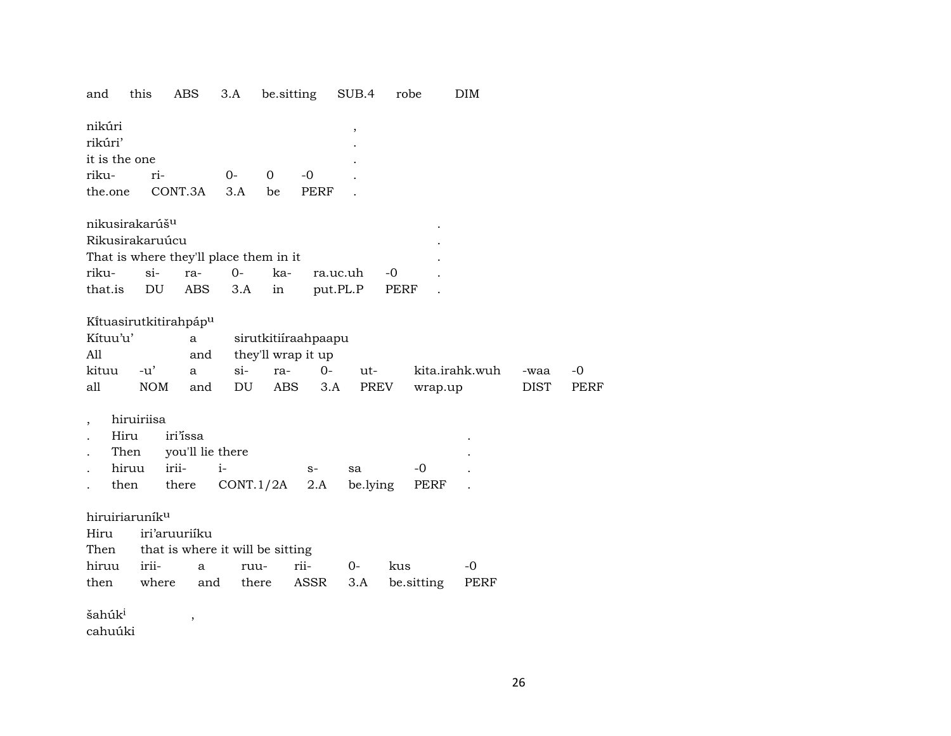and this ABS 3.A be.sitting SUB.4 robe DIM

| nikúri        |                     |      |               |      |           |  |
|---------------|---------------------|------|---------------|------|-----------|--|
| rikúri'       |                     |      |               |      | $\bullet$ |  |
| it is the one |                     |      |               |      | ٠         |  |
| riku-         | $ri-$               | $O-$ | $\Omega$      | -0   |           |  |
|               | the.one CONT.3A 3.A |      | <sub>be</sub> | PERF |           |  |
|               |                     |      |               |      |           |  |

|  | nikusirakarúš <sup>u</sup><br>Rikusirakaruúcu |  | That is where they'll place them in it | riku- si- ra- 0- ka- ra.uc.uh -0<br>that.is DU ABS 3.A in put.PL.P PERF |
|--|-----------------------------------------------|--|----------------------------------------|-------------------------------------------------------------------------|

### Kítuasirutkitirahpáp<sup>u</sup>

| Kítuu'u' |     | a | sirutkitiíraahpaapu    |                      |                |             |       |
|----------|-----|---|------------------------|----------------------|----------------|-------------|-------|
| All      |     |   | and they'll wrap it up |                      |                |             |       |
| kituu    |     |   |                        | -u' a si- ra- 0- ut- | kita.irahk.wuh | -waa        | $-()$ |
| all      | NOM |   |                        | and DU ABS 3.A PREV  | wrap.up        | <b>DIST</b> | PERF  |

, hiruiriisa

| . Hiru iri'issa         |                                          |      |       |  |
|-------------------------|------------------------------------------|------|-------|--|
| . Then you'll lie there |                                          |      |       |  |
| . hiruu irii-  i-       |                                          | $S-$ | sa -0 |  |
|                         | then there $CONT.1/2A$ 2.A belying PERF. |      |       |  |

#### hiruiriaruník $^u$

| Hiru iri'aruuriiku                    |  |  |                                               |  |
|---------------------------------------|--|--|-----------------------------------------------|--|
| Then that is where it will be sitting |  |  |                                               |  |
|                                       |  |  | hiruu irii-  a  ruu-  rii-  0-  kus  -0       |  |
|                                       |  |  | then where and there ASSR 3.A be.sitting PERF |  |

šahúk<br/> $\hspace{1.6cm} , \hspace{1.6cm}$ 

cahuúki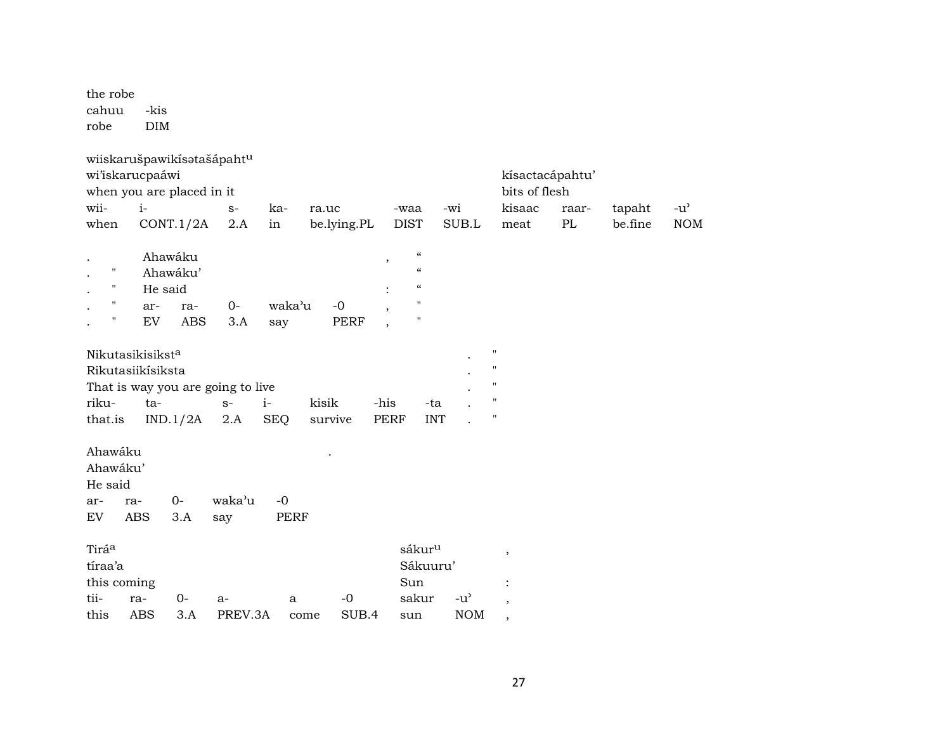the robe cahuu -kis robe DIM

|             | wiiskarušpawikísatašápahtu        |         |             |             |                          |                            |                                     |                          |       |         |               |
|-------------|-----------------------------------|---------|-------------|-------------|--------------------------|----------------------------|-------------------------------------|--------------------------|-------|---------|---------------|
|             | wi'iskarucpaáwi                   |         |             |             |                          |                            |                                     | kísactacápahtu'          |       |         |               |
|             | when you are placed in it         |         |             |             |                          |                            |                                     | bits of flesh            |       |         |               |
| wii-        | $i-$                              | $S-$    | ka-         | ra.uc       | -waa                     |                            | -wi                                 | kisaac                   | raar- | tapaht  | $-u^{\prime}$ |
| when        | CONT.1/2A                         | 2.A     | in          | be.lying.PL | <b>DIST</b>              |                            | SUB.L                               | meat                     | PL    | be.fine | <b>NOM</b>    |
|             |                                   |         |             |             |                          |                            |                                     |                          |       |         |               |
|             | Ahawáku                           |         |             |             | $^\mathrm{^\mathrm{o}}$  | $\epsilon\epsilon$         |                                     |                          |       |         |               |
| н           | Ahawáku'                          |         |             |             |                          | $\boldsymbol{\mathcal{C}}$ |                                     |                          |       |         |               |
| н           | He said                           |         |             |             |                          | $\boldsymbol{\mathcal{C}}$ |                                     |                          |       |         |               |
|             | ar-<br>ra-                        | $0-$    | waka'u      | $-0$        | $\cdot$                  | 11                         |                                     |                          |       |         |               |
| н           | EV<br><b>ABS</b>                  | 3.A     | say         | <b>PERF</b> | $\overline{\phantom{a}}$ | "                          |                                     |                          |       |         |               |
|             |                                   |         |             |             |                          |                            |                                     |                          |       |         |               |
|             | Nikutasikisiksta                  |         |             |             |                          |                            |                                     | $\pmb{\mathsf{H}}$       |       |         |               |
|             | Rikutasiikísiksta                 |         |             |             |                          |                            |                                     | $\pmb{\mathsf{H}}$       |       |         |               |
|             | That is way you are going to live |         |             |             |                          |                            |                                     | "                        |       |         |               |
| riku-       | ta-                               | $S-$    | $i-$        | kisik       | -his                     | -ta                        |                                     | $\pmb{\mathsf{H}}$       |       |         |               |
| that.is     | IND.1/2A                          | 2.A     | <b>SEQ</b>  | survive     | <b>PERF</b>              | <b>INT</b>                 |                                     | $\pmb{\mathsf{H}}$       |       |         |               |
|             |                                   |         |             |             |                          |                            |                                     |                          |       |         |               |
| Ahawáku     |                                   |         |             |             |                          |                            |                                     |                          |       |         |               |
| Ahawáku'    |                                   |         |             |             |                          |                            |                                     |                          |       |         |               |
| He said     |                                   |         |             |             |                          |                            |                                     |                          |       |         |               |
|             |                                   |         |             |             |                          |                            |                                     |                          |       |         |               |
| ar-         | $0-$<br>ra-                       | waka'u  | $-0$        |             |                          |                            |                                     |                          |       |         |               |
| EV          | <b>ABS</b><br>3.A                 | say     | <b>PERF</b> |             |                          |                            |                                     |                          |       |         |               |
|             |                                   |         |             |             |                          |                            |                                     |                          |       |         |               |
| Tiráa       |                                   |         |             |             |                          | sákur <sup>u</sup>         |                                     | $\overline{\phantom{a}}$ |       |         |               |
| tíraa'a     |                                   |         |             |             |                          | Sákuuru'                   |                                     |                          |       |         |               |
| this coming |                                   |         |             |             |                          | Sun                        |                                     |                          |       |         |               |
| tii-        | $0-$<br>ra-                       | $a-$    | a           | $-0$        |                          | sakur                      | $-u$ <sup><math>\prime</math></sup> | $\overline{\phantom{a}}$ |       |         |               |
| this        | <b>ABS</b><br>3.A                 | PREV.3A | come        | SUB.4       |                          | sun                        | <b>NOM</b>                          | $\cdot$                  |       |         |               |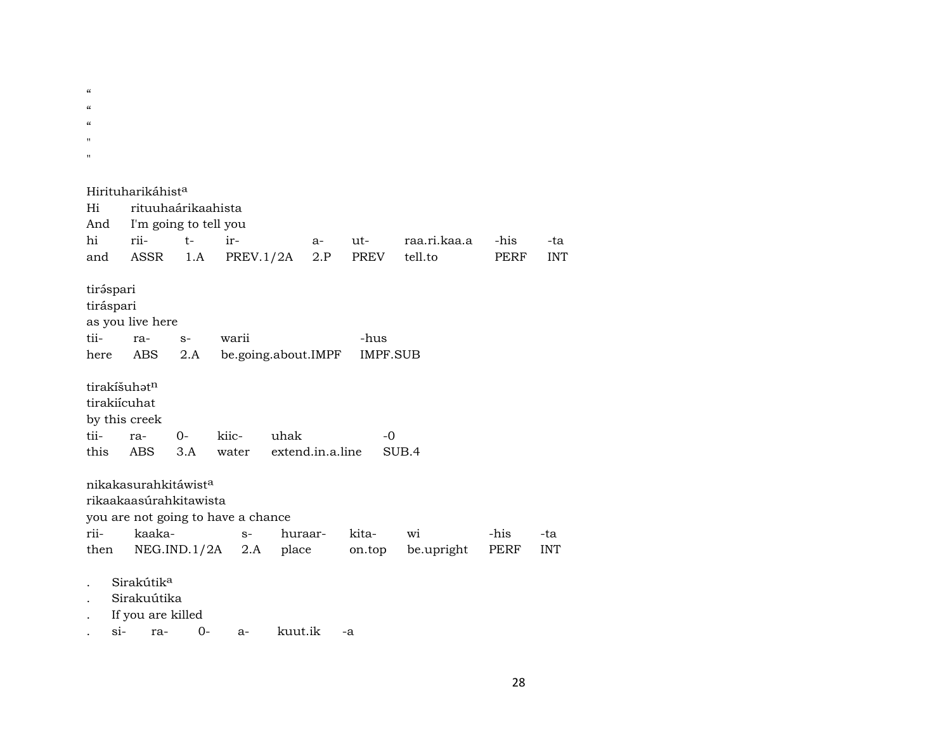$\alpha$  $\alpha$  $\alpha$ " " Hirituharikáhist<sup>a</sup> Hi rituuhaárikaahista And I'm going to tell you hi rii- t- ir- a- ut- raa.ri.kaa.a -his -ta and ASSR 1.A PREV.1/2A 2.P PREV tell.to PERF INT tiráspari tiráspari as you live here tii- ra- s- warii -hus here ABS 2.A be.going.about.IMPF IMPF.SUB tirakíšuh $\mathfrak{t}^n$ tirakiícuhat by this creek tii- ra- 0- kiic- uhak -0 this ABS 3.A water extend.in.a.line SUB.4 nikakasurahkitáwist<sup>a</sup> rikaakaasúrahkitawista you are not going to have a chance rii- kaaka- s- huraar- kita- wi -his -ta then NEG.IND.1/2A 2.A place on.top be.upright PERF INT Sirakútik<sup>a</sup> . Sirakuútika . If you are killed . si- ra- 0- a- kuut.ik -a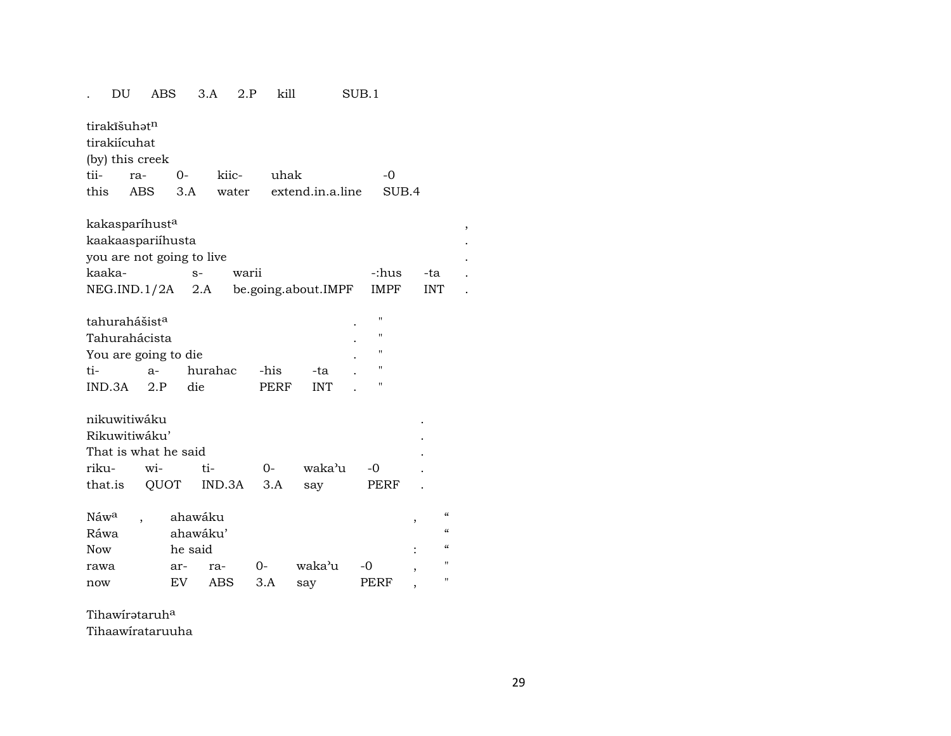#### . DU ABS 3.A 2.P kill SUB.1

tirakîšuh $\mathfrak{t}^n$ 

tirakiícuhat

(by) this creek

|  | tii- ra- 0- kiic- uhak |                                           | $\overline{a}$ |
|--|------------------------|-------------------------------------------|----------------|
|  |                        | this ABS 3.A water extend.in.a.line SUB.4 |                |

| kaakaaspariíhusta         |                     |       |             |  |
|---------------------------|---------------------|-------|-------------|--|
| you are not going to live |                     |       |             |  |
|                           | warii               | -:hus | -ta         |  |
| NEG.ID.1/2A 2.A           | be.going.about.IMPF |       | <b>INT</b>  |  |
|                           |                     |       | <b>IMPF</b> |  |

| tahurahášist <sup>a</sup> |       |           |      |     | $\bullet$ | п |
|---------------------------|-------|-----------|------|-----|-----------|---|
| Tahurahácista             |       | $\bullet$ | п    |     |           |   |
| You are going to die      | ٠     | п         |      |     |           |   |
| ti-                       | $a -$ | hurahac   | -his | -ta |           | " |
| IND.3A                    | 2P    | die       | PERF | INT |           |   |

| nikuwitiwáku         |  |                         |  |           |      |  |  |  |  |  |
|----------------------|--|-------------------------|--|-----------|------|--|--|--|--|--|
| Rikuwitiwáku'        |  |                         |  |           |      |  |  |  |  |  |
| That is what he said |  |                         |  |           |      |  |  |  |  |  |
|                      |  | riku- wi- ti- 0-        |  | waka'u -0 |      |  |  |  |  |  |
|                      |  | that.is QUOT IND.3A 3.A |  | sav       | PERF |  |  |  |  |  |

| Náw <sup>a</sup> | ahawáku |          |       |        |      |   | $\epsilon$        |  |  |  |
|------------------|---------|----------|-------|--------|------|---|-------------------|--|--|--|
| Ráwa             |         | ahawáku' |       |        |      |   |                   |  |  |  |
| Now              | he said |          |       |        |      | ٠ | $\epsilon$        |  |  |  |
| rawa             | ar-     | ra-      | $O -$ | waka'u | $-0$ |   | $^{\prime\prime}$ |  |  |  |
| now              | EV      | ABS      | 3.A   | sav    | PERF |   | $^{\prime\prime}$ |  |  |  |

Tihawírataruh<sup>a</sup>

Tihaawírataruuha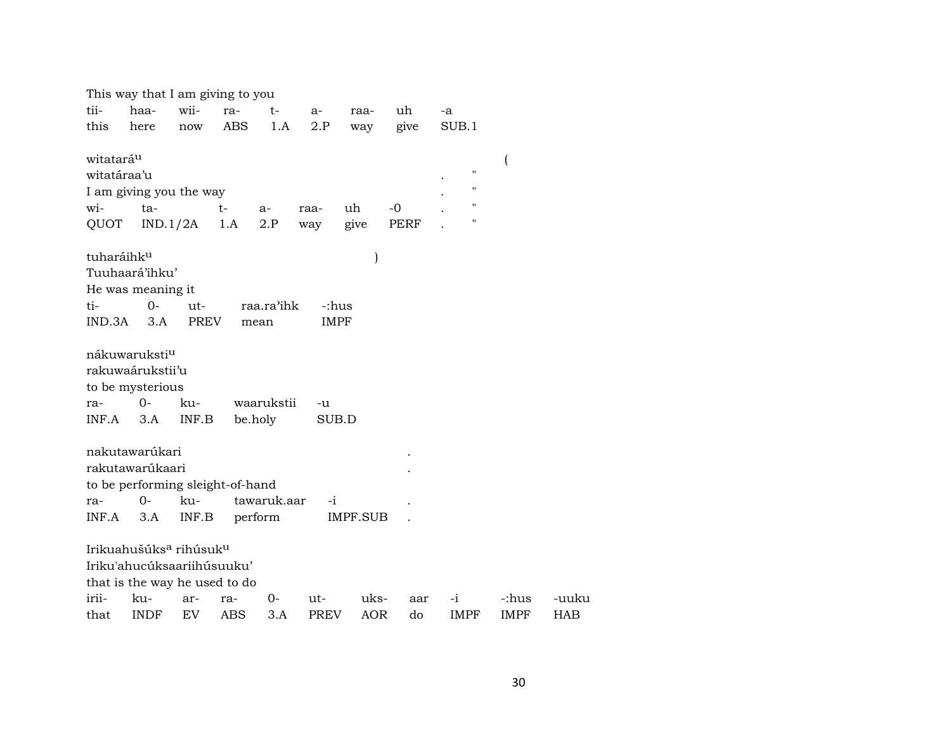|                       | This way that I am giving to you               |          |            |             |             |            |      |             |                                      |            |
|-----------------------|------------------------------------------------|----------|------------|-------------|-------------|------------|------|-------------|--------------------------------------|------------|
| tii-                  | haa-                                           | wii-     | ra-        | $t-$        | a-          | raa-       | uh   | -a          |                                      |            |
| this                  | here                                           | now      | ABS        | 1.A         | 2.P         | way        | give | SUB.1       |                                      |            |
|                       |                                                |          |            |             |             |            |      |             |                                      |            |
| witatará <sup>u</sup> |                                                |          |            |             |             |            |      |             | $\overline{(}$<br>$\pmb{\mathsf{H}}$ |            |
| witatáraa'u           |                                                |          |            |             |             |            |      |             |                                      |            |
|                       | I am giving you the way                        |          |            |             |             |            |      |             | $\pmb{\mathsf{H}}$                   |            |
| wi-                   | ta-                                            |          | $t-$       | a-          | raa-        | uh         | -0   |             | $\pmb{\mathsf{H}}$                   |            |
| QUOT                  |                                                | IND.1/2A | 1.A        | 2.P         | way         | give       | PERF |             | $\pmb{\mathsf{H}}$                   |            |
| tuharáihku            |                                                |          |            |             |             |            |      |             |                                      |            |
|                       | Tuuhaará'ihku'                                 |          |            |             |             |            |      |             |                                      |            |
|                       | He was meaning it                              |          |            |             |             |            |      |             |                                      |            |
| ti-                   | $0 -$                                          | ut-      |            | raa.ra'ihk  | -:hus       |            |      |             |                                      |            |
| IND.3A                | 3.A                                            | PREV     |            | mean        | <b>IMPF</b> |            |      |             |                                      |            |
|                       |                                                |          |            |             |             |            |      |             |                                      |            |
|                       | nákuwaruksti <sup>u</sup>                      |          |            |             |             |            |      |             |                                      |            |
|                       | rakuwaárukstii'u                               |          |            |             |             |            |      |             |                                      |            |
|                       | to be mysterious                               |          |            |             |             |            |      |             |                                      |            |
| ra-                   | 0-                                             | ku-      |            | waarukstii  | $-u$        |            |      |             |                                      |            |
| INF.A                 | 3.A                                            | INF.B    |            | be.holy     | SUB.D       |            |      |             |                                      |            |
|                       |                                                |          |            |             |             |            |      |             |                                      |            |
|                       | nakutawarúkari                                 |          |            |             |             |            |      |             |                                      |            |
|                       | rakutawarúkaari                                |          |            |             |             |            |      |             |                                      |            |
|                       | to be performing sleight-of-hand               |          |            |             |             |            |      |             |                                      |            |
| ra-                   | $O -$                                          | ku-      |            | tawaruk.aar | $-i$        |            |      |             |                                      |            |
|                       |                                                |          |            |             |             |            |      |             |                                      |            |
| INF.A                 | 3.A                                            | INF.B    |            | perform     |             | IMPF.SUB   |      |             |                                      |            |
|                       | Irikuahušúks <sup>a</sup> rihúsuk <sup>u</sup> |          |            |             |             |            |      |             |                                      |            |
|                       | Iriku'ahucúksaariihúsuuku'                     |          |            |             |             |            |      |             |                                      |            |
|                       | that is the way he used to do                  |          |            |             |             |            |      |             |                                      |            |
| irii-                 | ku-                                            | ar-      | ra-        | 0-          | ut-         | uks-       | aar  | $-i$        | -:hus                                | -uuku      |
| that                  | <b>INDF</b>                                    | EV       | <b>ABS</b> | 3.A         | <b>PREV</b> | <b>AOR</b> | do   | <b>IMPF</b> | <b>IMPF</b>                          | <b>HAB</b> |
|                       |                                                |          |            |             |             |            |      |             |                                      |            |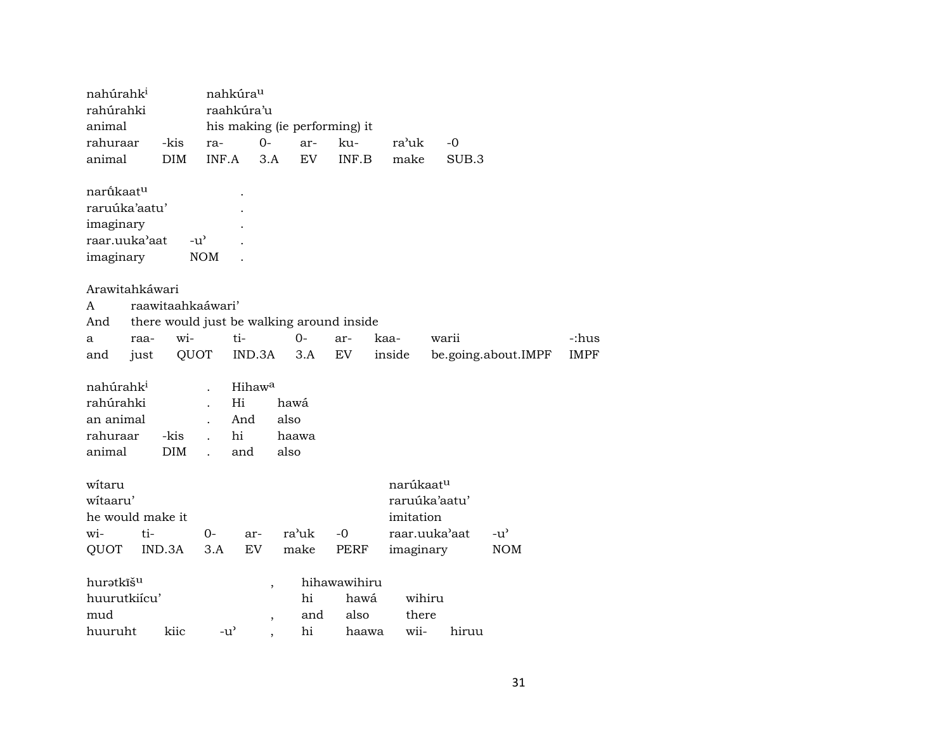| nahúrahk <sup>i</sup>                   |                   | nahkúra <sup>u</sup>                      |                          |       |                               |           |               |                     |             |
|-----------------------------------------|-------------------|-------------------------------------------|--------------------------|-------|-------------------------------|-----------|---------------|---------------------|-------------|
| rahúrahki                               |                   | raahkúra'u                                |                          |       |                               |           |               |                     |             |
| animal                                  |                   |                                           |                          |       | his making (ie performing) it |           |               |                     |             |
| rahuraar                                | -kis              | ra-                                       | $0-$                     | ar-   | ku-                           | ra'uk     | $-0$          |                     |             |
| animal                                  | <b>DIM</b>        | INF.A                                     | 3.A                      | EV    | INF.B                         | make      | SUB.3         |                     |             |
| narū́kaat <sup>u</sup><br>raruúka'aatu' |                   |                                           |                          |       |                               |           |               |                     |             |
| imaginary                               |                   |                                           |                          |       |                               |           |               |                     |             |
| raar.uuka'aat                           | -u'               |                                           |                          |       |                               |           |               |                     |             |
| imaginary                               |                   | <b>NOM</b>                                |                          |       |                               |           |               |                     |             |
|                                         |                   |                                           |                          |       |                               |           |               |                     |             |
| Arawitahkáwari                          |                   |                                           |                          |       |                               |           |               |                     |             |
| A                                       | raawitaahkaáwari' |                                           |                          |       |                               |           |               |                     |             |
| And                                     |                   | there would just be walking around inside |                          |       |                               |           |               |                     |             |
| raa-<br>a                               | wi-               | ti-                                       |                          | $0-$  | ar-                           | kaa-      | warii         |                     | -:hus       |
| just<br>and                             | QUOT              |                                           | IND.3A                   | 3.A   | EV                            | inside    |               | be.going.about.IMPF | <b>IMPF</b> |
|                                         |                   |                                           |                          |       |                               |           |               |                     |             |
| nahúrahk <sup>i</sup>                   |                   |                                           | Hihaw <sup>a</sup>       |       |                               |           |               |                     |             |
| rahúrahki                               |                   | Hi                                        |                          | hawá  |                               |           |               |                     |             |
| an animal                               |                   | And                                       |                          | also  |                               |           |               |                     |             |
| rahuraar                                | -kis              | hi                                        |                          | haawa |                               |           |               |                     |             |
| animal                                  | DIM               | and                                       |                          | also  |                               |           |               |                     |             |
|                                         |                   |                                           |                          |       |                               |           |               |                     |             |
| witaru                                  |                   |                                           |                          |       |                               | narúkaatu |               |                     |             |
| witaaru'                                |                   |                                           |                          |       |                               |           | raruúka'aatu' |                     |             |
| he would make it                        |                   |                                           |                          |       |                               | imitation |               |                     |             |
| wi-<br>ti-                              |                   | $0-$                                      | ar-                      | ra'uk | $-0$                          |           | raar.uuka'aat | $-u^{\prime}$       |             |
| QUOT                                    | IND.3A            | 3.A                                       | EV                       | make  | PERF                          | imaginary |               | <b>NOM</b>          |             |
| huratkīš <sup>u</sup>                   |                   |                                           |                          |       | hihawawihiru                  |           |               |                     |             |
| huurutkiícu'                            |                   |                                           | $\overline{\phantom{a}}$ | hi    | hawá                          | wihiru    |               |                     |             |
| mud                                     |                   |                                           |                          | and   | also                          | there     |               |                     |             |
| huuruht                                 | kiic              | $-u^{\prime}$                             | $\overline{\phantom{a}}$ | hi    | haawa                         | wii-      | hiruu         |                     |             |
|                                         |                   |                                           |                          |       |                               |           |               |                     |             |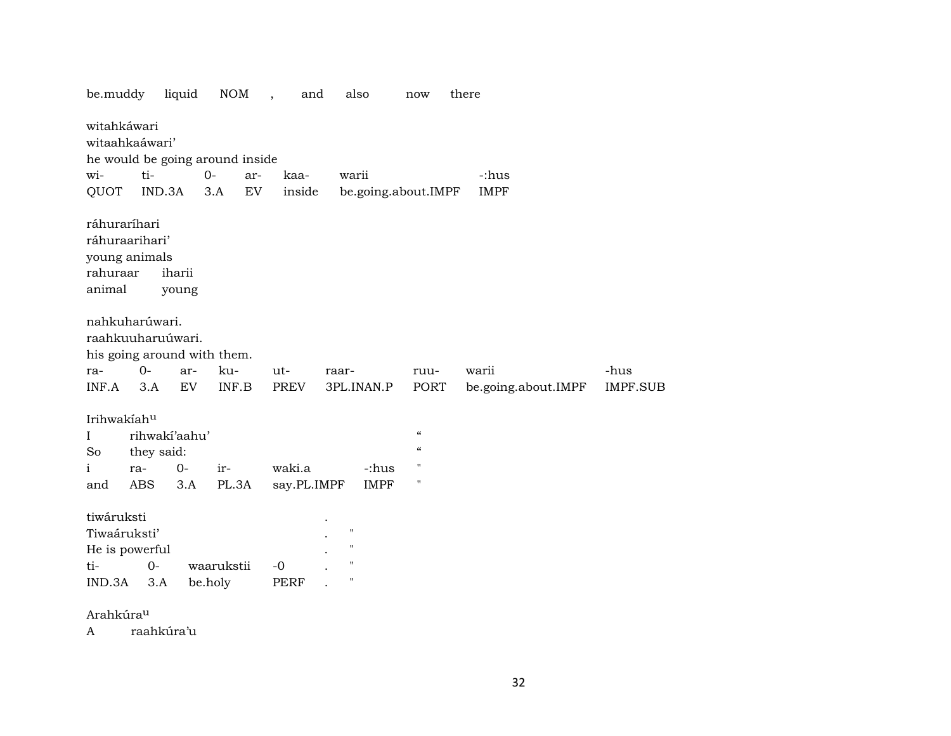| be.muddy                                                                   |                                 | liquid                       | <b>NOM</b>                                                           | and<br>$\overline{\phantom{a}}$ | also                                                                                  | now                                                                     | there                        |                         |
|----------------------------------------------------------------------------|---------------------------------|------------------------------|----------------------------------------------------------------------|---------------------------------|---------------------------------------------------------------------------------------|-------------------------------------------------------------------------|------------------------------|-------------------------|
| witahkáwari<br>witaahkaáwari'<br>wi-<br>QUOT                               | ti-<br>IND.3A                   |                              | he would be going around inside<br>$O -$<br>ar-<br>${\rm EV}$<br>3.A | kaa-<br>inside                  | warii                                                                                 | be.going.about.IMPF                                                     | -:hus<br><b>IMPF</b>         |                         |
| ráhuraríhari<br>ráhuraarihari'<br>young animals<br>rahuraar<br>animal      |                                 | iharii<br>young              |                                                                      |                                 |                                                                                       |                                                                         |                              |                         |
| nahkuharúwari.<br>raahkuuharuúwari.<br>ra-<br>INF.A                        | $O -$<br>3.A                    | ar-<br>EV                    | his going around with them.<br>ku-<br>INF.B                          | $ut -$<br>PREV                  | raar-<br>3PL.INAN.P                                                                   | ruu-<br>PORT                                                            | warii<br>be.going.about.IMPF | -hus<br><b>IMPF.SUB</b> |
| Irihwakíahu<br>$\bf{I}$<br>So<br>$\mathbf{i}$<br>and                       | they said:<br>ra-<br><b>ABS</b> | rihwakí'aahu'<br>$0-$<br>3.A | ir-<br>PL.3A                                                         | waki.a<br>say.PL.IMPF           | -:hus<br><b>IMPF</b>                                                                  | $\boldsymbol{\zeta}\boldsymbol{\zeta}$<br>$\epsilon\epsilon$<br>н<br>11 |                              |                         |
| tiwáruksti<br>Tiwaáruksti'<br>He is powerful<br>ti-<br>IND.3A<br>Arahkúrau | $0-$<br>3.A                     |                              | waarukstii<br>be.holy                                                | $-0$<br>PERF                    | $\pmb{\mathsf{H}}$<br>$\mathsf{H}$<br>$\pmb{\mathsf{H}}$<br>$\boldsymbol{\mathsf{H}}$ |                                                                         |                              |                         |
|                                                                            |                                 |                              |                                                                      |                                 |                                                                                       |                                                                         |                              |                         |

A raahkúra'u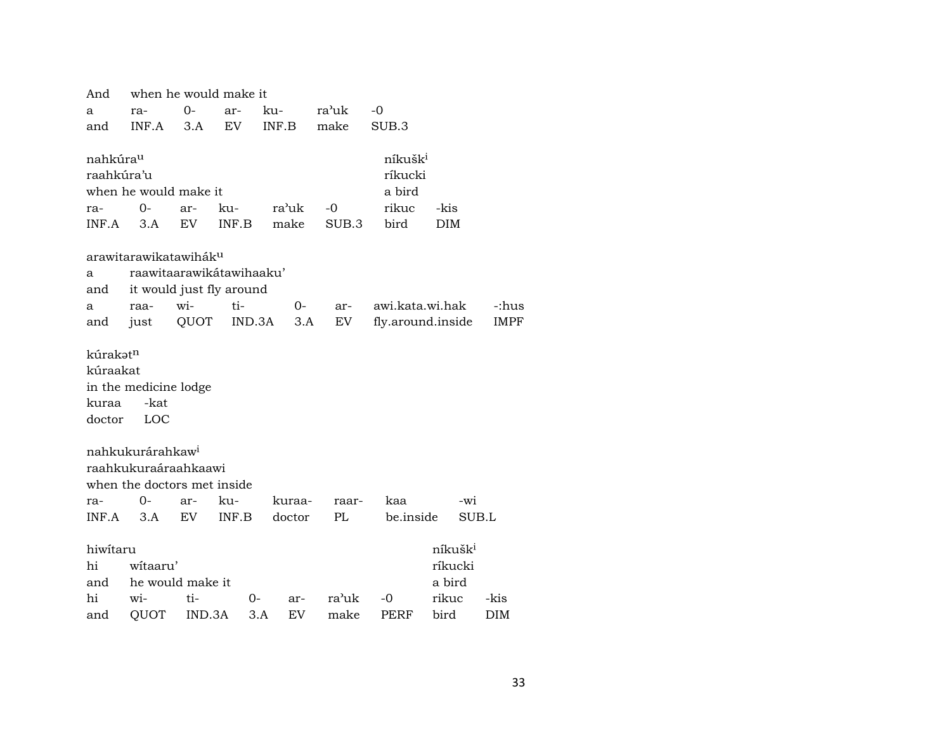| And                  | when he would make it             |        |        |           |       |                     |                     |             |  |  |  |
|----------------------|-----------------------------------|--------|--------|-----------|-------|---------------------|---------------------|-------------|--|--|--|
| a                    | ra-                               | $0 -$  | ar-    | ku-       | ra'uk | $-0$                |                     |             |  |  |  |
| and                  | INF.A                             | 3.A    | EV     | INF.B     | make  | SUB.3               |                     |             |  |  |  |
|                      |                                   |        |        |           |       |                     |                     |             |  |  |  |
| nahkúra <sup>u</sup> |                                   |        |        |           |       | níkušk <sup>i</sup> |                     |             |  |  |  |
| raahkúra'u           |                                   |        |        |           |       | ríkucki             |                     |             |  |  |  |
|                      | when he would make it             |        |        |           |       | a bird              |                     |             |  |  |  |
| ra-                  | 0-                                | ar-    | ku-    | ra'uk     | -0    | rikuc               | -kis                |             |  |  |  |
| INF.A                | 3.A                               | EV     | INF.B  | make      | SUB.3 | bird                | <b>DIM</b>          |             |  |  |  |
|                      |                                   |        |        |           |       |                     |                     |             |  |  |  |
|                      | arawitarawikatawihák <sup>u</sup> |        |        |           |       |                     |                     |             |  |  |  |
| a                    | raawitaarawikátawihaaku'          |        |        |           |       |                     |                     |             |  |  |  |
| and                  | it would just fly around          |        |        |           |       |                     |                     |             |  |  |  |
| a                    | raa-                              | wi-    | ti-    | $0-$      | ar-   | awi.kata.wi.hak     |                     | -:hus       |  |  |  |
| and                  | just                              | QUOT   | IND.3A | 3.A       | EV    | fly.around.inside   |                     | <b>IMPF</b> |  |  |  |
|                      |                                   |        |        |           |       |                     |                     |             |  |  |  |
| kúrakatn             |                                   |        |        |           |       |                     |                     |             |  |  |  |
| kúraakat             |                                   |        |        |           |       |                     |                     |             |  |  |  |
|                      | in the medicine lodge             |        |        |           |       |                     |                     |             |  |  |  |
| kuraa                | -kat                              |        |        |           |       |                     |                     |             |  |  |  |
| doctor               | LOC                               |        |        |           |       |                     |                     |             |  |  |  |
|                      |                                   |        |        |           |       |                     |                     |             |  |  |  |
|                      | nahkukurárahkaw <sup>i</sup>      |        |        |           |       |                     |                     |             |  |  |  |
|                      | raahkukuraáraahkaawi              |        |        |           |       |                     |                     |             |  |  |  |
|                      | when the doctors met inside       |        |        |           |       |                     |                     |             |  |  |  |
| ra-                  | 0-                                | ar-    | ku-    | kuraa-    | raar- | kaa                 | -wi                 |             |  |  |  |
| INF.A                | 3.A                               | EV.    | INF.B  | doctor    | PL    | be.inside           | SUB.L               |             |  |  |  |
|                      |                                   |        |        |           |       |                     |                     |             |  |  |  |
| hiwitaru             |                                   |        |        |           |       |                     | níkušk <sup>i</sup> |             |  |  |  |
| hi                   | witaaru'                          |        |        |           |       |                     | ríkucki             |             |  |  |  |
| and                  | he would make it                  |        |        |           |       |                     | a bird              |             |  |  |  |
| hi                   | wi-                               | ti-    | 0-     | ar-       | ra'uk | -0                  | rikuc               | -kis        |  |  |  |
| and                  | QUOT                              | IND.3A |        | 3.A<br>EV | make  | PERF                | bird                | DIM         |  |  |  |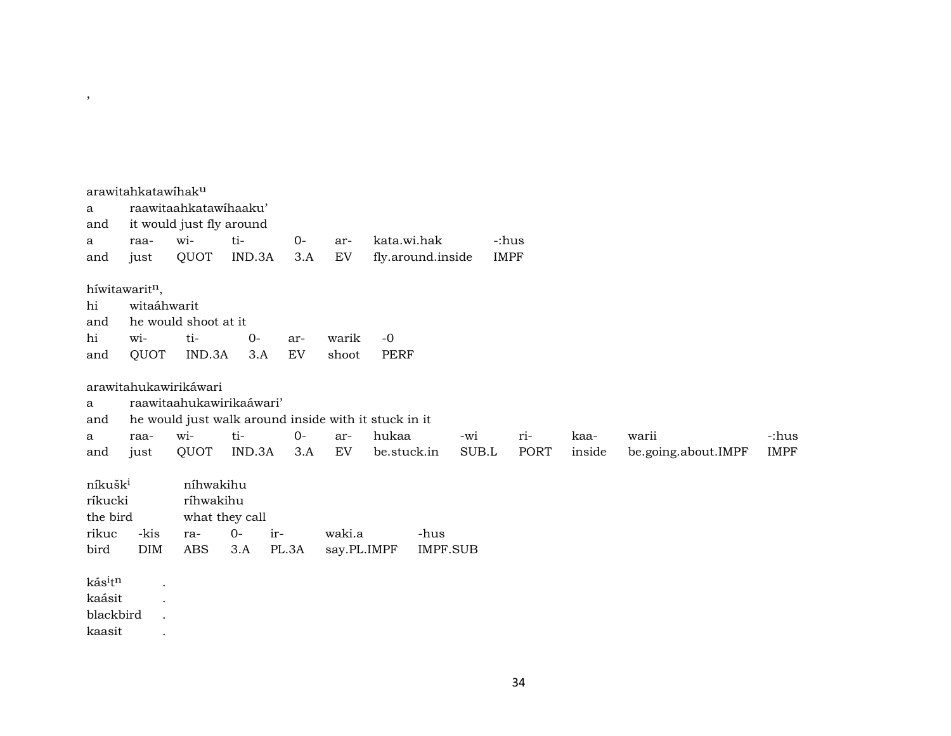|                     | arawitahkatawihaku         |                          |                                                      |       |             |                   |                 |       |             |        |                     |             |
|---------------------|----------------------------|--------------------------|------------------------------------------------------|-------|-------------|-------------------|-----------------|-------|-------------|--------|---------------------|-------------|
| a                   |                            | raawitaahkatawihaaku'    |                                                      |       |             |                   |                 |       |             |        |                     |             |
| and                 |                            | it would just fly around |                                                      |       |             |                   |                 |       |             |        |                     |             |
| a                   | raa-                       | wi-                      | ti-                                                  | $0-$  | ar-         | kata.wi.hak       |                 |       | -:hus       |        |                     |             |
| and                 | just                       | QUOT                     | IND.3A                                               | 3.A   | EV          | fly.around.inside |                 |       | <b>IMPF</b> |        |                     |             |
|                     | híwitawarit <sup>n</sup> , |                          |                                                      |       |             |                   |                 |       |             |        |                     |             |
| hi                  | witaáhwarit                |                          |                                                      |       |             |                   |                 |       |             |        |                     |             |
| and                 |                            | he would shoot at it     |                                                      |       |             |                   |                 |       |             |        |                     |             |
| hi                  | wi-                        | ti-                      | $0-$                                                 | ar-   | warik       | $-0$              |                 |       |             |        |                     |             |
| and                 | QUOT                       | IND.3A                   | 3.A                                                  | EV    | shoot       | <b>PERF</b>       |                 |       |             |        |                     |             |
|                     |                            |                          |                                                      |       |             |                   |                 |       |             |        |                     |             |
|                     |                            | arawitahukawirikáwari    |                                                      |       |             |                   |                 |       |             |        |                     |             |
| a                   |                            |                          | raawitaahukawirikaáwari'                             |       |             |                   |                 |       |             |        |                     |             |
| and                 |                            |                          | he would just walk around inside with it stuck in it |       |             |                   |                 |       |             |        |                     |             |
| a                   | raa-                       | wi-                      | ti-                                                  | $O -$ | ar-         | hukaa             |                 | -wi   | ri-         | kaa-   | warii               | -:hus       |
| and                 | just                       | QUOT                     | IND.3A                                               | 3.A   | EV          | be.stuck.in       |                 | SUB.L | <b>PORT</b> | inside | be.going.about.IMPF | <b>IMPF</b> |
| níkušk <sup>i</sup> |                            | níhwakihu                |                                                      |       |             |                   |                 |       |             |        |                     |             |
| ríkucki             |                            | ríhwakihu                |                                                      |       |             |                   |                 |       |             |        |                     |             |
| the bird            |                            |                          | what they call                                       |       |             |                   |                 |       |             |        |                     |             |
| rikuc               | -kis                       | ra-                      | $0-$<br>ir-                                          |       | waki.a      |                   | -hus            |       |             |        |                     |             |
| bird                | <b>DIM</b>                 | <b>ABS</b>               | 3.A                                                  | PL.3A | say.PL.IMPF |                   | <b>IMPF.SUB</b> |       |             |        |                     |             |
|                     |                            |                          |                                                      |       |             |                   |                 |       |             |        |                     |             |
| kásitn              | $\ddot{\phantom{a}}$       |                          |                                                      |       |             |                   |                 |       |             |        |                     |             |
| kaásit              |                            |                          |                                                      |       |             |                   |                 |       |             |        |                     |             |
| blackbird           |                            |                          |                                                      |       |             |                   |                 |       |             |        |                     |             |
| kaasit              |                            |                          |                                                      |       |             |                   |                 |       |             |        |                     |             |

 $\overline{\phantom{a}}$ 

34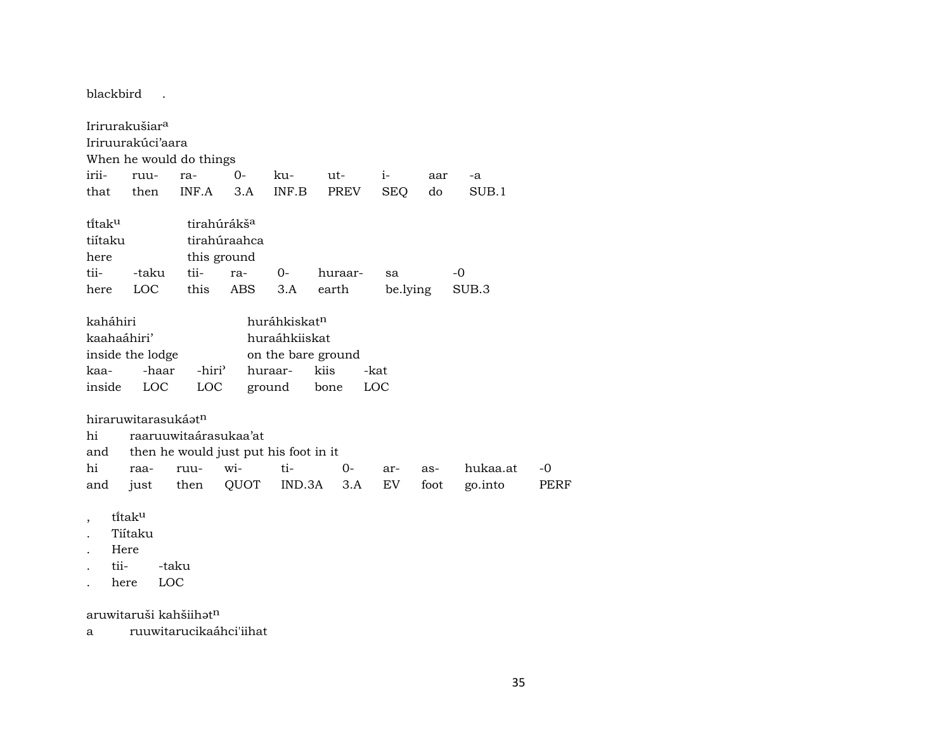blackbird .

Irirurakušiar<sup>a</sup> Iriruurakúci'aara

When he would do things

|  | irii- ruu- ra-       0-     ku-       ut-       i-        aar    -a |  |  |  |
|--|---------------------------------------------------------------------|--|--|--|
|  | that then INF.A 3.A INF.B PREV SEQ do SUB.1                         |  |  |  |

| titaku  |       |      | tirahúrákš <sup>a</sup> |          |         |          |       |  |  |  |  |
|---------|-------|------|-------------------------|----------|---------|----------|-------|--|--|--|--|
| tiítaku |       |      | tirahúraahca            |          |         |          |       |  |  |  |  |
| here    |       |      | this ground             |          |         |          |       |  |  |  |  |
| tii-    | -taku |      | tii- ra-                | $\Omega$ | huraar- | sa       | $-()$ |  |  |  |  |
| here    | LOC   | this | ABS 3.A                 |          | earth   | be.lying | SUB.3 |  |  |  |  |

| kaháhiri    |                  |                    |               | huráhkiskat <sup>n</sup> |      |  |  |  |
|-------------|------------------|--------------------|---------------|--------------------------|------|--|--|--|
| kaahaáhiri' |                  |                    | huraáhkiiskat |                          |      |  |  |  |
|             | inside the lodge |                    |               | on the bare ground       |      |  |  |  |
|             | kaa- -haar       | -hiri <sup>)</sup> | huraar-       | kiis                     | -kat |  |  |  |
| inside      | LOC LOC          |                    | ground bone   |                          | LOC. |  |  |  |

hiraruwitarasukáatn

hi raaruuwitaárasukaa'at

| and then he would just put his foot in it |  |  |  |  |  |  |                                                    |  |  |
|-------------------------------------------|--|--|--|--|--|--|----------------------------------------------------|--|--|
|                                           |  |  |  |  |  |  | hi raa- ruu- wi-  ti-  0- ar- as- hukaa.at -0      |  |  |
|                                           |  |  |  |  |  |  | and just then QUOT IND.3A 3.A EV foot go.into PERF |  |  |

- , tïtakµ
- . Tiítaku
- . Here
- . tii- -taku
- . here LOC

aruwitaruši kahšiih $\mathfrak{t}^n$ 

a ruuwitarucikaáhci'iihat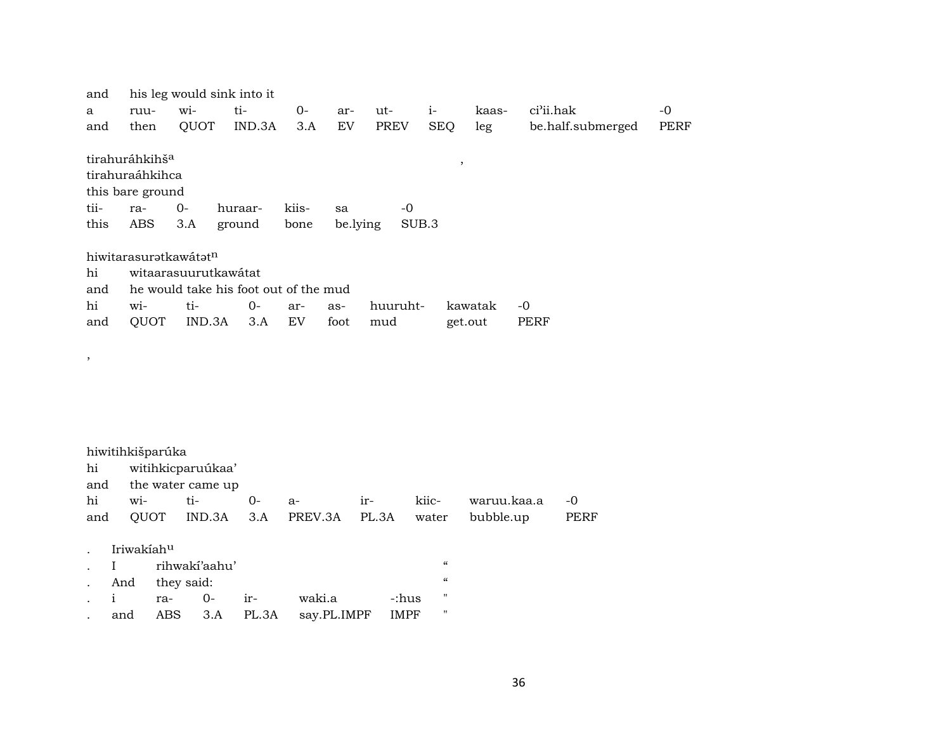| and  |                            |                      | his leg would sink into it            |       |          |             |                  |         |                   |             |
|------|----------------------------|----------------------|---------------------------------------|-------|----------|-------------|------------------|---------|-------------------|-------------|
| a    | ruu-                       | wi-                  | ti-                                   | 0-    | ar-      | ut-         | $i-$             | kaas-   | ci'ii.hak         | $-0$        |
| and  | then                       | QUOT                 | IND.3A                                | 3.A   | EV       | <b>PREV</b> | <b>SEQ</b>       | leg     | be.half.submerged | <b>PERF</b> |
|      | tirahuráhkihš <sup>a</sup> |                      |                                       |       |          |             |                  |         |                   |             |
|      |                            |                      |                                       |       |          |             | $\cdot$          |         |                   |             |
|      | tirahuraáhkihca            |                      |                                       |       |          |             |                  |         |                   |             |
|      | this bare ground           |                      |                                       |       |          |             |                  |         |                   |             |
| tii- | ra-                        | $0-$                 | huraar-                               | kiis- | sa       | -0          |                  |         |                   |             |
| this | ABS.                       | 3.A                  | ground                                | bone  | be.lying |             | SUB <sub>3</sub> |         |                   |             |
|      |                            |                      |                                       |       |          |             |                  |         |                   |             |
|      | hiwitarasuratkawátatn      |                      |                                       |       |          |             |                  |         |                   |             |
| hi   |                            | witaarasuurutkawátat |                                       |       |          |             |                  |         |                   |             |
| and  |                            |                      | he would take his foot out of the mud |       |          |             |                  |         |                   |             |
| hi   | $W1 -$                     | ti-                  | $0-$                                  | ar-   | as-      | huuruht-    |                  | kawatak | -0                |             |
|      |                            |                      |                                       | EV    |          |             |                  |         | PERF              |             |
| and  | QUOT                       | IND.3A               | 3.A                                   |       | foot     | mud         |                  | get.out |                   |             |

#### hiwitihkišparúka

,

| hi witihkicparuúkaa'  |  |  |  |  |  |                                                        |  |  |  |
|-----------------------|--|--|--|--|--|--------------------------------------------------------|--|--|--|
| and the water came up |  |  |  |  |  |                                                        |  |  |  |
|                       |  |  |  |  |  | hi wi- ti- 0- a-  ir- kiic- waruu.kaa.a -0             |  |  |  |
|                       |  |  |  |  |  | and QUOT IND.3A 3.A PREV.3A PL.3A water bubble.up PERF |  |  |  |

#### . Iriwakíah<sup>u</sup>

|  | . I rihwakí'aahu' |  |  |                                    |         |                   |  |  |
|--|-------------------|--|--|------------------------------------|---------|-------------------|--|--|
|  | . And they said:  |  |  |                                    |         |                   |  |  |
|  |                   |  |  | i ra- 0- ir- waki.a                | -:hus - | $^{\prime\prime}$ |  |  |
|  |                   |  |  | and ABS 3.A PL.3A say.PL.IMPF IMPF |         | "                 |  |  |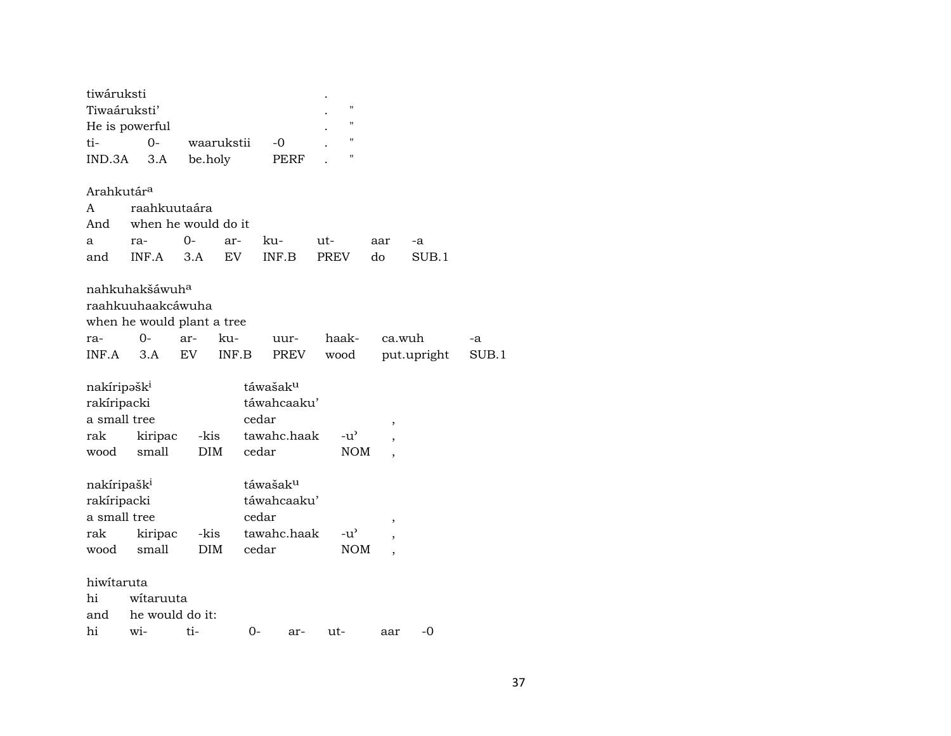| tiwáruksti<br>Tiwaáruksti'                                                    |                     |     |                    |            |                                                                      |      |             | $\pmb{\mathsf{H}}$<br>11    |     |             |       |
|-------------------------------------------------------------------------------|---------------------|-----|--------------------|------------|----------------------------------------------------------------------|------|-------------|-----------------------------|-----|-------------|-------|
| He is powerful                                                                |                     |     |                    |            |                                                                      |      |             | п                           |     |             |       |
| ti-                                                                           | $0-$                |     |                    | waarukstii | -0                                                                   |      |             | н                           |     |             |       |
| IND.3A                                                                        | 3.A                 |     | be.holy            |            |                                                                      | PERF |             |                             |     |             |       |
| Arahkutár <sup>a</sup>                                                        |                     |     |                    |            |                                                                      |      |             |                             |     |             |       |
| A                                                                             | raahkuutaára        |     |                    |            |                                                                      |      |             |                             |     |             |       |
| And                                                                           | when he would do it |     |                    |            |                                                                      |      |             |                             |     |             |       |
| a                                                                             | ra-                 | 0-  |                    | ar-        | ku-                                                                  |      | ut-         |                             | aar | -a          |       |
| and                                                                           | INF.A               |     | 3.A                | <b>EV</b>  | INF.B                                                                |      | <b>PREV</b> |                             | do  | SUB.1       |       |
| nahkuhakšáwuh <sup>a</sup><br>raahkuuhaakcáwuha<br>when he would plant a tree |                     |     |                    |            |                                                                      |      |             |                             |     |             |       |
| ra-                                                                           | 0-                  | ar- |                    | ku-        |                                                                      | uur- |             | haak-                       |     | ca.wuh      | -a    |
| INF.A                                                                         | 3.A                 | EV  |                    | INF.B      |                                                                      | PREV |             | wood                        |     | put.upright | SUB.1 |
| nakíripəšk <sup>i</sup><br>rakíripacki<br>a small tree<br>rak<br>wood         | kiripac<br>small    |     | -kis<br><b>DIM</b> |            | táwašak <sup>u</sup><br>táwahcaaku'<br>cedar<br>tawahc.haak<br>cedar |      |             | $-u^{\prime}$<br><b>NOM</b> |     |             |       |
| nakíripašk <sup>i</sup><br>rakíripacki<br>a small tree<br>rak<br>wood         | kiripac<br>small    |     | -kis<br><b>DIM</b> |            | táwašak <sup>u</sup><br>táwahcaaku'<br>cedar<br>tawahc.haak<br>cedar |      |             | $-u^{\prime}$<br><b>NOM</b> |     |             |       |
| hiwitaruta                                                                    |                     |     |                    |            |                                                                      |      |             |                             |     |             |       |
| hi                                                                            | witaruuta           |     |                    |            |                                                                      |      |             |                             |     |             |       |
| and                                                                           | he would do it:     |     |                    |            |                                                                      |      |             |                             |     |             |       |
| hi                                                                            | wi-                 |     | ti-                |            | 0-                                                                   | ar-  | ut-         |                             | aar | $-0$        |       |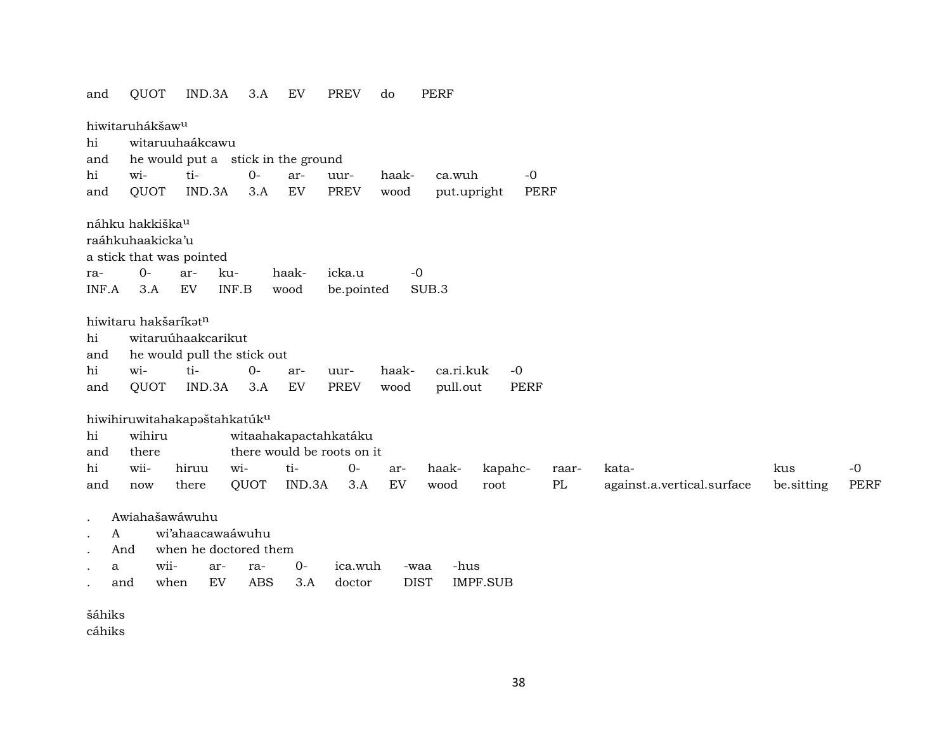| and          | QUOT                                                            | IND.3A                                            | 3.A          | EV                                 | <b>PREV</b>          | do    | PERF                           |                     |          |                            |            |      |
|--------------|-----------------------------------------------------------------|---------------------------------------------------|--------------|------------------------------------|----------------------|-------|--------------------------------|---------------------|----------|----------------------------|------------|------|
| hi           | hiwitaruhákšaw <sup>u</sup>                                     | witaruuhaákcawu                                   |              |                                    |                      |       |                                |                     |          |                            |            |      |
| and          |                                                                 |                                                   |              | he would put a stick in the ground |                      |       |                                |                     |          |                            |            |      |
| hi           | wi-                                                             | ti-                                               | $0-$         | ar-                                | uur-                 | haak- | ca.wuh                         | $-0$                |          |                            |            |      |
| and          | QUOT                                                            | IND.3A                                            | 3.A          | EV                                 | <b>PREV</b>          | wood  | put.upright                    | <b>PERF</b>         |          |                            |            |      |
| ra-<br>INF.A | náhku hakkiška <sup>u</sup><br>raáhkuhaakicka'u<br>$O -$<br>3.A | a stick that was pointed<br>ar-<br>EV             | ku-<br>INF.B | haak-<br>wood                      | icka.u<br>be.pointed |       | $-0$<br>SUB.3                  |                     |          |                            |            |      |
| hi<br>and    | hiwitaru hakšaríkatn                                            | witaruúhaakcarikut<br>he would pull the stick out |              |                                    |                      |       |                                |                     |          |                            |            |      |
| hi           | wi-                                                             | ti-                                               | $O -$        |                                    |                      |       | ca.ri.kuk                      |                     |          |                            |            |      |
| and          | <b>QUOT</b>                                                     | IND.3A                                            | 3.A          | ar-<br><b>EV</b>                   | uur-<br><b>PREV</b>  | haak- | pull.out                       | $-0$<br><b>PERF</b> |          |                            |            |      |
|              |                                                                 |                                                   |              |                                    |                      | wood  |                                |                     |          |                            |            |      |
|              |                                                                 | hiwihiruwitahakapaštahkatúku                      |              |                                    |                      |       |                                |                     |          |                            |            |      |
| hi           | wihiru                                                          |                                                   |              | witaahakapactahkatáku              |                      |       |                                |                     |          |                            |            |      |
| and          | there                                                           |                                                   |              | there would be roots on it         |                      |       |                                |                     |          |                            |            |      |
| hi           | wii-                                                            | hiruu                                             | wi-          | ti-                                | $0-$                 | ar-   | haak-                          | kapahc-             | raar-    | kata-                      | kus        | $-0$ |
| and          | now                                                             | there                                             | QUOT         | IND.3A                             | 3.A                  | EV    | wood<br>root                   |                     | $\rm PL$ | against.a.vertical.surface | be.sitting | PERF |
|              |                                                                 |                                                   |              |                                    |                      |       |                                |                     |          |                            |            |      |
| $\bullet$    | Awiahašawáwuhu                                                  |                                                   |              |                                    |                      |       |                                |                     |          |                            |            |      |
| A            |                                                                 | wi'ahaacawaáwuhu                                  |              |                                    |                      |       |                                |                     |          |                            |            |      |
| And          |                                                                 | when he doctored them                             |              |                                    |                      |       |                                |                     |          |                            |            |      |
| a            | wii-                                                            | ar-                                               | ra-          | $0-$                               | ica.wuh              |       | -hus<br>-waa                   |                     |          |                            |            |      |
| and          | when                                                            | ${\rm EV}$                                        | <b>ABS</b>   | 3.A                                | doctor               |       | <b>DIST</b><br><b>IMPF.SUB</b> |                     |          |                            |            |      |
| šáhiks       |                                                                 |                                                   |              |                                    |                      |       |                                |                     |          |                            |            |      |

cáhiks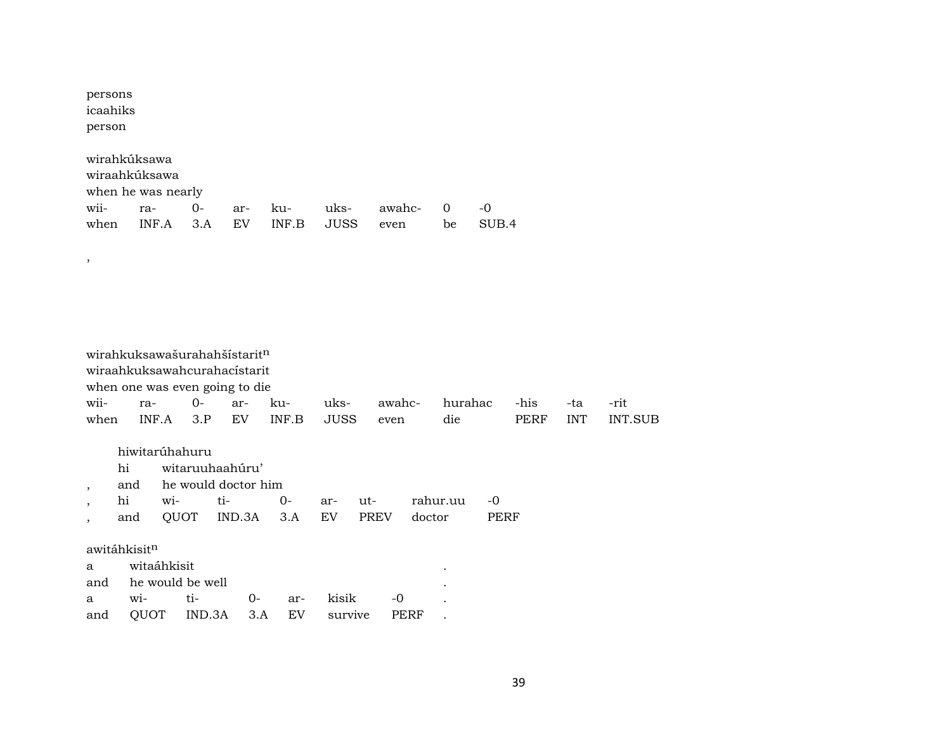| persons<br>icaahiks<br>person |     |                                                                     |      |             |                                                              |              |                     |                       |                      |               |             |            |                |
|-------------------------------|-----|---------------------------------------------------------------------|------|-------------|--------------------------------------------------------------|--------------|---------------------|-----------------------|----------------------|---------------|-------------|------------|----------------|
| wii-<br>when                  |     | wirahkúksawa<br>wiraahkúksawa<br>when he was nearly<br>ra-<br>INF.A |      | $0-$<br>3.A | ar-<br>EV                                                    | ku-<br>INF.B | uks-<br><b>JUSS</b> | awahc-<br>even        | $\overline{0}$<br>be | $-0$<br>SUB.4 |             |            |                |
|                               |     |                                                                     |      |             |                                                              |              |                     |                       |                      |               |             |            |                |
| $^\mathrm{^\mathrm{o}}$       |     |                                                                     |      |             |                                                              |              |                     |                       |                      |               |             |            |                |
|                               |     |                                                                     |      |             |                                                              |              |                     |                       |                      |               |             |            |                |
|                               |     |                                                                     |      |             |                                                              |              |                     |                       |                      |               |             |            |                |
|                               |     |                                                                     |      |             |                                                              |              |                     |                       |                      |               |             |            |                |
|                               |     |                                                                     |      |             | wirahkuksawašurahahšístaritn<br>wiraahkuksawahcurahacístarit |              |                     |                       |                      |               |             |            |                |
|                               |     |                                                                     |      |             | when one was even going to die                               |              |                     |                       |                      |               |             |            |                |
| wii-                          |     | ra-                                                                 |      | $O -$       | ar-                                                          | ku-          | uks-                | awahc-                | hurahac              |               | -his        | -ta        | -rit           |
| when                          |     | INF.A                                                               |      | 3.P         | EV                                                           | INF.B        | <b>JUSS</b>         | even                  | die                  |               | <b>PERF</b> | <b>INT</b> | <b>INT.SUB</b> |
|                               |     | hiwitarúhahuru                                                      |      |             |                                                              |              |                     |                       |                      |               |             |            |                |
|                               | hi  |                                                                     |      |             | witaruuhaahúru'                                              |              |                     |                       |                      |               |             |            |                |
| ,                             | and |                                                                     |      |             | he would doctor him                                          |              |                     |                       |                      |               |             |            |                |
| $\overline{\phantom{a}}$      | hi  |                                                                     | wi-  | ti-         |                                                              | $0-$         | ar-                 | ut-                   | rahur.uu             | -0            |             |            |                |
| $\overline{\phantom{a}}$      | and |                                                                     | QUOT |             | IND.3A                                                       | 3.A          | ${\rm EV}$          | <b>PREV</b><br>doctor |                      | <b>PERF</b>   |             |            |                |
| awitáhkisit <sup>n</sup>      |     |                                                                     |      |             |                                                              |              |                     |                       |                      |               |             |            |                |
| a                             |     | witaáhkisit                                                         |      |             |                                                              |              |                     |                       |                      |               |             |            |                |
| and                           |     | he would be well                                                    |      |             |                                                              |              |                     |                       |                      |               |             |            |                |
| a                             |     | wi-                                                                 | ti-  |             | $0-$                                                         | ar-          | kisik               | $-0$                  |                      |               |             |            |                |
| and                           |     | QUOT                                                                |      | IND.3A      | 3.A                                                          | EV           | survive             | <b>PERF</b>           |                      |               |             |            |                |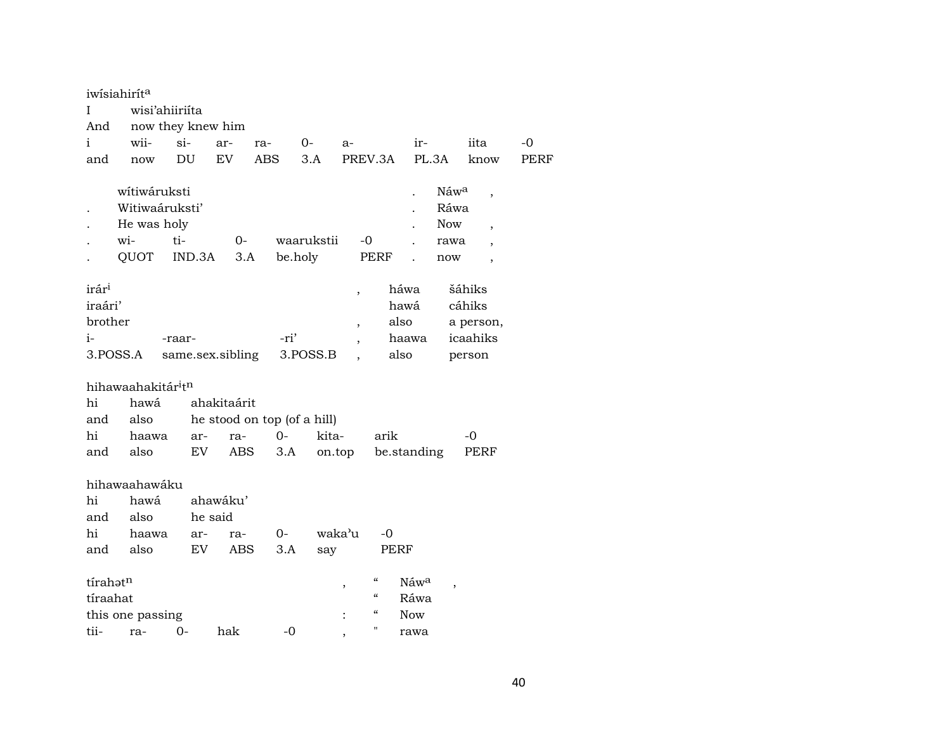|                              | iwisiahirita                  |                   |             |                             |            |                          |                                        |              |                                  |             |
|------------------------------|-------------------------------|-------------------|-------------|-----------------------------|------------|--------------------------|----------------------------------------|--------------|----------------------------------|-------------|
| Ι                            | wisi'ahiiriíta                |                   |             |                             |            |                          |                                        |              |                                  |             |
| And                          |                               | now they knew him |             |                             |            |                          |                                        |              |                                  |             |
| i                            | wii-                          | $\sin$            | ar-         | ra-                         | $O-$       | $a-$                     |                                        | ir-          | iita                             | -0          |
| and                          | now                           | DU                | EV          | <b>ABS</b>                  | 3.A        |                          | PREV.3A                                | PL.3A        | know                             | <b>PERF</b> |
|                              | wítiwáruksti                  |                   |             |                             |            |                          |                                        |              | Náwa<br>$\overline{\phantom{a}}$ |             |
|                              | Witiwaáruksti'                |                   |             |                             |            |                          |                                        |              | Ráwa                             |             |
|                              | He was holy                   |                   |             |                             |            |                          |                                        |              | Now<br>$\overline{ }$            |             |
|                              | wi-                           | ti-               | $0-$        |                             | waarukstii |                          | $-0$                                   |              | rawa                             |             |
|                              | QUOT                          | IND.3A            | 3.A         |                             | be.holy    |                          | <b>PERF</b>                            |              | now<br>$\overline{\phantom{a}}$  |             |
| irár <sup>i</sup><br>iraári' |                               |                   |             |                             |            | $\overline{ }$           |                                        | háwa<br>hawá | šáhiks<br>cáhiks                 |             |
| brother                      |                               |                   |             |                             |            | $\overline{\phantom{a}}$ | also                                   |              | a person,                        |             |
| i-                           |                               | -raar-            |             | -ri'                        |            |                          |                                        | haawa        | icaahiks                         |             |
|                              | 3.POSS.A                      | same.sex.sibling  |             |                             | 3.POSS.B   |                          | also                                   |              | person                           |             |
|                              | hihawaahakitár <sup>itn</sup> |                   |             |                             |            |                          |                                        |              |                                  |             |
| hi                           | hawá                          |                   | ahakitaárit |                             |            |                          |                                        |              |                                  |             |
| and                          | also                          |                   |             | he stood on top (of a hill) |            |                          |                                        |              |                                  |             |
| hi                           | haawa                         | ar-               | ra-         | $0 -$                       |            | kita-                    | arik                                   |              | -0                               |             |
| and                          | also                          | EV                | ABS         | 3.A                         |            | on.top                   |                                        | be.standing  | PERF                             |             |
|                              |                               |                   |             |                             |            |                          |                                        |              |                                  |             |
|                              | hihawaahawáku                 |                   |             |                             |            |                          |                                        |              |                                  |             |
| hi                           | hawá                          |                   | ahawáku'    |                             |            |                          |                                        |              |                                  |             |
| and                          | also                          |                   | he said     |                             |            |                          |                                        |              |                                  |             |
| hi                           | haawa                         | ar-               | ra-         | $O -$                       |            | waka'u                   | -0                                     |              |                                  |             |
| and                          | also                          | EV                | <b>ABS</b>  | 3.A                         | say        |                          | <b>PERF</b>                            |              |                                  |             |
| tírahotn                     |                               |                   |             |                             |            |                          | $\epsilon\epsilon$                     | Náwa         |                                  |             |
| tíraahat                     |                               |                   |             |                             |            | ,                        | $\boldsymbol{\zeta}\boldsymbol{\zeta}$ | Ráwa         |                                  |             |
|                              | this one passing              |                   |             |                             |            |                          | $\epsilon$                             | <b>Now</b>   |                                  |             |
| tii-                         | ra-                           | 0-                | hak         |                             | $-0$       |                          | "                                      | rawa         |                                  |             |
|                              |                               |                   |             |                             |            | $\overline{ }$           |                                        |              |                                  |             |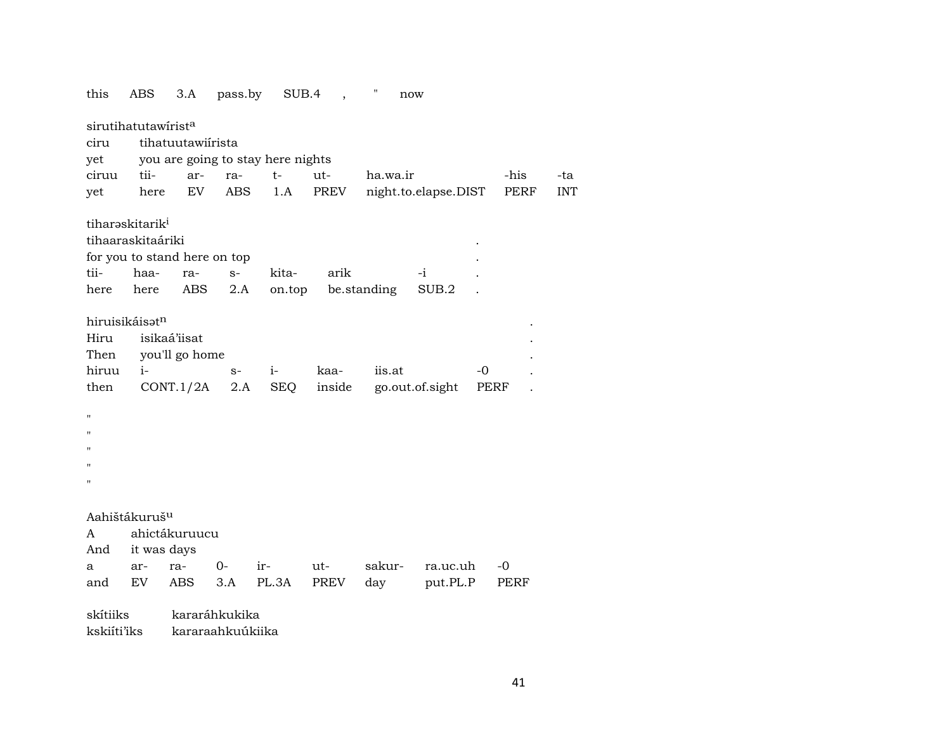| this                                                   | ABS                         | 3.A                                         | pass.by          |                                   | SUB.4,         | Π<br>now           |                       |      |            |
|--------------------------------------------------------|-----------------------------|---------------------------------------------|------------------|-----------------------------------|----------------|--------------------|-----------------------|------|------------|
|                                                        | sirutihatutawirista         |                                             |                  |                                   |                |                    |                       |      |            |
| ciru                                                   |                             | tihatuutawiirista                           |                  |                                   |                |                    |                       |      |            |
| yet                                                    |                             |                                             |                  | you are going to stay here nights |                |                    |                       |      |            |
| ciruu                                                  | tii-                        | ar-                                         | ra-              | t-                                | $ut-$          | ha.wa.ir           |                       | -his | -ta        |
| yet                                                    | here                        | EV                                          | ABS              | 1.A                               | PREV           |                    | night.to.elapse.DIST  | PERF | <b>INT</b> |
|                                                        | tiharaskitarik <sup>i</sup> |                                             |                  |                                   |                |                    |                       |      |            |
|                                                        | tihaaraskitaáriki           |                                             |                  |                                   |                |                    |                       |      |            |
|                                                        |                             | for you to stand here on top                |                  |                                   |                |                    |                       |      |            |
| tii-                                                   | haa-                        | ra-                                         | $S-$             | kita-                             | arik           |                    | -i                    |      |            |
| here                                                   | here                        | ABS                                         | 2.A              |                                   |                | on.top be.standing | SUB.2                 |      |            |
| Hiru<br>Then<br>hiruu<br>then<br>п<br>п<br>п<br>п<br>н | hiruisikáisatn<br>$i-$      | isikaá'iisat<br>you'll go home<br>CONT.1/2A | $S-$<br>2.A      | $i-$<br>SEQ                       | kaa-<br>inside | iis.at             | -0<br>go.out.of.sight | PERF |            |
|                                                        | Aahištákuruš <sup>u</sup>   |                                             |                  |                                   |                |                    |                       |      |            |
| A                                                      |                             | ahictákuruucu                               |                  |                                   |                |                    |                       |      |            |
| And                                                    | it was days                 |                                             |                  |                                   |                |                    |                       |      |            |
| a                                                      | ar-<br>EV                   | ra-<br>ABS                                  | 0-<br>3.A        | ir-<br>PL.3A                      | ut-<br>PREV    | sakur-             | ra.uc.uh              | -0   |            |
| and                                                    |                             |                                             |                  |                                   |                | day                | put.PL.P              | PERF |            |
| skítiiks                                               |                             |                                             | kararáhkukika    |                                   |                |                    |                       |      |            |
| kskiíti'iks                                            |                             |                                             | kararaahkuúkiika |                                   |                |                    |                       |      |            |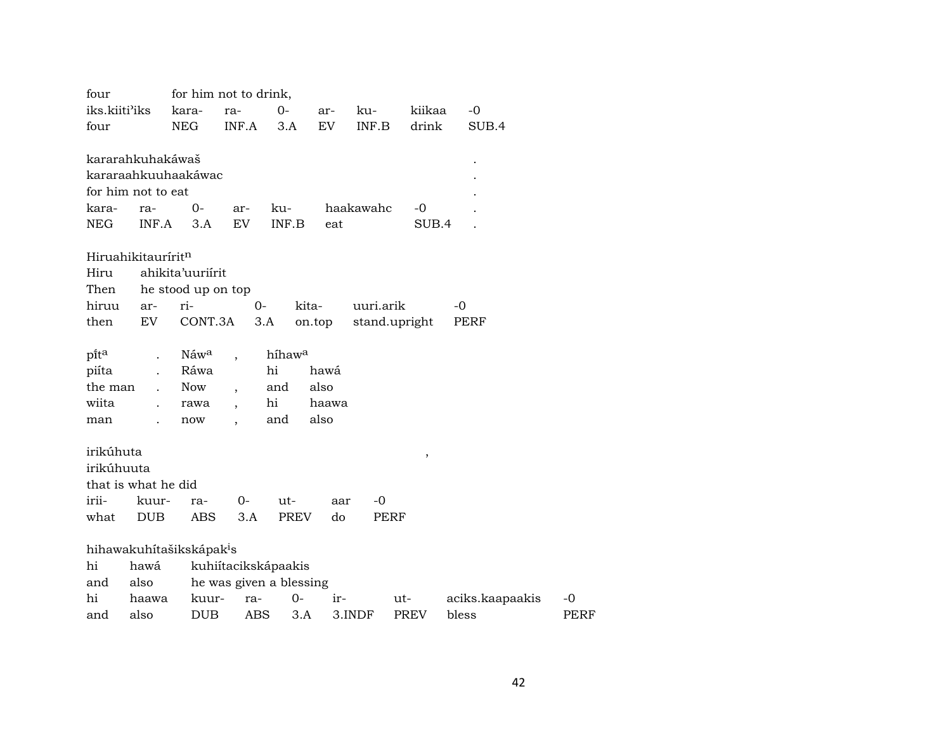| four                |            |                                      | for him not to drink,    |                    |           |           |                     |                 |             |
|---------------------|------------|--------------------------------------|--------------------------|--------------------|-----------|-----------|---------------------|-----------------|-------------|
| iks.kiiti'iks       |            | kara-                                | ra-                      | $0 -$              | ar-       | ku-       | kiikaa              | $-0$            |             |
| four                |            | <b>NEG</b>                           | INF.A                    | 3.A                | <b>EV</b> | INF.B     | drink               | SUB.4           |             |
|                     |            |                                      |                          |                    |           |           |                     |                 |             |
| kararahkuhakáwaš    |            |                                      |                          |                    |           |           |                     |                 |             |
|                     |            | kararaahkuuhaakáwac                  |                          |                    |           |           |                     |                 |             |
| for him not to eat  |            |                                      |                          |                    |           |           |                     |                 |             |
| kara-               | ra-        | $0-$                                 | ar-                      | ku-                |           | haakawahc | -0                  |                 |             |
| <b>NEG</b>          | INF.A      | 3.A                                  | EV                       | INF.B              | eat       |           | SUB.4               |                 |             |
|                     |            |                                      |                          |                    |           |           |                     |                 |             |
| Hiruahikitauríritn  |            |                                      |                          |                    |           |           |                     |                 |             |
| Hiru                |            | ahikita'uuriirit                     |                          |                    |           |           |                     |                 |             |
| Then                |            | he stood up on top                   |                          |                    |           |           |                     |                 |             |
| hiruu               | ar-        | ri-                                  | 0-                       | kita-              |           | uuri.arik |                     | -0              |             |
| then                | EV         | CONT.3A                              |                          | 3.A                | on.top    |           | stand.upright       | PERF            |             |
| pita                |            | Náwa                                 |                          | híhaw <sup>a</sup> |           |           |                     |                 |             |
| piíta               |            | Ráwa                                 |                          | hi                 | hawá      |           |                     |                 |             |
| the man             |            | <b>Now</b>                           |                          | and                | also      |           |                     |                 |             |
| wiita               |            | rawa                                 | $\overline{\phantom{a}}$ | hi                 | haawa     |           |                     |                 |             |
| man                 |            | now                                  | $\overline{\phantom{a}}$ | and                | also      |           |                     |                 |             |
|                     |            |                                      |                          |                    |           |           |                     |                 |             |
| irikúhuta           |            |                                      |                          |                    |           |           | $\pmb{\mathcal{I}}$ |                 |             |
| irikúhuuta          |            |                                      |                          |                    |           |           |                     |                 |             |
| that is what he did |            |                                      |                          |                    |           |           |                     |                 |             |
| irii-               | kuur-      | ra-                                  | 0-                       | ut-                | aar       | -0        |                     |                 |             |
| what                | <b>DUB</b> | <b>ABS</b>                           | 3.A                      | PREV               | do        | PERF      |                     |                 |             |
|                     |            |                                      |                          |                    |           |           |                     |                 |             |
|                     |            | hihawakuhítašikskápak <sup>i</sup> s |                          |                    |           |           |                     |                 |             |
| hi                  | hawá       |                                      | kuhiítacikskápaakis      |                    |           |           |                     |                 |             |
| and                 | also       |                                      | he was given a blessing  |                    |           |           |                     |                 |             |
| hi                  | haawa      | kuur-                                | ra-                      | $0-$               | $ir-$     |           | ut-                 | aciks.kaapaakis | -0          |
| and                 | also       | <b>DUB</b>                           | <b>ABS</b>               | 3.A                |           | 3.INDF    | <b>PREV</b>         | bless           | <b>PERF</b> |
|                     |            |                                      |                          |                    |           |           |                     |                 |             |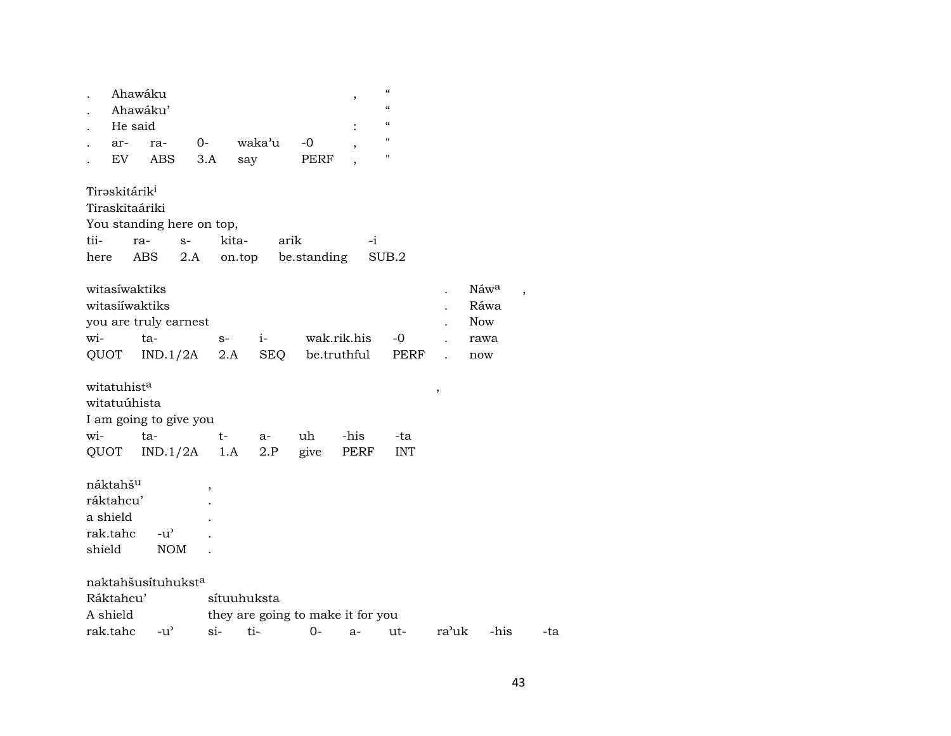| ar-                                       | Ahawáku<br>Ahawáku'<br>He said<br>ra-<br>EV<br>ABS                                   | $0-$<br>3.A |      | waka'u<br>say | -0<br>PERF                        | $\cdot$<br>٠<br>$\overline{\phantom{a}}$ | $\mathcal{C}\mathcal{C}$<br>$\epsilon$<br>$\epsilon$<br>$^{\prime\prime}$<br>$^{\prime\prime}$ |   |                                                   |
|-------------------------------------------|--------------------------------------------------------------------------------------|-------------|------|---------------|-----------------------------------|------------------------------------------|------------------------------------------------------------------------------------------------|---|---------------------------------------------------|
| Tirəskitárik <sup>i</sup><br>tii-<br>here | Tiraskitaáriki<br>You standing here on top,<br>ra-                                   | $S-$        |      | kita- arik    | ABS 2.A on.top be.standing        | $-i$                                     | SUB.2                                                                                          |   |                                                   |
| $W1 -$                                    | witasíwaktiks<br>witasiiwaktiks<br>you are truly earnest<br>ta-<br>QUOT IND.1/2A 2.A |             | $S-$ |               | i- wak.rik.his<br>SEQ be.truthful |                                          | -0<br>PERF                                                                                     |   | $N$ áw <sup>a</sup><br>Ráwa<br>Now<br>rawa<br>now |
| witatuhist <sup>a</sup>                   | with                                                                                 |             |      |               |                                   |                                          |                                                                                                | , |                                                   |

| witatuúhista           |                                     |  |       |  |         |     |  |  |  |  |  |
|------------------------|-------------------------------------|--|-------|--|---------|-----|--|--|--|--|--|
| I am going to give you |                                     |  |       |  |         |     |  |  |  |  |  |
|                        | wi- ta- t-                          |  | $a -$ |  | uh -his | -ta |  |  |  |  |  |
|                        | QUOT IND.1/2A 1.A 2.P give PERF INT |  |       |  |         |     |  |  |  |  |  |

| náktahš <sup>u</sup>           |               | ,                                 |
|--------------------------------|---------------|-----------------------------------|
| ráktahcu'                      |               |                                   |
| a shield                       |               |                                   |
| rak.tahc                       | $-u^{\prime}$ |                                   |
| shield                         | <b>NOM</b>    |                                   |
|                                |               |                                   |
| naktahšusítuhukst <sup>a</sup> |               |                                   |
| Ráktahcu'                      |               | sítuuhuksta                       |
| A shield                       |               | they are going to make it for you |

| rak.tahc |  | ື |  |  |  |  | ΊRΚ | hıs | - ca |
|----------|--|---|--|--|--|--|-----|-----|------|
|----------|--|---|--|--|--|--|-----|-----|------|

. Náw<sup>a</sup> ,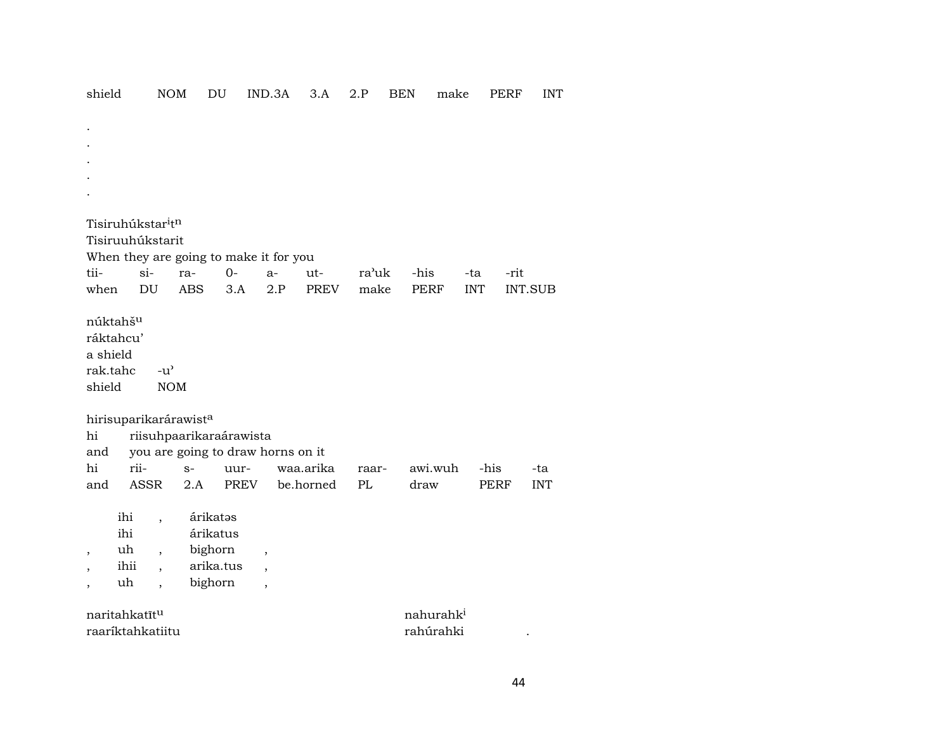. . . . .  $T$ isiruhúkstar<sup>i</sup>t<sup>n</sup> Tisiruuhúkstarit When they are going to make it for you tii- si- ra- 0- a- ut- ra"uk -his -ta -rit when DU ABS 3.A 2.P PREV make PERF INT INT.SUB núktahšµ ráktahcu' a shield rak.tahc -u" shield NOM hirisuparikarárawist<sup>a</sup> hi riisuhpaarikaraárawista and you are going to draw horns on it hi rii- s- uur- waa.arika raar- awi.wuh -his -ta and ASSR 2.A PREV be.horned PL draw PERF INT ihi , árikatəs ihi árikatus , uh , bighorn , , ihii , arika.tus , , uh , bighorn , naritahkatīt<sup>u</sup> nahurahk<sup>i</sup> raaríktahkatiitu rahúrahki .

shield NOM DU IND.3A 3.A 2.P BEN make PERF INT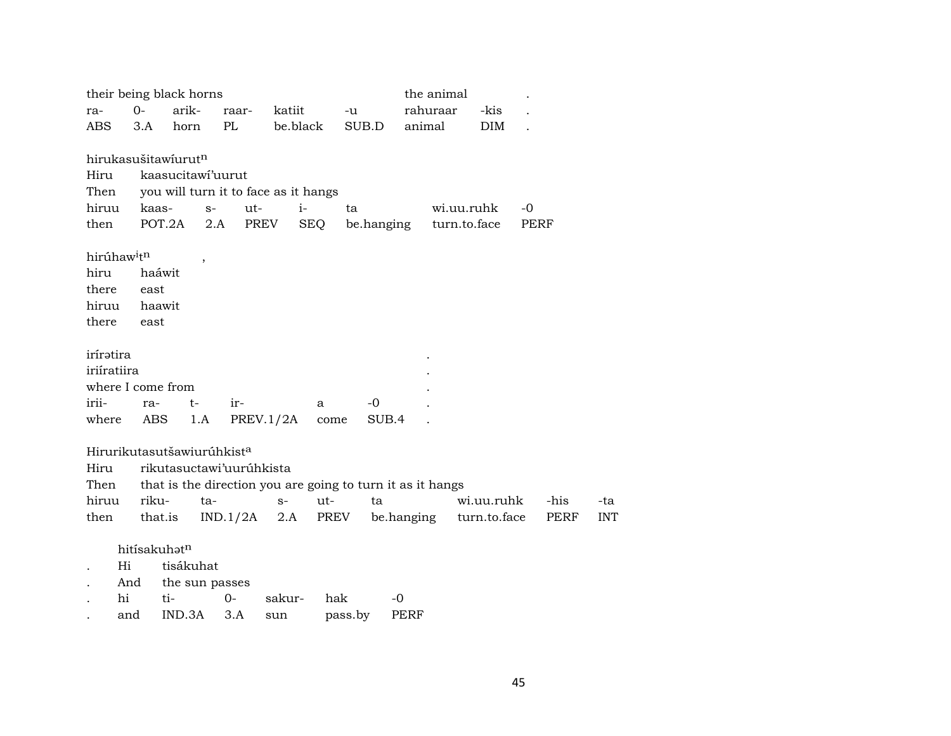|                                     |              | their being black horns                |                                      |           |            |                                                            | the animal |            |              |      |            |
|-------------------------------------|--------------|----------------------------------------|--------------------------------------|-----------|------------|------------------------------------------------------------|------------|------------|--------------|------|------------|
| ra-                                 | $0-$         | arik-                                  | raar-                                | katiit    |            | -u                                                         | rahuraar   |            | -kis         |      |            |
| <b>ABS</b>                          | 3.A          | horn                                   | PL                                   | be.black  |            | SUB.D                                                      | animal     |            | <b>DIM</b>   |      |            |
|                                     |              |                                        |                                      |           |            |                                                            |            |            |              |      |            |
|                                     |              | hirukasušitawíurutn                    |                                      |           |            |                                                            |            |            |              |      |            |
| Hiru                                |              | kaasucitawi'uurut                      |                                      |           |            |                                                            |            |            |              |      |            |
| Then                                |              |                                        | you will turn it to face as it hangs |           |            |                                                            |            |            |              |      |            |
| hiruu                               | kaas-        | $S-$                                   | ut-                                  | $i-$      |            | ta                                                         |            | wi.uu.ruhk |              | -0   |            |
| then                                |              | POT.2A                                 | PREV<br>2.A                          |           | <b>SEQ</b> | be.hanging turn.to.face                                    |            |            |              | PERF |            |
| hirúhaw <sup>i</sup> t <sup>n</sup> |              |                                        |                                      |           |            |                                                            |            |            |              |      |            |
| hiru                                | haáwit       |                                        |                                      |           |            |                                                            |            |            |              |      |            |
| there                               | east         |                                        |                                      |           |            |                                                            |            |            |              |      |            |
| hiruu                               | haawit       |                                        |                                      |           |            |                                                            |            |            |              |      |            |
| there                               | east         |                                        |                                      |           |            |                                                            |            |            |              |      |            |
|                                     |              |                                        |                                      |           |            |                                                            |            |            |              |      |            |
| iríratira                           |              |                                        |                                      |           |            |                                                            |            |            |              |      |            |
| iriiratiira                         |              |                                        |                                      |           |            |                                                            |            |            |              |      |            |
| where I come from                   |              |                                        |                                      |           |            |                                                            |            |            |              |      |            |
| irii-                               | ra-          | $t-$                                   | ir-                                  |           | a          | $-0$                                                       |            |            |              |      |            |
| where                               | ABS          | 1.A                                    |                                      | PREV.1/2A | come       | SUB.4                                                      |            |            |              |      |            |
|                                     |              | Hirurikutasutšawiurúhkist <sup>a</sup> |                                      |           |            |                                                            |            |            |              |      |            |
|                                     |              |                                        |                                      |           |            |                                                            |            |            |              |      |            |
| Hiru                                |              |                                        | rikutasuctawi'uuruhkista             |           |            |                                                            |            |            |              |      |            |
| Then                                |              |                                        |                                      |           |            | that is the direction you are going to turn it as it hangs |            |            |              |      |            |
| hiruu                               | riku-        | ta-                                    |                                      | $S-$      | ut-        | ta                                                         |            |            | wi.uu.ruhk   | -his | -ta        |
| then                                | that.is      |                                        | $IND.1/2A$ 2.A                       |           | PREV       |                                                            | be.hanging |            | turn.to.face | PERF | <b>INT</b> |
|                                     | hitísakuhatn |                                        |                                      |           |            |                                                            |            |            |              |      |            |
| Hi                                  |              | tisákuhat                              |                                      |           |            |                                                            |            |            |              |      |            |
|                                     | And          | the sun passes                         |                                      |           |            |                                                            |            |            |              |      |            |
| hi                                  |              | ti-                                    | $0 -$                                | sakur-    | hak        | -0                                                         |            |            |              |      |            |
|                                     |              |                                        |                                      |           |            |                                                            |            |            |              |      |            |

. and IND.3A 3.A sun pass.by PERF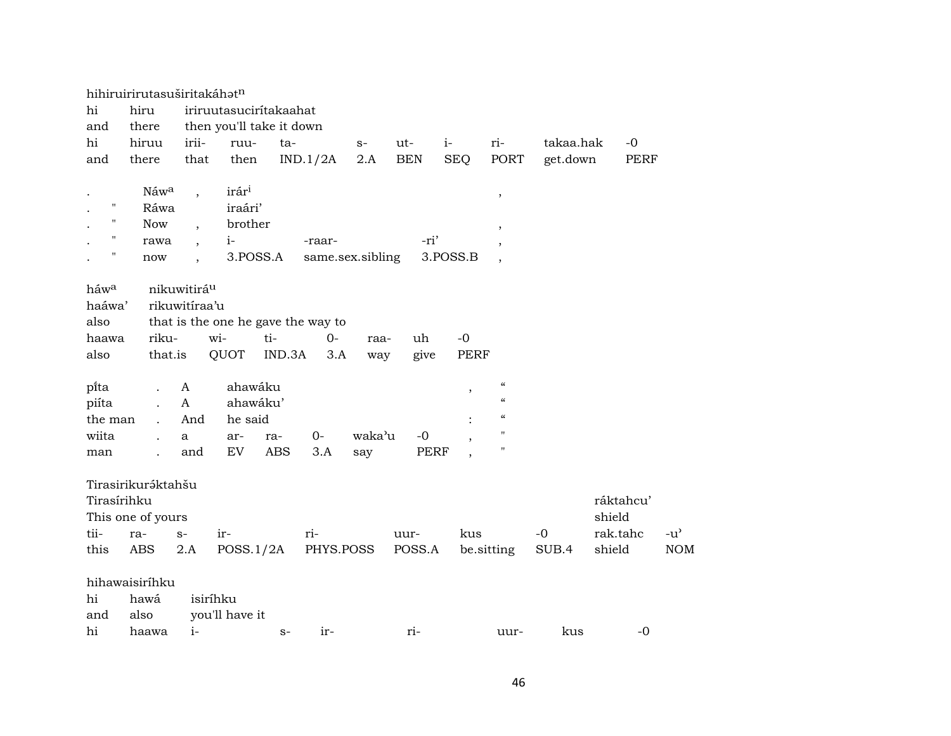|                  | hihiruirirutasuširitakáhatn |                          |                        |                                    |                  |             |             |                                                      |           |             |               |
|------------------|-----------------------------|--------------------------|------------------------|------------------------------------|------------------|-------------|-------------|------------------------------------------------------|-----------|-------------|---------------|
| hi               | hiru                        |                          | iriruutasucirítakaahat |                                    |                  |             |             |                                                      |           |             |               |
| and              | there                       |                          |                        | then you'll take it down           |                  |             |             |                                                      |           |             |               |
| hi               | hiruu                       | irii-                    | ruu-                   | ta-                                | $S-$             | ut-         | $i-$        | ri-                                                  | takaa.hak | -0          |               |
| and              | there                       | that                     | then                   | IND.1/2A                           | 2.A              | <b>BEN</b>  | <b>SEQ</b>  | PORT                                                 | get.down  | <b>PERF</b> |               |
|                  | Náwa                        |                          | irár <sup>i</sup>      |                                    |                  |             |             |                                                      |           |             |               |
| н                | Ráwa                        | $\overline{\phantom{a}}$ | iraári'                |                                    |                  |             |             | $\overline{\phantom{a}}$                             |           |             |               |
| н                | <b>Now</b>                  |                          | brother                |                                    |                  |             |             |                                                      |           |             |               |
| 11               | rawa                        | $\overline{\phantom{a}}$ | $i-$                   | -raar-                             |                  | -ri'        |             | $\overline{\phantom{a}}$                             |           |             |               |
| н                | now                         |                          | 3.POSS.A               |                                    | same.sex.sibling |             | 3.POSS.B    | $\overline{\phantom{a}}$<br>$\overline{\phantom{a}}$ |           |             |               |
|                  |                             |                          |                        |                                    |                  |             |             |                                                      |           |             |               |
| háw <sup>a</sup> |                             | nikuwitirá <sup>u</sup>  |                        |                                    |                  |             |             |                                                      |           |             |               |
| haáwa'           |                             | rikuwitíraa'u            |                        |                                    |                  |             |             |                                                      |           |             |               |
| also             |                             |                          |                        | that is the one he gave the way to |                  |             |             |                                                      |           |             |               |
| haawa            | riku-                       | wi-                      |                        | ti-<br>$O -$                       | raa-             | uh          | $-0$        |                                                      |           |             |               |
| also             | that.is                     |                          | QUOT                   | IND.3A<br>3.A                      | way              | give        | <b>PERF</b> |                                                      |           |             |               |
|                  |                             |                          |                        |                                    |                  |             |             |                                                      |           |             |               |
| pi̇̃ta           |                             | A                        | ahawáku                |                                    |                  |             | ,           | $\mathcal{C}\mathcal{C}$                             |           |             |               |
| piíta            |                             | $\mathbf{A}$             | ahawáku'               |                                    |                  |             |             | $\boldsymbol{\zeta}\boldsymbol{\zeta}$               |           |             |               |
| the man          |                             | And                      | he said                |                                    |                  |             |             | $\epsilon\epsilon$                                   |           |             |               |
| wiita            |                             | a                        | ar-                    | $0 -$<br>ra-                       | waka'u           | $-0$        |             | 11                                                   |           |             |               |
| man              |                             | and                      | EV                     | <b>ABS</b><br>3.A                  | say              | <b>PERF</b> |             | 11                                                   |           |             |               |
|                  |                             |                          |                        |                                    |                  |             |             |                                                      |           |             |               |
|                  | Tirasirikuráktahšu          |                          |                        |                                    |                  |             |             |                                                      |           |             |               |
| Tirasírihku      |                             |                          |                        |                                    |                  |             |             |                                                      |           | ráktahcu'   |               |
|                  | This one of yours           |                          |                        |                                    |                  |             |             |                                                      |           | shield      |               |
| tii-             | ra-                         | $S-$                     | ir-                    | ri-                                |                  | uur-        | kus         |                                                      | $-0$      | rak.tahc    | $-u^{\prime}$ |
| this             | ABS                         | 2.A                      | POSS.1/2A              |                                    | PHYS.POSS        | POSS.A      |             | be.sitting                                           | SUB.4     | shield      | <b>NOM</b>    |
|                  |                             |                          |                        |                                    |                  |             |             |                                                      |           |             |               |
|                  | hihawaisiríhku              |                          |                        |                                    |                  |             |             |                                                      |           |             |               |
| hi               | hawá                        | isiríhku                 |                        |                                    |                  |             |             |                                                      |           |             |               |
| and              | also                        |                          | you'll have it         |                                    |                  |             |             |                                                      |           |             |               |
| hi               | haawa                       | $i-$                     |                        | $ir-$<br>$S-$                      |                  | ri-         |             | uur-                                                 | kus       | $-0$        |               |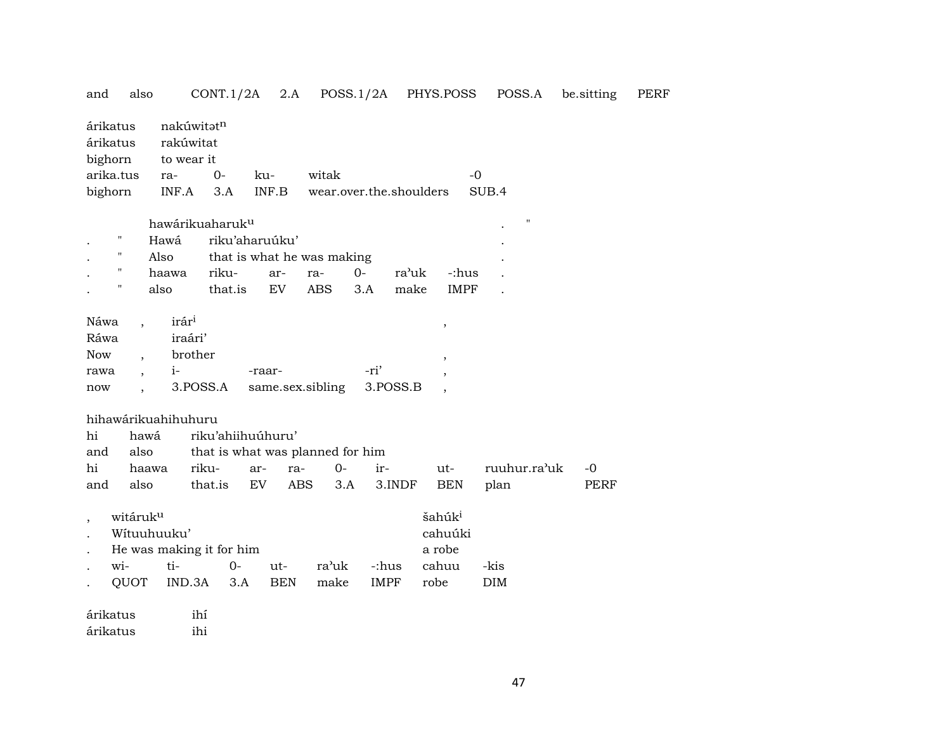| and        | also                            |                                       | CONT.1/2A                        | 2.A              |                         | POSS.1/2A   |          | PHYS.POSS               | POSS.A       | be.sitting | PERF |
|------------|---------------------------------|---------------------------------------|----------------------------------|------------------|-------------------------|-------------|----------|-------------------------|--------------|------------|------|
|            | árikatus<br>árikatus<br>bighorn | nakúwitatn<br>rakúwitat<br>to wear it |                                  |                  |                         |             |          |                         |              |            |      |
|            | arika.tus                       | ra-                                   | $0-$                             | ku-              | witak                   |             |          | $-0$                    |              |            |      |
|            | bighorn                         | INF.A                                 | 3.A                              | INF.B            | wear.over.the.shoulders |             |          |                         | SUB.4        |            |      |
|            |                                 |                                       | hawárikuaharuk <sup>u</sup>      |                  |                         |             |          |                         | п            |            |      |
|            | П                               | Hawá                                  | riku'aharuúku'                   |                  |                         |             |          |                         |              |            |      |
|            | 11                              | Also                                  | that is what he was making       |                  |                         |             |          |                         |              |            |      |
|            | "                               | haawa                                 | riku-                            | ar-              | ra-                     | $O -$       | ra'uk    | -:hus                   |              |            |      |
|            |                                 | also                                  | that.is                          | EV               | <b>ABS</b>              | 3.A         | make     | <b>IMPF</b>             |              |            |      |
|            |                                 |                                       |                                  |                  |                         |             |          |                         |              |            |      |
| Náwa       |                                 | irár <sup>i</sup>                     |                                  |                  |                         |             |          | $^\mathrm{^\mathrm{o}}$ |              |            |      |
| Ráwa       |                                 | iraári'                               |                                  |                  |                         |             |          |                         |              |            |      |
| <b>Now</b> |                                 | brother                               |                                  |                  |                         |             |          |                         |              |            |      |
| rawa       |                                 | $i-$                                  |                                  | -raar-           |                         | -ri'        |          |                         |              |            |      |
| now        |                                 | 3.POSS.A                              |                                  | same.sex.sibling |                         |             | 3.POSS.B |                         |              |            |      |
|            |                                 |                                       |                                  |                  |                         |             |          |                         |              |            |      |
|            |                                 | hihawárikuahihuhuru                   |                                  |                  |                         |             |          |                         |              |            |      |
| hi         | hawá                            |                                       | riku'ahiihuúhuru'                |                  |                         |             |          |                         |              |            |      |
| and        | also                            |                                       | that is what was planned for him |                  |                         |             |          |                         |              |            |      |
| hi         | haawa                           | riku-                                 | ar-                              | ra-              | $0-$                    | ir-         |          | ut-                     | ruuhur.ra'uk | $-0$       |      |
| and        | also                            |                                       | that.is<br>EV                    | <b>ABS</b>       | 3.A                     |             | 3.INDF   | <b>BEN</b>              | plan         | PERF       |      |
|            | witáruk <sup>u</sup>            |                                       |                                  |                  |                         |             |          | šahúk <sup>i</sup>      |              |            |      |
|            | Wítuuhuuku'                     |                                       |                                  |                  |                         |             |          | cahuúki                 |              |            |      |
|            |                                 |                                       | He was making it for him         |                  |                         |             |          | a robe                  |              |            |      |
|            | wi-                             | ti-                                   | $0-$                             | ut-              | ra'uk                   | -:hus       |          | cahuu                   | -kis         |            |      |
|            | QUOT                            | IND.3A                                | 3.A                              | BEN              | make                    | <b>IMPF</b> |          | robe                    | <b>DIM</b>   |            |      |
|            | árikatus                        | ihí                                   |                                  |                  |                         |             |          |                         |              |            |      |
|            | árikatus                        | ihi                                   |                                  |                  |                         |             |          |                         |              |            |      |
|            |                                 |                                       |                                  |                  |                         |             |          |                         |              |            |      |

47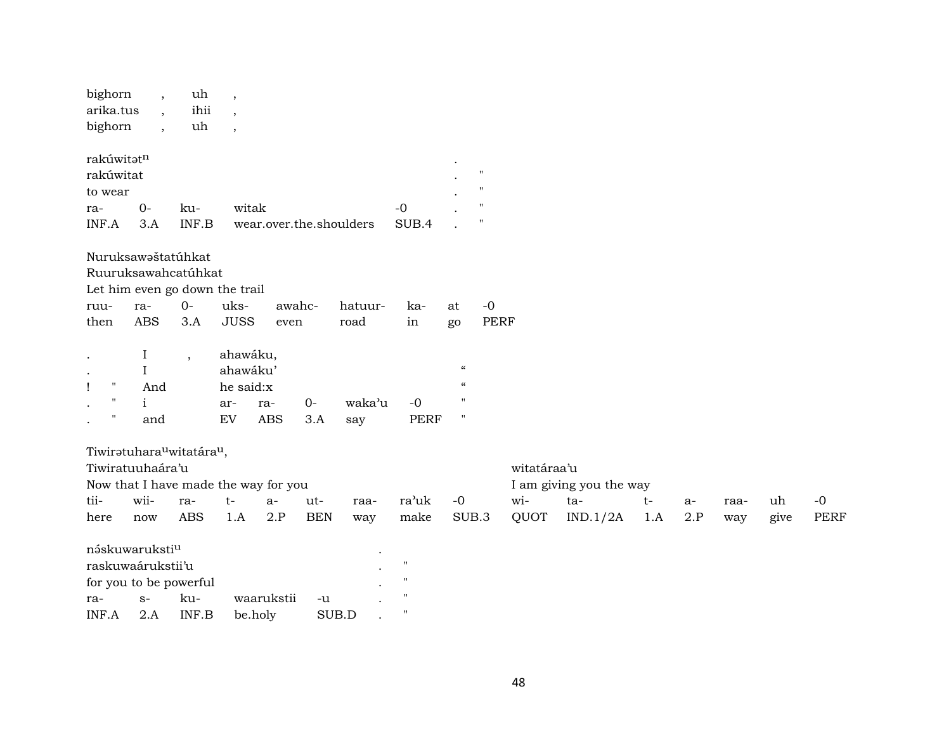| bighorn                                           |                                      | uh                       | $\overline{\phantom{a}}$ |                         |            |         |                    |                          |                    |             |                         |      |      |      |      |             |
|---------------------------------------------------|--------------------------------------|--------------------------|--------------------------|-------------------------|------------|---------|--------------------|--------------------------|--------------------|-------------|-------------------------|------|------|------|------|-------------|
| arika.tus                                         |                                      | ihii                     | $\overline{\phantom{a}}$ |                         |            |         |                    |                          |                    |             |                         |      |      |      |      |             |
| bighorn                                           |                                      | uh                       | $\overline{\phantom{a}}$ |                         |            |         |                    |                          |                    |             |                         |      |      |      |      |             |
| rakúwitatn                                        |                                      |                          |                          |                         |            |         |                    |                          |                    |             |                         |      |      |      |      |             |
| rakúwitat                                         |                                      |                          |                          |                         |            |         |                    |                          | $\pmb{\mathsf{H}}$ |             |                         |      |      |      |      |             |
| to wear                                           |                                      |                          |                          |                         |            |         |                    |                          | $^{\prime\prime}$  |             |                         |      |      |      |      |             |
| ra-                                               | $0-$                                 | ku-                      |                          | witak                   |            |         | $-0$               |                          | $^{\prime\prime}$  |             |                         |      |      |      |      |             |
| INF.A                                             | 3.A                                  | INF.B                    |                          | wear.over.the.shoulders |            |         | SUB.4              |                          | $\mathbf{H}$       |             |                         |      |      |      |      |             |
| Nuruksawaštatúhkat                                |                                      |                          |                          |                         |            |         |                    |                          |                    |             |                         |      |      |      |      |             |
| Ruuruksawahcatúhkat                               |                                      |                          |                          |                         |            |         |                    |                          |                    |             |                         |      |      |      |      |             |
| Let him even go down the trail                    |                                      |                          |                          |                         |            |         |                    |                          |                    |             |                         |      |      |      |      |             |
| ruu-                                              | ra-                                  | $O -$                    | uks-                     |                         | awahc-     | hatuur- | ka-                | at                       | $-0$               |             |                         |      |      |      |      |             |
| then                                              | <b>ABS</b>                           | 3.A                      | <b>JUSS</b>              | even                    |            | road    | in                 | go                       | <b>PERF</b>        |             |                         |      |      |      |      |             |
|                                                   | $\bf{I}$                             | $\overline{\phantom{a}}$ | ahawáku,                 |                         |            |         |                    |                          |                    |             |                         |      |      |      |      |             |
| $\bullet$                                         | Ι                                    |                          | ahawáku'                 |                         |            |         |                    | $\mathcal{C}\mathcal{C}$ |                    |             |                         |      |      |      |      |             |
| $\pmb{\mathsf{H}}$<br>Ţ                           | And                                  |                          | he said:x                |                         |            |         |                    | $\epsilon$               |                    |             |                         |      |      |      |      |             |
| $^{\prime}$                                       | $\mathbf{i}$                         |                          | ar-                      | ra-                     | $O -$      | waka'u  | $-0$               | п                        |                    |             |                         |      |      |      |      |             |
| $\mathbf{H}$                                      | and                                  |                          | EV                       | <b>ABS</b>              | 3.A        | say     | <b>PERF</b>        | $\pmb{\mathsf{H}}$       |                    |             |                         |      |      |      |      |             |
| Tiwiratuhara <sup>u</sup> witatára <sup>u</sup> , |                                      |                          |                          |                         |            |         |                    |                          |                    |             |                         |      |      |      |      |             |
| Tiwiratuuhaára'u                                  |                                      |                          |                          |                         |            |         |                    |                          |                    | witatáraa'u |                         |      |      |      |      |             |
|                                                   | Now that I have made the way for you |                          |                          |                         |            |         |                    |                          |                    |             | I am giving you the way |      |      |      |      |             |
| tii-                                              | wii-                                 | ra-                      | $t-$                     | $a-$                    | ut-        | raa-    | ra'uk              | $-0$                     |                    | wi-         | ta-                     | $t-$ | $a-$ | raa- | uh   | $-0$        |
| here                                              | now                                  | <b>ABS</b>               | 1.A                      | 2.P                     | <b>BEN</b> | way     | make               | SUB.3                    |                    | QUOT        | IND.1/2A                | 1.A  | 2.P  | way  | give | <b>PERF</b> |
| náskuwaruksti <sup>u</sup>                        |                                      |                          |                          |                         |            |         |                    |                          |                    |             |                         |      |      |      |      |             |
| raskuwaárukstii'u                                 |                                      |                          |                          |                         |            |         | $\mathbf H$        |                          |                    |             |                         |      |      |      |      |             |
| for you to be powerful                            |                                      |                          |                          |                         |            |         | $\mathbf H$        |                          |                    |             |                         |      |      |      |      |             |
| ra-                                               | $S-$                                 | ku-                      |                          | waarukstii              | -u         |         | $\mathbf{H}$       |                          |                    |             |                         |      |      |      |      |             |
| INF.A                                             | 2.A                                  | INF.B                    |                          | be.holy                 |            | SUB.D   | $\pmb{\mathsf{H}}$ |                          |                    |             |                         |      |      |      |      |             |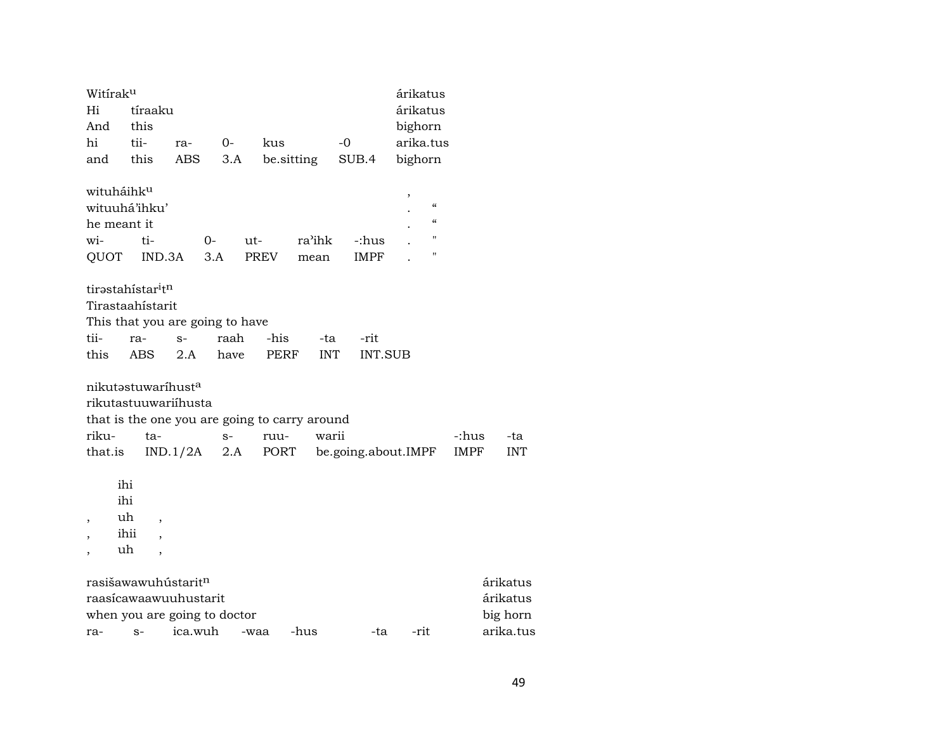| Witirak <sup>u</sup>     |                                               |            |      |      |            |                     | árikatus           |       |            |
|--------------------------|-----------------------------------------------|------------|------|------|------------|---------------------|--------------------|-------|------------|
| Hi                       | tíraaku                                       |            |      |      |            |                     | árikatus           |       |            |
| And                      | this                                          |            |      |      |            |                     | bighorn            |       |            |
| hi                       | tii-                                          | ra-        | $0-$ | kus  |            | -0                  | arika.tus          |       |            |
| and                      | this                                          | <b>ABS</b> | 3.A  |      | be sitting | SUB.4               | bighorn            |       |            |
|                          | wituháihk <sup>u</sup>                        |            |      |      |            |                     | $\,$               |       |            |
|                          | wituuhá'ihku'                                 |            |      |      |            |                     | $\epsilon\epsilon$ |       |            |
|                          | he meant it                                   |            |      |      |            |                     | $\epsilon\epsilon$ |       |            |
| wi-                      | ti-                                           |            | 0-   | ut-  | ra'ihk     | -:hus               | 11                 |       |            |
| QUOT                     | IND.3A                                        |            | 3.A  | PREV | mean       | <b>IMPF</b>         | 11                 |       |            |
|                          | tirəstahistar <sup>i</sup> t <sup>n</sup>     |            |      |      |            |                     |                    |       |            |
|                          | Tirastaahístarit                              |            |      |      |            |                     |                    |       |            |
|                          | This that you are going to have               |            |      |      |            |                     |                    |       |            |
| tii-                     | ra-                                           | $S-$       | raah | -his | -ta        | -rit                |                    |       |            |
| this                     | ABS                                           | 2.A        | have | PERF | <b>INT</b> | <b>INT.SUB</b>      |                    |       |            |
|                          | nikutastuwaríhusta                            |            |      |      |            |                     |                    |       |            |
|                          | rikutastuuwariihusta                          |            |      |      |            |                     |                    |       |            |
|                          | that is the one you are going to carry around |            |      |      |            |                     |                    |       |            |
| riku-                    | ta-                                           |            | $S-$ | ruu- | warii      |                     |                    | -:hus | -ta        |
| that.is                  |                                               | IND.1/2A   | 2.A  | PORT |            | be.going.about.IMPF |                    | IMPF  | <b>INT</b> |
|                          | ihi                                           |            |      |      |            |                     |                    |       |            |
|                          | ihi                                           |            |      |      |            |                     |                    |       |            |
|                          | uh                                            |            |      |      |            |                     |                    |       |            |
| ,                        | ihii                                          |            |      |      |            |                     |                    |       |            |
| $\overline{\phantom{a}}$ | ,<br>uh                                       |            |      |      |            |                     |                    |       |            |
| $\overline{ }$           | $\overline{\phantom{a}}$                      |            |      |      |            |                     |                    |       |            |
|                          | rasišawawuhústarit <sup>n</sup>               |            |      |      |            |                     |                    |       | árikatus   |
|                          | raasícawaawuuhustarit                         |            |      |      |            |                     |                    |       | árikatus   |
|                          | when you are going to doctor                  |            |      |      |            |                     |                    |       | big horn   |
| ra-                      | $S-$                                          | ica.wuh    |      | -waa | -hus       | -ta                 | -rit               |       | arika.tus  |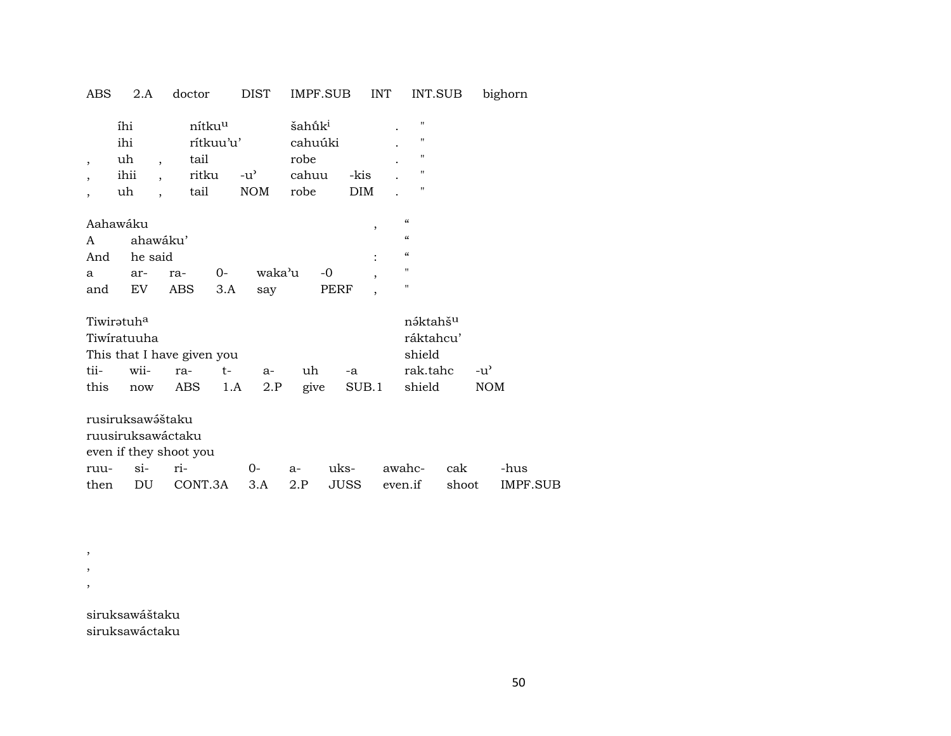ABS 2.A doctor DIST IMPF.SUB INT INT.SUB bighorn

|                          | íhi      |          | nítku <sup>u</sup> |               | šahū̃k <sup>i</sup> |      |            |   |                          | $^{\prime}$       |
|--------------------------|----------|----------|--------------------|---------------|---------------------|------|------------|---|--------------------------|-------------------|
|                          | ihi      |          | rítkuu'u'          |               | cahuúki             |      |            |   |                          | $^{\prime\prime}$ |
| $\overline{\phantom{a}}$ | uh       |          | tail               |               | robe                |      |            |   |                          | "                 |
| $\overline{ }$           | ihii     |          | ritku              | $-u^{\prime}$ | cahuu               |      | -kis       |   |                          | "                 |
|                          | uh       |          | tail               | <b>NOM</b>    | robe                |      | <b>DIM</b> |   |                          | $^{\prime\prime}$ |
|                          |          |          |                    |               |                     |      |            |   |                          |                   |
|                          | Aahawáku |          |                    |               |                     |      |            | , | $\epsilon$               |                   |
| A                        |          | ahawáku' |                    |               |                     |      |            |   | $\pmb{\zeta}\pmb{\zeta}$ |                   |
| And                      | he said  |          |                    |               |                     |      |            |   | $\pmb{\zeta}\pmb{\zeta}$ |                   |
| a                        | ar-      | ra-      | $O -$              |               | waka'u              | -0   |            | , | $^{\prime\prime}$        |                   |
| and                      | EV       | ABS      | 3.A                | say           |                     | PERF |            |   | $^{\prime\prime}$        |                   |

| rak.tahc -u <sup>3</sup> |
|--------------------------|
| NOM                      |
|                          |

rusiruksawáštaku ruusiruksawáctaku even if they shoot you ruu- si- ri- 0- a- uks- awahc- cak -hus then DU CONT.3A 3.A 2.P JUSS even.if shoot IMPF.SUB

siruksawáštaku siruksawáctaku

, , ,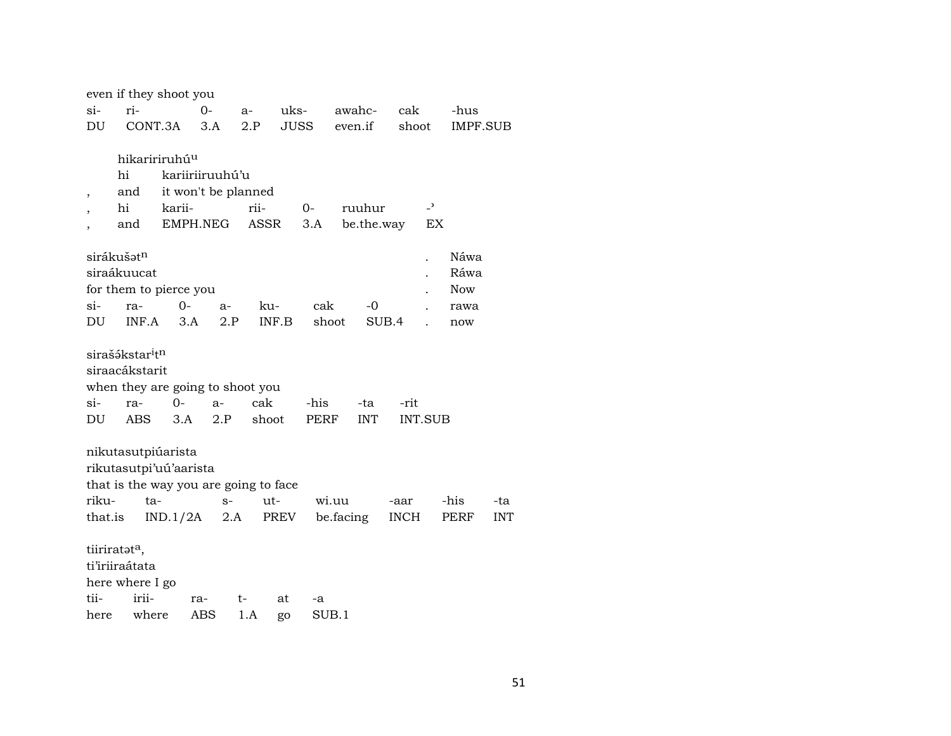|         |                                         | even if they shoot you                |      |       |      |       |       |            |             |                |            |            |
|---------|-----------------------------------------|---------------------------------------|------|-------|------|-------|-------|------------|-------------|----------------|------------|------------|
| $si-$   | ri-                                     |                                       | 0-   | $a-$  | uks- |       |       | awahc-     | cak         |                | -hus       |            |
| DU      | CONT.3A                                 |                                       | 3.A  | 2.P   |      | JUSS  |       | even.if    | shoot       |                | IMPF.SUB   |            |
|         |                                         |                                       |      |       |      |       |       |            |             |                |            |            |
|         |                                         | hikaririruhú <sup>u</sup>             |      |       |      |       |       |            |             |                |            |            |
|         | hi                                      | kariiriiruuhú'u                       |      |       |      |       |       |            |             |                |            |            |
| ,       | and                                     | it won't be planned                   |      |       |      |       |       |            |             |                |            |            |
|         | hi                                      | karii-                                |      | rii-  |      | $0-$  |       | ruuhur     |             | $\overline{a}$ |            |            |
|         | and                                     | EMPH.NEG                              |      | ASSR  |      | 3.A   |       | be.the.way |             | EX             |            |            |
|         |                                         |                                       |      |       |      |       |       |            |             |                |            |            |
|         | sirákušət <sup>n</sup>                  |                                       |      |       |      |       |       |            |             |                | Náwa       |            |
|         | siraákuucat                             |                                       |      |       |      |       |       |            |             |                | Ráwa       |            |
|         |                                         | for them to pierce you                |      |       |      |       |       |            |             |                | <b>Now</b> |            |
| $\sin$  | ra-                                     | 0-                                    | $a-$ | ku-   |      | cak   |       | -0         |             |                | rawa       |            |
| DU      | INF.A                                   | 3.A                                   | 2.P  | INF.B |      | shoot |       | SUB.4      |             |                | now        |            |
|         |                                         |                                       |      |       |      |       |       |            |             |                |            |            |
|         | sirašákstar <sup>i</sup> t <sup>n</sup> |                                       |      |       |      |       |       |            |             |                |            |            |
|         | siraacákstarit                          |                                       |      |       |      |       |       |            |             |                |            |            |
|         |                                         | when they are going to shoot you      |      |       |      |       |       |            |             |                |            |            |
| $si-$   | ra-                                     | $0-$                                  | $a-$ | cak   |      | -his  |       | -ta        | -rit        |                |            |            |
| DU      | ABS                                     | 3.A                                   | 2.P  | shoot |      | PERF  |       | <b>INT</b> |             | <b>INT.SUB</b> |            |            |
|         |                                         |                                       |      |       |      |       |       |            |             |                |            |            |
|         | nikutasutpiúarista                      |                                       |      |       |      |       |       |            |             |                |            |            |
|         |                                         | rikutasutpi'uú'aarista                |      |       |      |       |       |            |             |                |            |            |
|         |                                         | that is the way you are going to face |      |       |      |       |       |            |             |                |            |            |
| riku-   | ta-                                     |                                       | $S-$ | ut-   |      |       | wi.uu |            | -aar        |                | -his       | -ta        |
| that.is |                                         | IND.1/2A                              | 2.A  |       | PREV |       |       | be.facing  | <b>INCH</b> |                | PERF       | <b>INT</b> |
|         |                                         |                                       |      |       |      |       |       |            |             |                |            |            |
|         | tiiriratata,                            |                                       |      |       |      |       |       |            |             |                |            |            |
|         | ti'iriiraátata                          |                                       |      |       |      |       |       |            |             |                |            |            |
|         | here where I go                         |                                       |      |       |      |       |       |            |             |                |            |            |
| tii-    | irii-                                   | ra-                                   |      | t-    | at   | -a    |       |            |             |                |            |            |
| here    | where                                   |                                       | ABS  | 1.A   | go   | SUB.1 |       |            |             |                |            |            |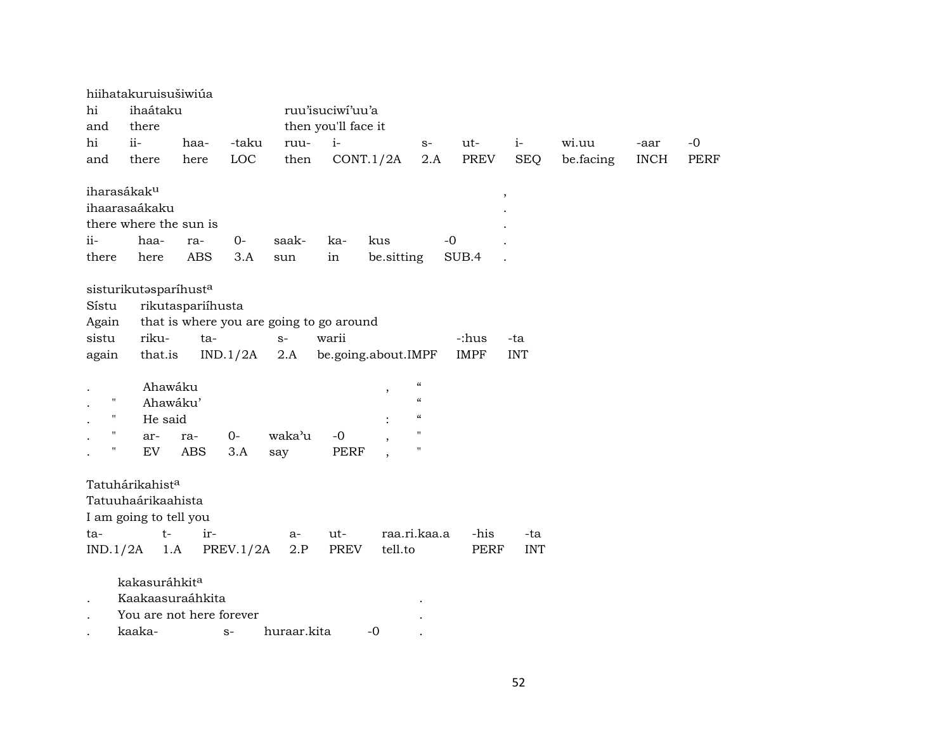|                    | hiihatakuruisušiwiúa     |                   |           |                                          |                     |                          |                                        |             |            |           |             |             |
|--------------------|--------------------------|-------------------|-----------|------------------------------------------|---------------------|--------------------------|----------------------------------------|-------------|------------|-----------|-------------|-------------|
| hi                 | ihaátaku                 |                   |           |                                          | ruu'isuciwi'uu'a    |                          |                                        |             |            |           |             |             |
| and                | there                    |                   |           |                                          | then you'll face it |                          |                                        |             |            |           |             |             |
| hi                 | ii-                      | haa-              | -taku     | ruu-                                     | $i-$                |                          | $S-$                                   | ut-         | $i-$       | wi.uu     | -aar        | $-0$        |
| and                | there                    | here              | LOC       | then                                     |                     | CONT.1/2A                | 2.A                                    | <b>PREV</b> | <b>SEQ</b> | be.facing | <b>INCH</b> | <b>PERF</b> |
|                    | iharasákak <sup>u</sup>  |                   |           |                                          |                     |                          |                                        |             |            |           |             |             |
|                    | ihaarasaákaku            |                   |           |                                          |                     |                          |                                        |             | $\cdot$    |           |             |             |
|                    | there where the sun is   |                   |           |                                          |                     |                          |                                        |             |            |           |             |             |
| ii-                | haa-                     | ra-               | $0-$      | saak-                                    | ka-                 | kus                      |                                        | $-0$        |            |           |             |             |
| there              | here                     | <b>ABS</b>        | 3.A       | sun                                      | in                  | be.sitting               |                                        | SUB.4       |            |           |             |             |
|                    |                          |                   |           |                                          |                     |                          |                                        |             |            |           |             |             |
|                    | sisturikutasparíhusta    |                   |           |                                          |                     |                          |                                        |             |            |           |             |             |
| Sístu              |                          | rikutaspariíhusta |           |                                          |                     |                          |                                        |             |            |           |             |             |
| Again              |                          |                   |           | that is where you are going to go around |                     |                          |                                        |             |            |           |             |             |
| sistu              | riku-                    | ta-               |           | $S-$                                     | warii               |                          |                                        | -:hus       | -ta        |           |             |             |
| again              | that.is                  |                   | IND.1/2A  | 2.A                                      |                     | be.going.about.IMPF      |                                        | <b>IMPF</b> | <b>INT</b> |           |             |             |
|                    | Ahawáku                  |                   |           |                                          |                     |                          | $\boldsymbol{\zeta}\boldsymbol{\zeta}$ |             |            |           |             |             |
| $\pmb{\mathsf{H}}$ | Ahawáku'                 |                   |           |                                          |                     | $\overline{\phantom{a}}$ | $\boldsymbol{\zeta}\boldsymbol{\zeta}$ |             |            |           |             |             |
| $\pmb{\Pi}$        | He said                  |                   |           |                                          |                     |                          | $\boldsymbol{\zeta}\boldsymbol{\zeta}$ |             |            |           |             |             |
| $\pmb{\mathsf{H}}$ | ar-                      | ra-               | $0-$      | waka'u                                   | $-0$                |                          | 11                                     |             |            |           |             |             |
| $\pmb{\mathsf{H}}$ | EV                       | <b>ABS</b>        | 3.A       | say                                      | <b>PERF</b>         |                          | $^{\prime}$                            |             |            |           |             |             |
|                    |                          |                   |           |                                          |                     |                          |                                        |             |            |           |             |             |
|                    | Tatuhárikahista          |                   |           |                                          |                     |                          |                                        |             |            |           |             |             |
|                    | Tatuuhaárikaahista       |                   |           |                                          |                     |                          |                                        |             |            |           |             |             |
|                    | I am going to tell you   |                   |           |                                          |                     |                          |                                        |             |            |           |             |             |
| ta-                | $t-$                     | ir-               |           | a-                                       | ut-                 |                          | raa.ri.kaa.a                           | -his        | -ta        |           |             |             |
| IND.1/2A           |                          | 1.A               | PREV.1/2A | 2.P                                      | PREV                | tell.to                  |                                        | <b>PERF</b> | <b>INT</b> |           |             |             |
|                    | kakasuráhkita            |                   |           |                                          |                     |                          |                                        |             |            |           |             |             |
|                    | Kaakaasuraáhkita         |                   |           |                                          |                     |                          |                                        |             |            |           |             |             |
|                    | You are not here forever |                   |           |                                          |                     |                          |                                        |             |            |           |             |             |
|                    | kaaka-                   |                   | $S-$      | huraar.kita                              |                     | $-0$                     |                                        |             |            |           |             |             |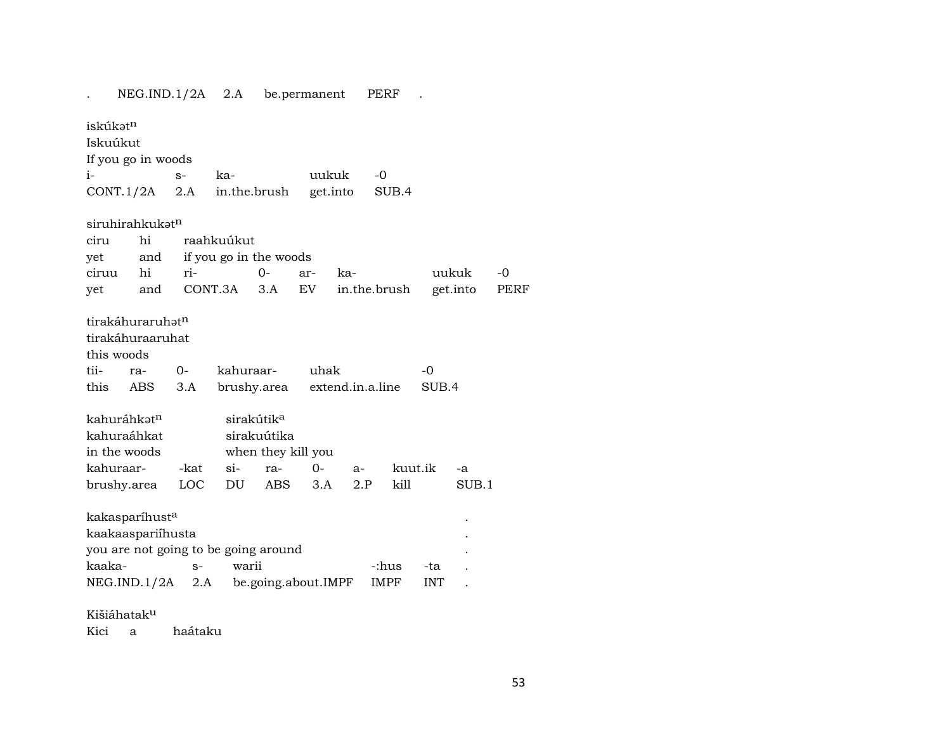|                                      |     | NEG.ID.1/2A 2.A |                            |                     | be.permanent |                  | PERF  |              |            |          |      |
|--------------------------------------|-----|-----------------|----------------------------|---------------------|--------------|------------------|-------|--------------|------------|----------|------|
| iskúkatn                             |     |                 |                            |                     |              |                  |       |              |            |          |      |
| Iskuúkut                             |     |                 |                            |                     |              |                  |       |              |            |          |      |
| If you go in woods                   |     |                 |                            |                     |              |                  |       |              |            |          |      |
| $i-$                                 |     | $S-$            | ka-                        |                     | uukuk        |                  | $-0$  |              |            |          |      |
| $CONT.1/2A$ 2.A                      |     |                 | in.the.brush               |                     |              | get.into         |       | SUB.4        |            |          |      |
| siruhirahkukat <sup>n</sup>          |     |                 |                            |                     |              |                  |       |              |            |          |      |
| ciru                                 | hi  |                 | raahkuúkut                 |                     |              |                  |       |              |            |          |      |
| yet                                  |     |                 | and if you go in the woods |                     |              |                  |       |              |            |          |      |
| ciruu                                | hi  | ri-             |                            | $0 -$               | ar-          | ka-              |       |              |            | uukuk    | $-0$ |
| yet                                  | and |                 | CONT.3A                    | 3.A                 | EV           |                  |       | in.the.brush |            | get.into | PERF |
|                                      |     |                 |                            |                     |              |                  |       |              |            |          |      |
| tirakáhuraruhat <sup>n</sup>         |     |                 |                            |                     |              |                  |       |              |            |          |      |
| tirakáhuraaruhat                     |     |                 |                            |                     |              |                  |       |              |            |          |      |
| this woods                           |     |                 |                            |                     |              |                  |       |              |            |          |      |
| tii-<br>ra-                          |     | $O -$           | kahuraar-                  |                     | uhak         |                  |       |              | -0         |          |      |
| this                                 | ABS | 3.A             |                            | brushy.area         |              | extend.in.a.line |       |              | SUB.4      |          |      |
| kahuráhkat <sup>n</sup>              |     |                 | sirakútik <sup>a</sup>     |                     |              |                  |       |              |            |          |      |
| kahuraáhkat                          |     |                 |                            | sirakuútika         |              |                  |       |              |            |          |      |
| in the woods                         |     |                 |                            | when they kill you  |              |                  |       |              |            |          |      |
| kahuraar-                            |     | -kat            | $\sin$                     | ra-                 | $0 -$        | $a-$             |       | kuut.ik      |            | $-a$     |      |
| brushy.area                          |     | LOC             | DU                         | ABS                 | 3.A          | 2.P              |       | kill         |            | SUB.1    |      |
| kakasparíhust <sup>a</sup>           |     |                 |                            |                     |              |                  |       |              |            |          |      |
| kaakaaspariihusta                    |     |                 |                            |                     |              |                  |       |              |            |          |      |
| you are not going to be going around |     |                 |                            |                     |              |                  |       |              |            |          |      |
| kaaka-                               |     | $S-$            | warii                      |                     |              |                  | -:hus |              | -ta        |          |      |
| NEG.ID.1/2A 2.A                      |     |                 |                            | be.going.about.IMPF |              |                  | IMPF  |              | <b>INT</b> |          |      |
|                                      |     |                 |                            |                     |              |                  |       |              |            |          |      |

# Kišiáhatakµ

Kici a haátaku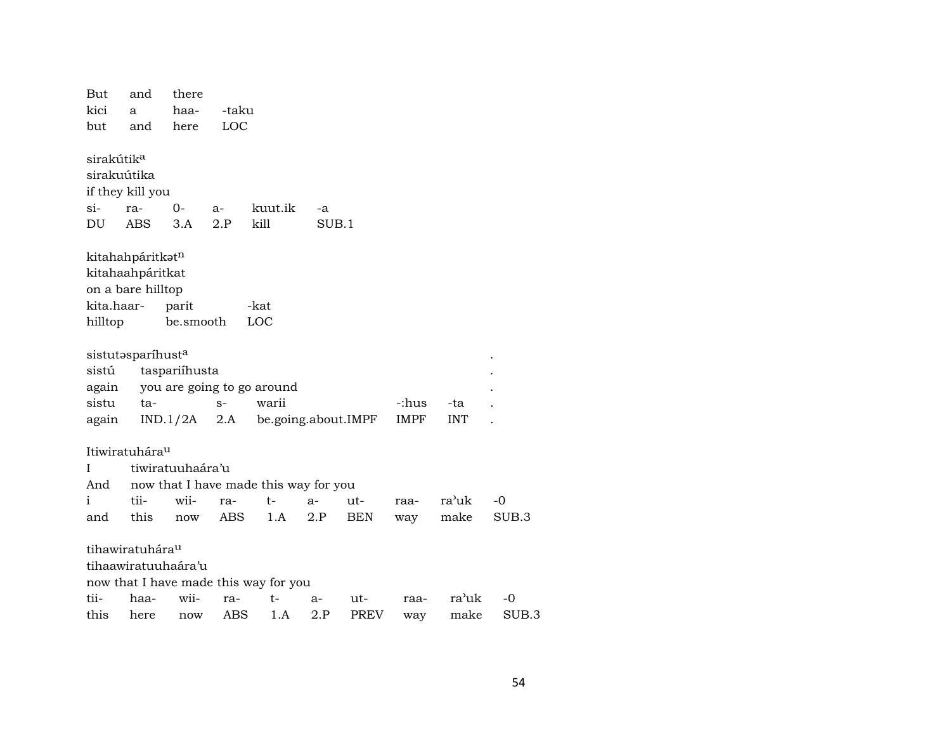But and there kici  $\mathbf{a}$ haa--taku but here LOC and sirakútik<sup>a</sup> sirakuútika if they kill you  $\sin$ ra- $0$ kuut.ik  $a -a$ kill **DU** ABS  $3.A$  $2.P$  $SUB.1$ kitahahpáritkatn kitahaahpáritkat on a bare hilltop kita.haarparit -kat hilltop be.smooth LOC sistutasparíhusta taspariíhusta sistú you are going to go around again tawarii sistu  $S-$ -:hus -ta  $IND.1/2A$  2.A be.going.about.IMPF **IMPF INT** again  $\ddot{\phantom{a}}$ Itiwiratuhára<sup>u</sup> tiwiratuuhaára'u  $\mathbf{I}$ now that I have made this way for you And  $\mathbf{i}$ tiiwiira $t$  $a$ ra'uk  $-0$ utraaand this now **ABS**  $1.A$   $2.P$ **BEN** make SUB<sub>3</sub> way tihawiratuhára<sup>u</sup> tihaawiratuuhaára'u now that I have made this way for you tiihaawiira $t$  $a$ utraara'uk PREV **ABS**  $2.P$ this here  $1.A$ make now way

 $-0$ 

SUB.3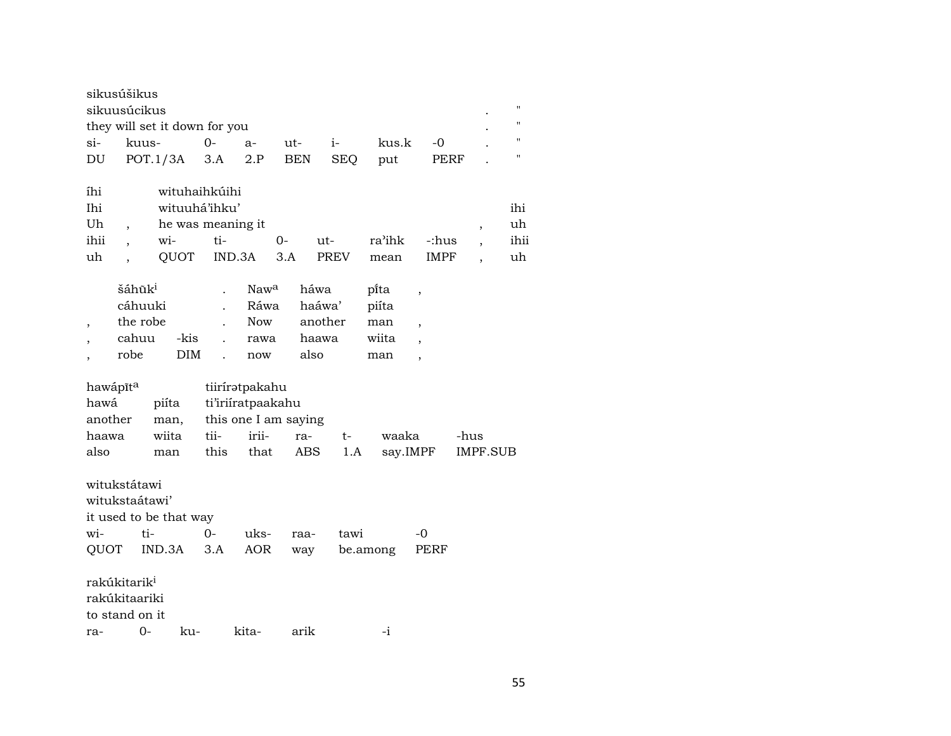| sikusúšikus<br>sikuusúcikus                                       |                          |                                    | п                              |
|-------------------------------------------------------------------|--------------------------|------------------------------------|--------------------------------|
| they will set it down for you                                     |                          |                                    |                                |
| $0-$<br>si-<br>kuus-<br>$a-$                                      | $i-$<br>ut-              | kus.k<br>-0                        |                                |
| POT.1/3A<br>3.A<br>DU<br>2.P                                      | <b>BEN</b><br><b>SEQ</b> | PERF<br>put                        | $^{\prime\prime}$              |
|                                                                   |                          |                                    |                                |
| wituhaihkúihi<br>íhi                                              |                          |                                    |                                |
| wituuhá'ihku'<br>Ihi                                              |                          |                                    | ihi                            |
| Uh<br>he was meaning it                                           |                          |                                    | uh<br>$\overline{\phantom{a}}$ |
| ihii<br>ti-<br>wi-<br>0-                                          | ut-                      | ra'ihk<br>-:hus                    | ihii                           |
| uh<br>QUOT<br>IND.3A<br>3.A                                       | <b>PREV</b>              | <b>IMPF</b><br>mean                | uh                             |
|                                                                   |                          |                                    |                                |
| šáhũk <sup>i</sup><br>Naw <sup>a</sup>                            | háwa                     | pi̇̃ta<br>$\overline{\phantom{a}}$ |                                |
| cáhuuki<br>Ráwa                                                   | haáwa'                   | piíta                              |                                |
| the robe<br><b>Now</b><br>$\overline{\phantom{a}}$                | another                  | man<br>,                           |                                |
| cahuu<br>-kis<br>rawa                                             | haawa                    | wiita                              |                                |
| robe<br><b>DIM</b><br>now                                         | also                     | man<br>$\overline{\phantom{a}}$    |                                |
|                                                                   |                          |                                    |                                |
| hawápīta<br>tiiríratpakahu<br>hawá                                |                          |                                    |                                |
| ti'iriiratpaakahu<br>piíta                                        |                          |                                    |                                |
| this one I am saying<br>another<br>man,<br>irii-<br>wiita<br>tii- |                          | waaka                              |                                |
| haawa                                                             | ra-<br>t-                |                                    | -hus                           |
| this<br>also<br>that<br>man                                       | ABS<br>1.A               | say.IMPF                           | IMPF.SUB                       |
| witukstátawi                                                      |                          |                                    |                                |
| witukstaátawi'                                                    |                          |                                    |                                |
| it used to be that way                                            |                          |                                    |                                |
| wi-<br>$O -$<br>ti-<br>uks-                                       | tawi<br>raa-             | -0                                 |                                |
| QUOT<br>IND.3A<br>3.A<br>AOR                                      |                          | be.among<br>PERF                   |                                |
|                                                                   | way                      |                                    |                                |
| rakúkitarik <sup>i</sup>                                          |                          |                                    |                                |
| rakúkitaariki                                                     |                          |                                    |                                |
|                                                                   |                          |                                    |                                |
| to stand on it                                                    |                          |                                    |                                |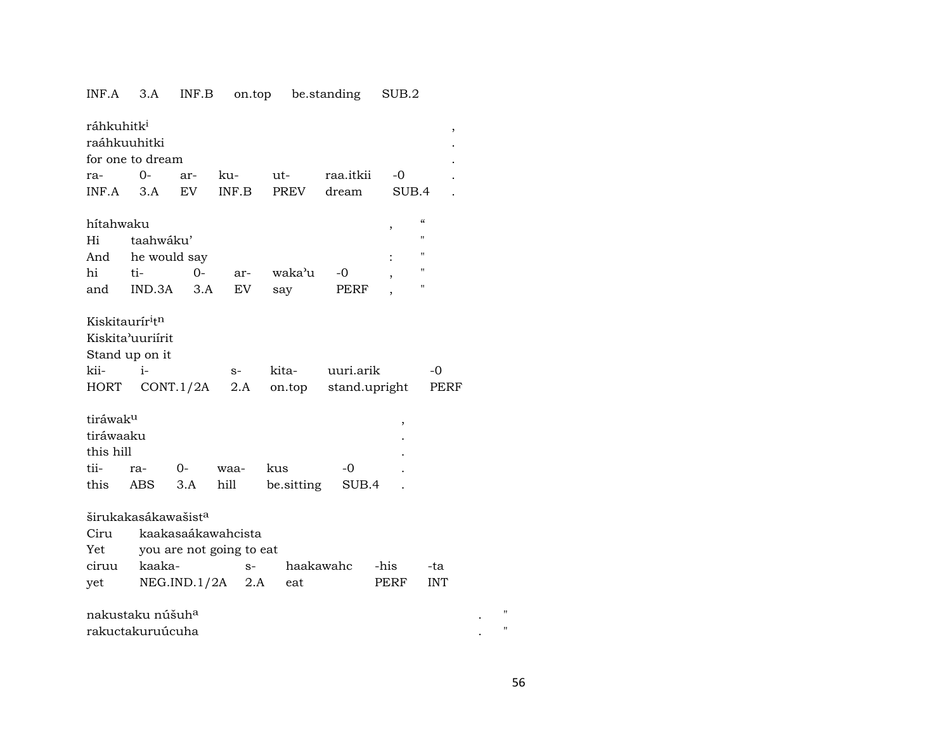# INF.A 3.A INF.B on.top be.standing SUB.2

| ráhkuhitk <sup>i</sup>                  |                                 |              |                          |             |            |               |                          |                   | ,          |             |
|-----------------------------------------|---------------------------------|--------------|--------------------------|-------------|------------|---------------|--------------------------|-------------------|------------|-------------|
| raáhkuuhitki                            |                                 |              |                          |             |            |               |                          |                   |            |             |
|                                         | for one to dream                |              |                          |             |            |               |                          |                   |            |             |
| ra-                                     | $0-$                            | ar-          | ku-                      | ut-         |            | raa.itkii     |                          | -0                |            |             |
| INF.A                                   | 3.A                             | <b>EV</b>    | INF.B                    | <b>PREV</b> |            | dream         |                          | SUB.4             |            |             |
| hítahwaku                               |                                 |              |                          |             |            |               | $\, ,$                   | $\epsilon$        |            |             |
| Hi                                      | taahwáku'                       |              |                          |             |            |               |                          | $^{\prime}$       |            |             |
| And                                     | he would say                    |              |                          |             |            |               |                          | "                 |            |             |
| hi                                      | ti-                             | $0-$         | ar-                      |             | waka'u     | -0            | $\overline{\phantom{a}}$ | $^{\prime\prime}$ |            |             |
| and                                     | IND.3A                          | 3.A          | EV.                      | say         |            | PERF          |                          | "                 |            |             |
|                                         |                                 |              |                          |             |            |               |                          |                   |            |             |
| Kiskitaurír <sup>i</sup> t <sup>n</sup> |                                 |              |                          |             |            |               |                          |                   |            |             |
|                                         | Kiskita'uuriirit                |              |                          |             |            |               |                          |                   |            |             |
|                                         | Stand up on it                  |              |                          |             |            |               |                          |                   |            |             |
| kii-                                    | $i-$                            |              | $S-$                     | kita-       |            | uuri.arik     |                          |                   | -0         |             |
| HORT                                    |                                 | CONT.1/2A    | 2.A                      |             | on.top     | stand.upright |                          |                   | PERF       |             |
|                                         |                                 |              |                          |             |            |               |                          |                   |            |             |
| tiráwak <sup>u</sup>                    |                                 |              |                          |             |            |               |                          | ,                 |            |             |
| tiráwaaku                               |                                 |              |                          |             |            |               |                          |                   |            |             |
| this hill                               |                                 |              |                          |             |            |               |                          |                   |            |             |
| tii-                                    | ra-                             | 0-           | waa-                     | kus         |            | -0            |                          |                   |            |             |
| this                                    | ABS                             | 3.A          | hill                     |             | be sitting | SUB.4         |                          |                   |            |             |
|                                         |                                 |              |                          |             |            |               |                          |                   |            |             |
|                                         | širukakasákawašist <sup>a</sup> |              |                          |             |            |               |                          |                   |            |             |
| Ciru                                    |                                 |              | kaakasaákawahcista       |             |            |               |                          |                   |            |             |
| Yet                                     |                                 |              | you are not going to eat |             |            |               |                          |                   |            |             |
| ciruu                                   | kaaka-                          |              | $S-$                     |             | haakawahc  |               | -his                     |                   | -ta        |             |
| yet                                     |                                 | NEG.IND.1/2A | 2.A                      |             | eat        |               | PERF                     |                   | <b>INT</b> |             |
|                                         |                                 |              |                          |             |            |               |                          |                   |            |             |
|                                         | nakustaku núšuh <sup>a</sup>    |              |                          |             |            |               |                          |                   |            |             |
|                                         | rakuctakuruúcuha                |              |                          |             |            |               |                          |                   |            | $^{\prime}$ |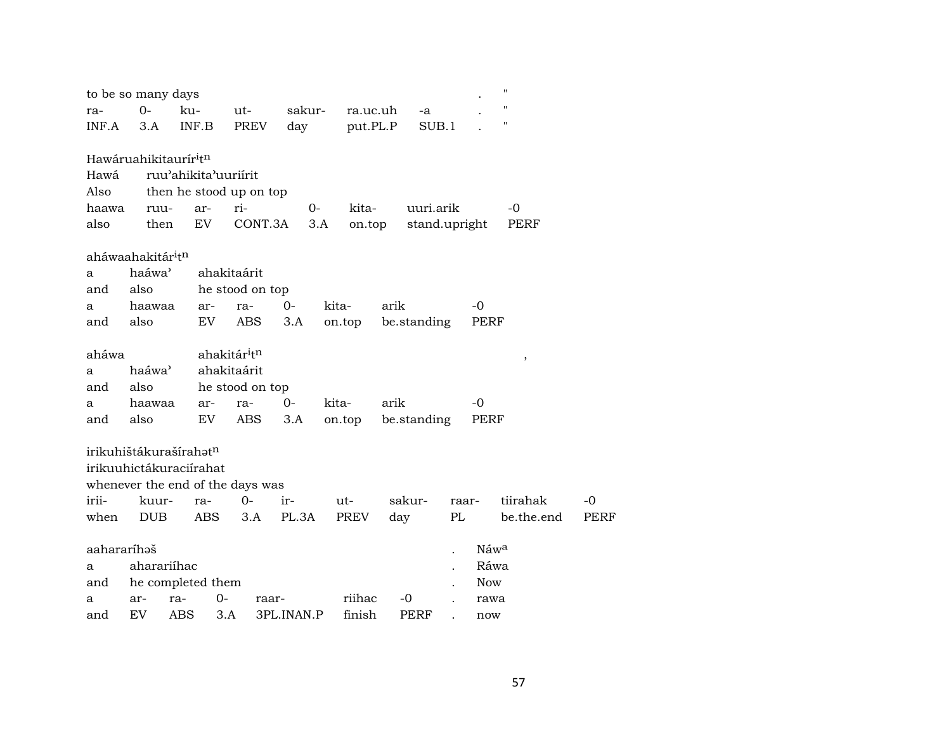|             | to be so many days                            |       |                                      |                         |        |             |          |               |       |                  | "                        |      |
|-------------|-----------------------------------------------|-------|--------------------------------------|-------------------------|--------|-------------|----------|---------------|-------|------------------|--------------------------|------|
| ra-         | $O -$                                         | ku-   |                                      | ut-                     | sakur- | ra.uc.uh    |          | -a            |       |                  | "                        |      |
| INF.A       | 3.A                                           | INF.B |                                      | PREV                    | day    |             | put.PL.P | SUB.1         |       |                  | "                        |      |
|             |                                               |       |                                      |                         |        |             |          |               |       |                  |                          |      |
|             | Hawáruahikitaurír <sup>i</sup> t <sup>n</sup> |       |                                      |                         |        |             |          |               |       |                  |                          |      |
| Hawá        |                                               |       | ruu'ahikita'uuriirit                 |                         |        |             |          |               |       |                  |                          |      |
| Also        |                                               |       |                                      | then he stood up on top |        |             |          |               |       |                  |                          |      |
| haawa       | ruu-                                          | ar-   | ri-                                  |                         | 0-     | kita-       |          | uuri.arik     |       |                  | -0                       |      |
| also        | then                                          | EV    |                                      | CONT.3A                 | 3.A    | on.top      |          | stand.upright |       |                  | PERF                     |      |
|             | aháwaahakitár <sup>i</sup> t <sup>n</sup>     |       |                                      |                         |        |             |          |               |       |                  |                          |      |
| a           | haáwa <sup>3</sup>                            |       | ahakitaárit                          |                         |        |             |          |               |       |                  |                          |      |
| and         | also                                          |       |                                      | he stood on top         |        |             |          |               |       |                  |                          |      |
| a           | haawaa                                        |       | ar-<br>ra-                           | $0-$                    |        | kita-       | arik     |               |       | $-0$             |                          |      |
| and         | also                                          |       | EV                                   | <b>ABS</b><br>3.A       |        | on.top      |          | be.standing   |       | PERF             |                          |      |
|             |                                               |       |                                      |                         |        |             |          |               |       |                  |                          |      |
| aháwa       |                                               |       | ahakitár <sup>i</sup> t <sup>n</sup> |                         |        |             |          |               |       |                  | $\overline{\phantom{a}}$ |      |
| a           | haáwa <sup>3</sup>                            |       | ahakitaárit                          |                         |        |             |          |               |       |                  |                          |      |
| and         | also                                          |       |                                      | he stood on top         |        |             |          |               |       |                  |                          |      |
| a           | haawaa                                        |       | ra-<br>ar-                           | $0-$                    |        | kita-       | arik     |               |       | -0               |                          |      |
| and         | also                                          |       | EV                                   | ABS<br>3.A              |        | on.top      |          | be.standing   |       | PERF             |                          |      |
|             |                                               |       |                                      |                         |        |             |          |               |       |                  |                          |      |
|             | irikuhištákurašírahət <sup>n</sup>            |       |                                      |                         |        |             |          |               |       |                  |                          |      |
|             | irikuuhictákuraciírahat                       |       |                                      |                         |        |             |          |               |       |                  |                          |      |
|             | whenever the end of the days was              |       |                                      |                         |        |             |          |               |       |                  |                          |      |
| irii-       | kuur-                                         | ra-   |                                      | $0 -$<br>ir-            |        | $ut-$       | sakur-   |               | raar- |                  | tiirahak                 | -0   |
| when        | <b>DUB</b>                                    |       | <b>ABS</b>                           | 3.A                     | PL.3A  | <b>PREV</b> | day      |               | PL    |                  | be.the.end               | PERF |
| aahararíhaš |                                               |       |                                      |                         |        |             |          |               |       | Náw <sup>a</sup> |                          |      |
| a           | aharariíhac                                   |       |                                      |                         |        |             |          |               |       | Ráwa             |                          |      |
| and         | he completed them                             |       |                                      |                         |        |             |          |               |       | <b>Now</b>       |                          |      |
| a           | ar-                                           | ra-   | $0-$                                 | raar-                   |        | riihac      | -0       |               |       | rawa             |                          |      |
| and         | <b>EV</b>                                     | ABS   | 3.A                                  | 3PL.INAN.P              |        | finish      |          | PERF          |       | now              |                          |      |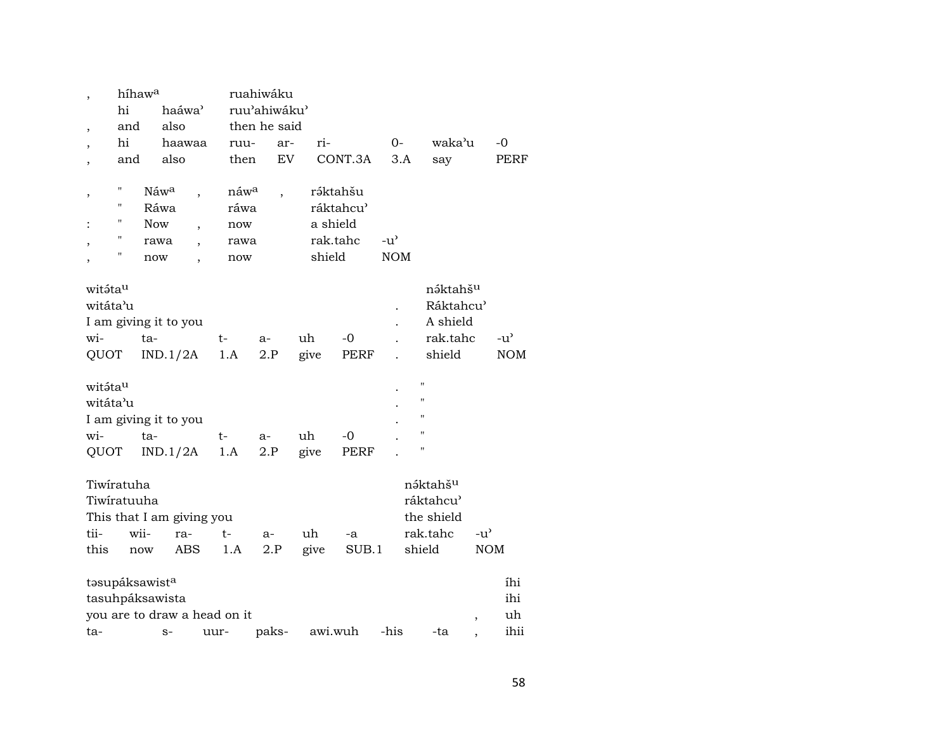|                           | híhawa |                  |                    |                          |                              | ruahiwáku                |           |          |           |               |                |                       |                          |            |
|---------------------------|--------|------------------|--------------------|--------------------------|------------------------------|--------------------------|-----------|----------|-----------|---------------|----------------|-----------------------|--------------------------|------------|
|                           | hi     |                  | haáwa <sup>3</sup> |                          |                              | ruu'ahiwáku'             |           |          |           |               |                |                       |                          |            |
| $\overline{\phantom{a}}$  | and    |                  | also               |                          |                              | then he said             |           |          |           |               |                |                       |                          |            |
| $\cdot$                   | hi     |                  | haawaa             |                          | ruu-                         |                          | ar-       | ri-      |           | $0-$          |                | waka'u                |                          | $-0$       |
| $\cdot$                   | and    |                  | also               |                          | then                         |                          | <b>EV</b> |          | CONT.3A   | 3.A           |                | say                   |                          | PERF       |
|                           |        |                  |                    |                          |                              |                          |           |          |           |               |                |                       |                          |            |
| ,                         | Π      | Náw <sup>a</sup> |                    |                          | náw <sup>a</sup>             | $\overline{\phantom{a}}$ |           |          | ráktahšu  |               |                |                       |                          |            |
|                           | Π      | Ráwa             |                    |                          | ráwa                         |                          |           |          | ráktahcu' |               |                |                       |                          |            |
|                           | П      | <b>Now</b>       |                    | $\overline{\phantom{a}}$ | now                          |                          |           | a shield |           |               |                |                       |                          |            |
|                           | н      | rawa             |                    |                          | rawa                         |                          |           |          | rak.tahc  | $-u^{\prime}$ |                |                       |                          |            |
|                           | П      | now              |                    |                          | now                          |                          |           | shield   |           | <b>NOM</b>    |                |                       |                          |            |
| ,                         |        |                  |                    |                          |                              |                          |           |          |           |               |                |                       |                          |            |
| witáta <sup>u</sup>       |        |                  |                    |                          |                              |                          |           |          |           |               |                | nə́ktahš <sup>u</sup> |                          |            |
| witáta'u                  |        |                  |                    |                          |                              |                          |           |          |           |               |                | Ráktahcu'             |                          |            |
| I am giving it to you     |        |                  |                    |                          |                              |                          |           |          |           |               |                | A shield              |                          |            |
| wi-                       |        | ta-              |                    |                          | t-                           | a-                       |           | uh       | $-0$      |               |                | rak.tahc              |                          | -u'        |
| QUOT                      |        |                  | IND.1/2A           |                          | 1.A                          | 2.P                      |           | give     | PERF      |               |                | shield                |                          | <b>NOM</b> |
|                           |        |                  |                    |                          |                              |                          |           |          |           |               |                |                       |                          |            |
| witáta <sup>u</sup>       |        |                  |                    |                          |                              |                          |           |          |           |               | $\blacksquare$ |                       |                          |            |
| witáta'u                  |        |                  |                    |                          |                              |                          |           |          |           |               | П              |                       |                          |            |
|                           |        |                  |                    |                          |                              |                          |           |          |           |               | $\mathbf{H}$   |                       |                          |            |
| I am giving it to you     |        |                  |                    |                          |                              |                          |           |          |           |               | п              |                       |                          |            |
| wi-                       |        | ta-              |                    |                          | t-                           | $a-$                     |           | uh       | $-0$      |               | Ħ              |                       |                          |            |
| QUOT                      |        |                  | IND.1/2A           |                          | 1.A                          | 2.P                      |           | give     | PERF      |               |                |                       |                          |            |
|                           |        |                  |                    |                          |                              |                          |           |          |           |               |                |                       |                          |            |
| Tiwiratuha                |        |                  |                    |                          |                              |                          |           |          |           |               |                | náktahš <sup>u</sup>  |                          |            |
| Tiwiratuuha               |        |                  |                    |                          |                              |                          |           |          |           |               |                | ráktahcu <sup>3</sup> |                          |            |
| This that I am giving you |        |                  |                    |                          |                              |                          |           |          |           |               |                | the shield            |                          |            |
| tii-                      |        | wii-             | ra-                |                          | t-                           | $a-$                     |           | uh       | -a        |               |                | rak.tahc              | $-u^{\prime}$            |            |
| this                      |        | now              | ABS                |                          | 1.A                          | 2.P                      |           | give     | SUB.1     |               | shield         |                       | <b>NOM</b>               |            |
| tasupáksawista            |        |                  |                    |                          |                              |                          |           |          |           |               |                |                       |                          | íhi        |
| tasuhpáksawista           |        |                  |                    |                          |                              |                          |           |          |           |               |                |                       |                          | ihi        |
|                           |        |                  |                    |                          | you are to draw a head on it |                          |           |          |           |               |                |                       | $\overline{\phantom{a}}$ | uh         |
| ta-                       |        |                  | $S-$               | uur-                     |                              | paks-                    |           | awi.wuh  |           | -his          |                | -ta                   |                          | ihii       |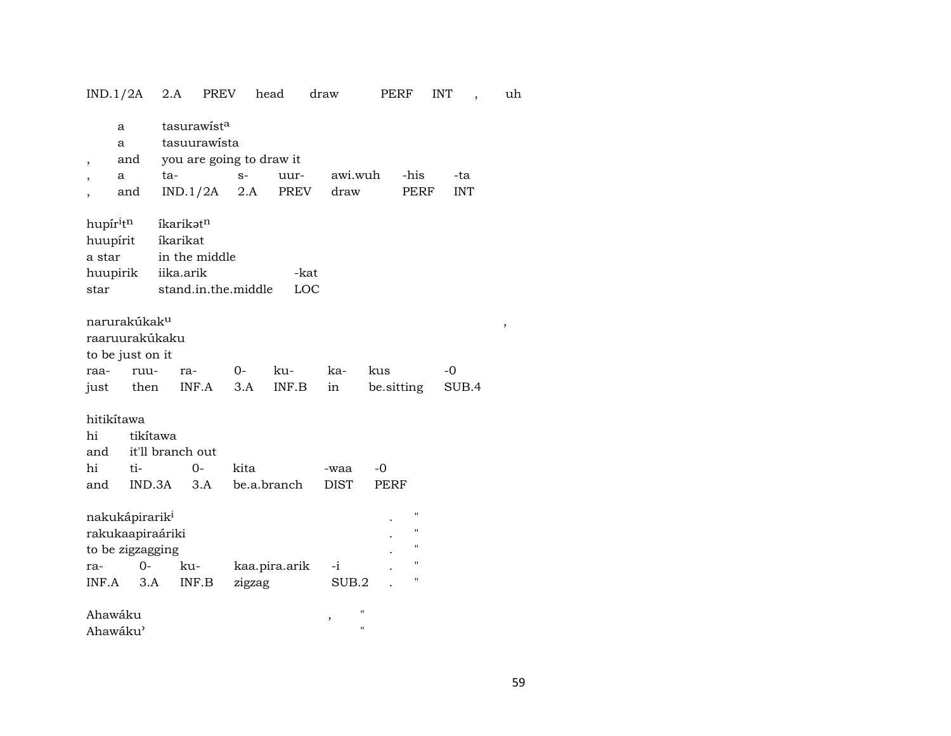| IND.1/2A                                                                           |                                               | 2.A                                | PREV                                                                | head        |               | draw                | PERF                |                                                                                           | <b>INT</b>        | uh |
|------------------------------------------------------------------------------------|-----------------------------------------------|------------------------------------|---------------------------------------------------------------------|-------------|---------------|---------------------|---------------------|-------------------------------------------------------------------------------------------|-------------------|----|
| a<br>a<br>,<br>a                                                                   | and<br>and                                    | ta-                                | tasurawista<br>tasuurawista<br>you are going to draw it<br>IND.1/2A | $S-$<br>2.A | uur-<br>PREV  | awi.wuh<br>draw     |                     | -his<br>PERF                                                                              | -ta<br><b>INT</b> |    |
| hupíritn<br>huupírit<br>a star<br>huupirik<br>star                                 |                                               | íkarikatn<br>íkarikat<br>iika.arik | in the middle<br>stand.in.the.middle                                |             | -kat<br>LOC   |                     |                     |                                                                                           |                   |    |
| narurakúkak <sup>u</sup><br>raaruurakúkaku<br>to be just on it<br>raa-<br>just     | ruu-<br>then                                  | ra-<br>INF.A                       | 0-                                                                  | 3.A         | ku-<br>INF.B  | ka-<br>in           | kus<br>be.sitting   |                                                                                           | -0<br>SUB.4       | ,  |
| hitikítawa<br>hi<br>and<br>hi<br>and                                               | tikítawa<br>it'll branch out<br>ti-<br>IND.3A |                                    | $0-$<br>3.A                                                         | kita        | be.a.branch   | -waa<br><b>DIST</b> | $-0$<br><b>PERF</b> |                                                                                           |                   |    |
| nakukápirarik <sup>i</sup><br>rakukaapiraáriki<br>to be zigzagging<br>ra-<br>INF.A | $0-$<br>3.A                                   | ku-<br>INF.B                       |                                                                     | zigzag      | kaa.pira.arik | $-i$<br>SUB.2       |                     | $\pmb{\mathsf{H}}$<br>$\pmb{\mathsf{H}}$<br>$\pmb{\mathsf{H}}$<br>$\pmb{\mathsf{H}}$<br>П |                   |    |
| Ahawáku<br>Ahawáku'                                                                |                                               |                                    |                                                                     |             |               | ,                   | н<br>Н              |                                                                                           |                   |    |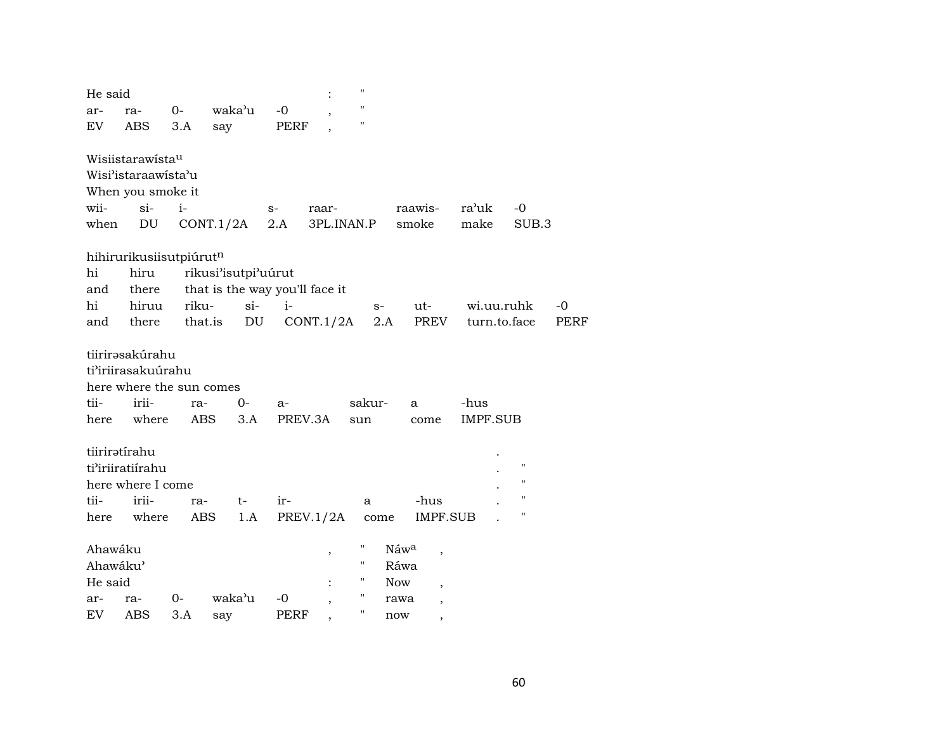| He said                        |                                                                                     |            |                            |                                | п             |                                                                          |                  |                                                                |      |
|--------------------------------|-------------------------------------------------------------------------------------|------------|----------------------------|--------------------------------|---------------|--------------------------------------------------------------------------|------------------|----------------------------------------------------------------|------|
| ar-                            | ra-                                                                                 | $0-$       | waka'u                     | $-0$                           | п             |                                                                          |                  |                                                                |      |
| EV                             | ABS                                                                                 | 3.A        | say                        | <b>PERF</b>                    | 11            |                                                                          |                  |                                                                |      |
|                                | Wisiistarawistau<br>Wisi'istaraawista'u<br>When you smoke it                        |            |                            |                                |               |                                                                          |                  |                                                                |      |
| wii-                           | $\sin$                                                                              | $i-$       |                            | raar-<br>$S-$                  |               | raawis-                                                                  | ra'uk            | $-0$                                                           |      |
| when                           | DU                                                                                  |            | CONT.1/2A                  | 2.A                            | 3PL.INAN.P    | smoke                                                                    | make             | SUB.3                                                          |      |
| hi<br>and                      | hihirurikusiisutpiúrutn<br>hiru<br>there                                            |            | rikusi'isutpi'uúrut        | that is the way you'll face it |               |                                                                          |                  |                                                                |      |
| hi                             | hiruu                                                                               | riku-      | $si-$                      | $i-$                           | $S-$          | ut-                                                                      | wi.uu.ruhk       |                                                                | $-0$ |
| and                            | there                                                                               | that.is    | $\mathop{\rm DU}\nolimits$ | CONT.1/2A                      | 2.A           | PREV                                                                     | turn.to.face     |                                                                | PERF |
| tii-<br>here                   | tiirirəsakúrahu<br>ti'iriirasakuúrahu<br>here where the sun comes<br>irii-<br>where | ra-<br>ABS | 0-<br>3.A                  | $a-$<br>PREV.3A                | sakur-<br>sun | a<br>come                                                                | -hus<br>IMPF.SUB |                                                                |      |
|                                | tiiriratírahu<br>ti'iriiratiirahu<br>here where I come                              |            |                            |                                |               |                                                                          |                  | $\pmb{\mathsf{H}}$<br>$\pmb{\mathsf{H}}$<br>$\pmb{\mathsf{H}}$ |      |
| tii-                           | irii-                                                                               | ra-        | t-                         | ir-                            | a             | -hus                                                                     |                  | $\pmb{\mathsf{H}}$                                             |      |
| here                           | where                                                                               | ABS        | 1.A                        | PREV.1/2A                      | come          | <b>IMPF.SUB</b>                                                          |                  |                                                                |      |
| Ahawáku<br>Ahawáku'<br>He said |                                                                                     |            |                            | $\, ,$                         | н<br>11<br>Н  | Náwa<br>$\overline{\phantom{a}}$<br>Ráwa<br><b>Now</b><br>$\overline{ }$ |                  |                                                                |      |
| ar-                            | ra-                                                                                 | $0 -$      | waka'u                     | -0                             | 11            | rawa<br>$\overline{ }$                                                   |                  |                                                                |      |
| EV                             | ABS                                                                                 | 3.A        | say                        | PERF                           |               | now                                                                      |                  |                                                                |      |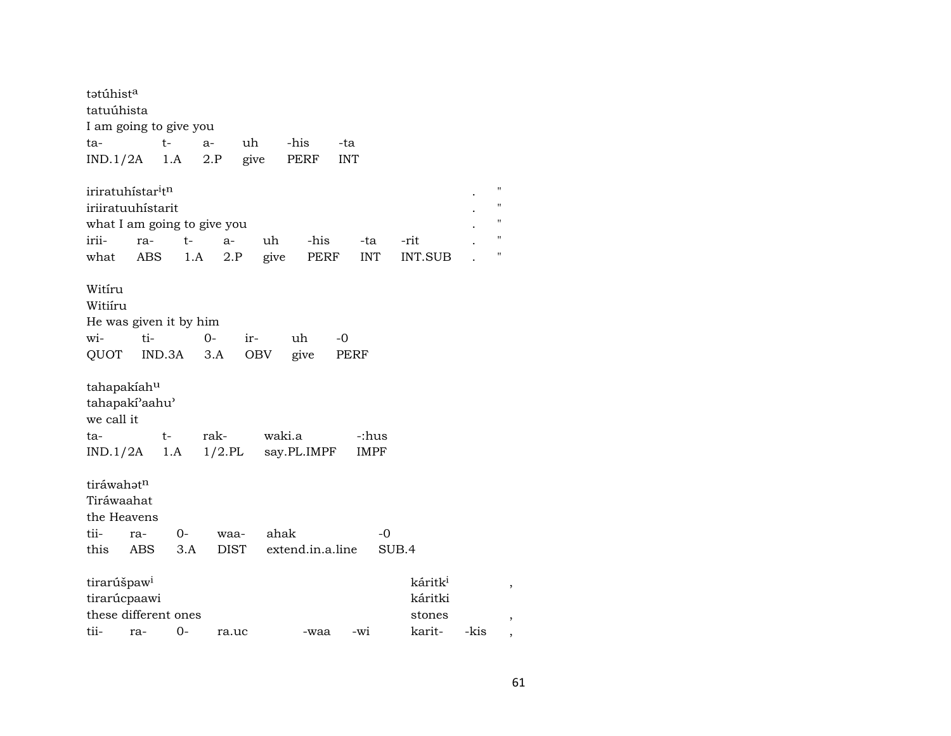| tətúhist <sup>a</sup>                                                                         |            |           |                     |            |                    |            |             |                                |      |                                                          |
|-----------------------------------------------------------------------------------------------|------------|-----------|---------------------|------------|--------------------|------------|-------------|--------------------------------|------|----------------------------------------------------------|
| tatuúhista                                                                                    |            |           |                     |            |                    |            |             |                                |      |                                                          |
| I am going to give you                                                                        |            |           |                     |            |                    |            |             |                                |      |                                                          |
| ta-                                                                                           |            | $t-$      | $a-$                | uh         | -his               | -ta        |             |                                |      |                                                          |
| IND.1/2A                                                                                      |            | 1.A       | 2.P                 | give       | PERF               | <b>INT</b> |             |                                |      |                                                          |
| iriratuhístar <sup>i</sup> t <sup>n</sup><br>iriiratuuhístarit<br>what I am going to give you |            |           |                     |            |                    |            |             |                                |      | $\mathbf{H}$<br>$\pmb{\mathsf{H}}$<br>$\pmb{\mathsf{H}}$ |
| irii-                                                                                         | ra-        | $t-$      | a-                  | uh         | -his               |            | -ta         | -rit                           |      | $\pmb{\mathsf{H}}$                                       |
| what                                                                                          | <b>ABS</b> | 1.A       | 2.P                 | give       | PERF               |            | <b>INT</b>  | <b>INT.SUB</b>                 |      | $\pmb{\mathsf{H}}$                                       |
| Witíru<br>Witiíru<br>He was given it by him<br>wi-<br>QUOT                                    | ti-        | IND.3A    | 0-<br>3.A           | ir-<br>OBV | uh<br>give         | -0<br>PERF |             |                                |      |                                                          |
| tahapakíahu<br>tahapaki'aahu'<br>we call it                                                   |            |           |                     |            |                    |            |             |                                |      |                                                          |
| ta-                                                                                           |            | t-        | rak-                | waki.a     |                    |            | -:hus       |                                |      |                                                          |
| $IND.1/2A$ 1.A                                                                                |            |           |                     |            | 1/2.PL say.PL.IMPF |            | <b>IMPF</b> |                                |      |                                                          |
| tiráwahatn<br>Tiráwaahat<br>the Heavens<br>tii-<br>this                                       | ra-<br>ABS | 0-<br>3.A | waa-<br><b>DIST</b> | ahak       | extend.in.a.line   |            | -0<br>SUB.4 |                                |      |                                                          |
| tirarúšpaw <sup>i</sup><br>tirarúcpaawi                                                       |            |           |                     |            |                    |            |             | káritk <sup>i</sup><br>káritki |      | $\,$                                                     |
| these different ones                                                                          |            |           |                     |            |                    |            |             | stones                         |      | $\overline{ }$                                           |
| tii-                                                                                          | ra-        | 0-        | ra.uc               |            | -waa               | -wi        |             | karit-                         | -kis | $\overline{ }$                                           |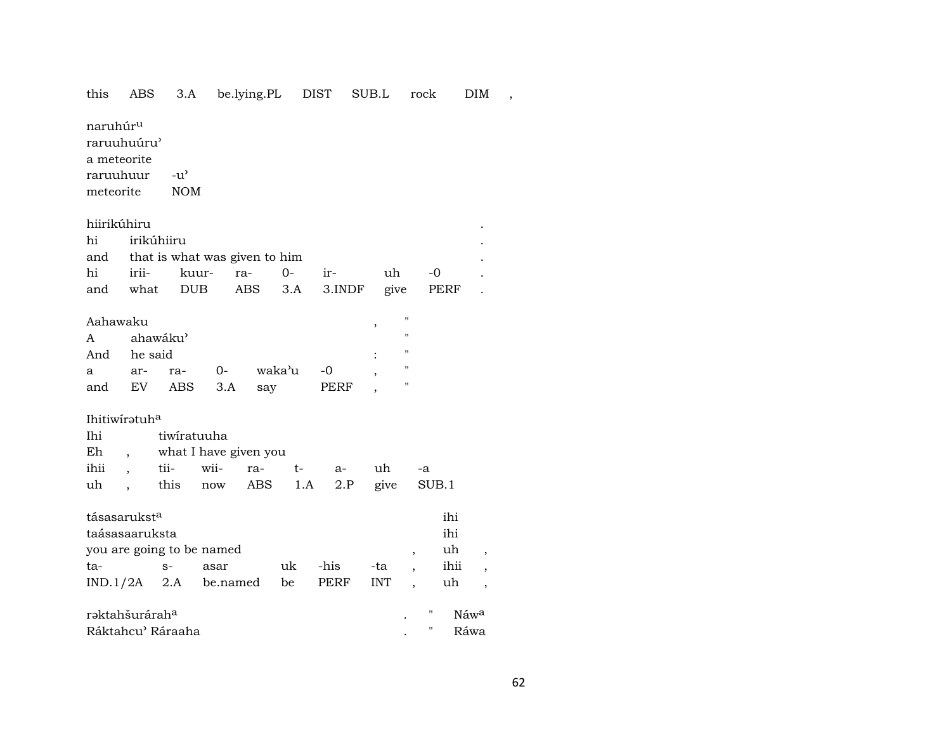#### 3.A be.lying.PL DIST SUB.L rock this ABS DIM,

naruhúr<sup>u</sup>

raruuhuúru'

a meteorite

raruuhuur  $-u^{\prime}$ 

**NOM** meteorite

## hiirikúhiru

|  | hi irikúhiiru                     |  |  |                                         |  |  |  |  |  |  |  |
|--|-----------------------------------|--|--|-----------------------------------------|--|--|--|--|--|--|--|
|  | and that is what was given to him |  |  |                                         |  |  |  |  |  |  |  |
|  |                                   |  |  | hi irii- kuur- ra- 0- ir- uh -0 .       |  |  |  |  |  |  |  |
|  |                                   |  |  | and what DUB ABS 3.A 3.INDF give PERF . |  |  |  |  |  |  |  |

| Aahawaku              |     |             |      |        |       |  |   |  |  |  |  |  |
|-----------------------|-----|-------------|------|--------|-------|--|---|--|--|--|--|--|
| ahawáku'<br>$A \quad$ |     |             |      |        |       |  |   |  |  |  |  |  |
|                       |     | And he said |      |        |       |  |   |  |  |  |  |  |
| a a                   | ar- | ra-         | $O-$ | waka'u | $-$ 0 |  | п |  |  |  |  |  |
| and                   | EV  | ABS 3.A     |      | say    | PERF  |  | " |  |  |  |  |  |

# Ihitiwirətuh<sup>a</sup>

| Ihi | tiwiratuuha |                           |                                      |  |      |    |    |  |  |  |  |  |
|-----|-------------|---------------------------|--------------------------------------|--|------|----|----|--|--|--|--|--|
|     |             | Eh, what I have given you |                                      |  |      |    |    |  |  |  |  |  |
|     |             |                           | ihii , tii- wii- ra- t-              |  | $a-$ | uh | -a |  |  |  |  |  |
|     |             |                           | uh , this now ABS 1.A 2.P give SUB.1 |  |      |    |    |  |  |  |  |  |

| tásasarukst <sup>a</sup>      |      |                                      |    |      |     |   | ihi              |  |
|-------------------------------|------|--------------------------------------|----|------|-----|---|------------------|--|
| taásasaaruksta                |      |                                      |    |      |     |   | ihi              |  |
| you are going to be named     |      |                                      |    |      |     |   | uh               |  |
| ta-                           | $S-$ | asar                                 | uk | -his | -ta |   | ihii             |  |
|                               |      | $IND.1/2A$ 2.A be.named be PERF INT, |    |      |     |   | uh               |  |
| rəktahšurárah <sup>a</sup>    |      |                                      |    |      |     | " | Náw <sup>a</sup> |  |
| Ráktahcu <sup>,</sup> Ráraaha |      |                                      |    |      |     | " | Ráwa             |  |

 $\epsilon$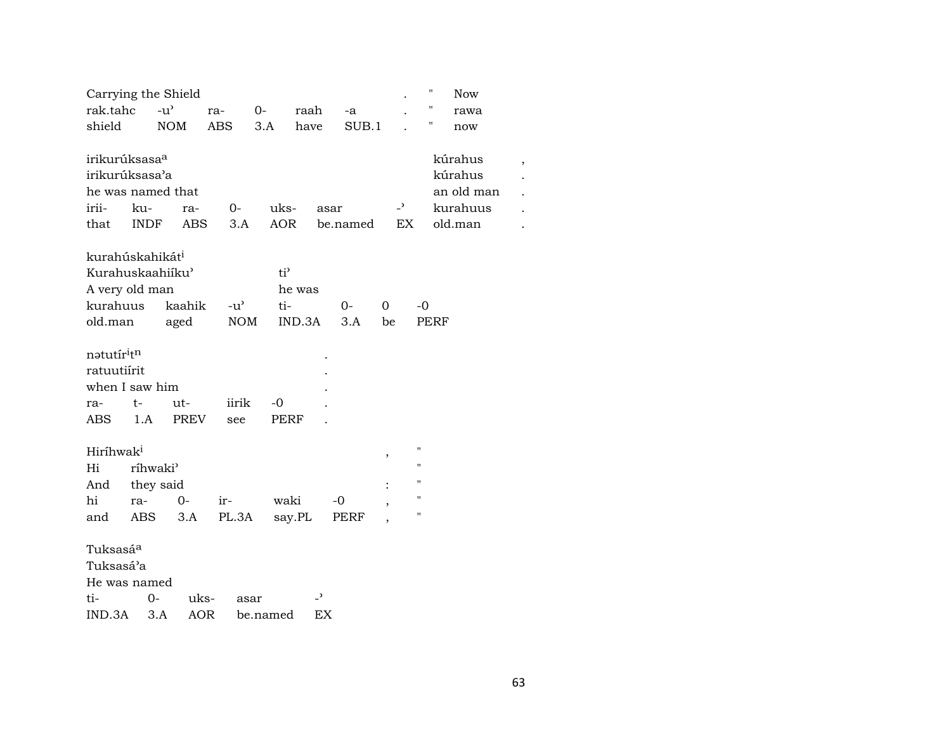|                                                                  |             | Carrying the Shield             |               |                    |                          |          |                          | $\pmb{\mathsf{H}}$ | <b>Now</b>                                              |  |
|------------------------------------------------------------------|-------------|---------------------------------|---------------|--------------------|--------------------------|----------|--------------------------|--------------------|---------------------------------------------------------|--|
| rak.tahc                                                         |             | $-u^{\prime}$                   | ra-           | $0-$               | raah                     | -a       |                          |                    | rawa                                                    |  |
| shield                                                           |             | <b>NOM</b>                      | <b>ABS</b>    | 3.A                | have                     | SUB.1    |                          | 11                 | now                                                     |  |
| irikurúksasa <sup>a</sup><br>irikurúksasa'a<br>irii-<br>that     | ku-<br>INDF | he was named that<br>ra-<br>ABS | $0-$<br>3.A   | uks-<br><b>AOR</b> | asar                     | be.named | $-$ <sup>2</sup><br>EX   |                    | kúrahus<br>kúrahus<br>an old man<br>kurahuus<br>old.man |  |
| kurahúskahikát <sup>i</sup>                                      |             |                                 |               |                    |                          |          |                          |                    |                                                         |  |
|                                                                  |             | Kurahuskaahiiku'                |               | $ti^{\prime}$      |                          |          |                          |                    |                                                         |  |
| A very old man                                                   |             |                                 |               | he was             |                          |          |                          |                    |                                                         |  |
| kurahuus                                                         |             | kaahik                          | $-u^{\prime}$ | ti-                |                          | $O -$    | $\Omega$                 | $-0$               |                                                         |  |
| old.man                                                          |             | aged                            | <b>NOM</b>    |                    | IND.3A                   | 3.A      | be                       | <b>PERF</b>        |                                                         |  |
| natutíritn<br>ratuutiírit<br>when I saw him<br>ra-<br><b>ABS</b> | t-<br>1.A   | ut-<br><b>PREV</b>              | iirik<br>see  | -0<br><b>PERF</b>  |                          |          |                          |                    |                                                         |  |
| Hiríhwak <sup>i</sup>                                            |             |                                 |               |                    |                          |          |                          | н                  |                                                         |  |
| Hi                                                               |             | ríhwaki <sup>3</sup>            |               |                    |                          |          | $\, ,$                   | П                  |                                                         |  |
| And                                                              |             | they said                       |               |                    |                          |          |                          | П                  |                                                         |  |
| hi                                                               | ra-         | $0-$                            | ir-           | waki               |                          | $-0$     | $\overline{\phantom{a}}$ | "                  |                                                         |  |
| and                                                              | ABS         | 3.A                             | PL.3A         | say.PL             |                          | PERF     |                          | "                  |                                                         |  |
| Tuksasá <sup>a</sup><br>Tuksasá'a<br>He was named<br>ti-         |             | 0-                              | uks-          | asar               | $\overline{\phantom{a}}$ |          |                          |                    |                                                         |  |
| IND.3A                                                           |             | 3.A                             | <b>AOR</b>    | be.named           | EX                       |          |                          |                    |                                                         |  |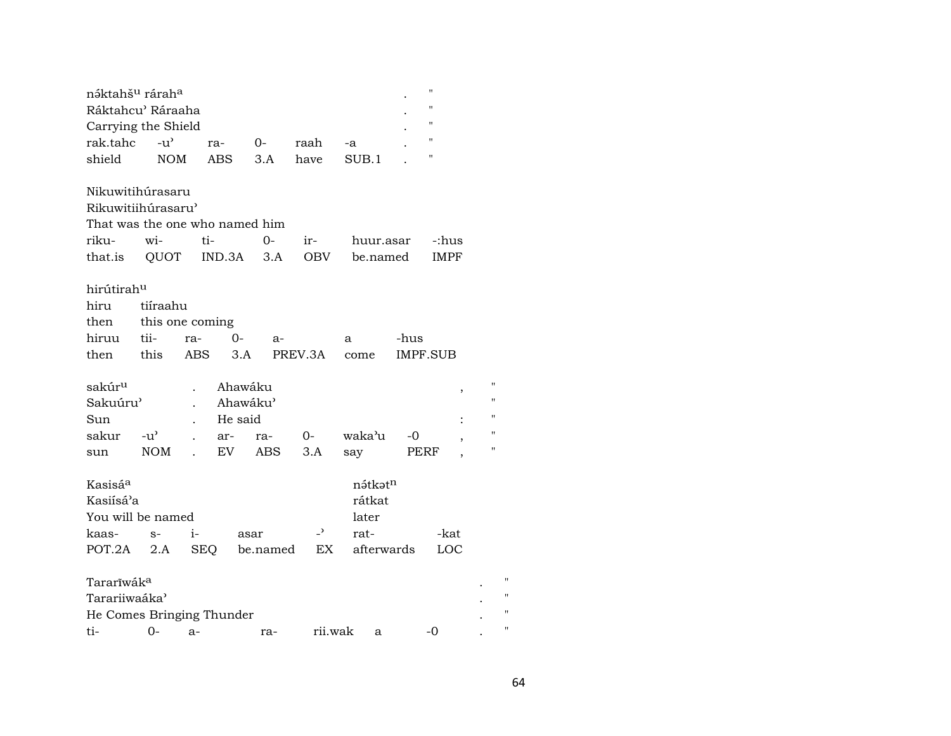| náktahš <sup>u</sup> rárah <sup>a</sup> |               |                    |                                |                 |            |          | $\pmb{\mathsf{H}}$ |                |
|-----------------------------------------|---------------|--------------------|--------------------------------|-----------------|------------|----------|--------------------|----------------|
| Ráktahcu' Ráraaha                       |               |                    |                                |                 |            |          | $^{\prime}$        |                |
| Carrying the Shield                     |               |                    |                                |                 |            |          | $^{\prime\prime}$  |                |
| rak.tahc                                | $-u^{\prime}$ | ra-                | 0-                             | raah            | -a         |          | $\pmb{\mathsf{H}}$ |                |
| shield                                  | <b>NOM</b>    | <b>ABS</b>         | 3.A                            | have            | SUB.1      |          | $^{\prime\prime}$  |                |
|                                         |               |                    |                                |                 |            |          |                    |                |
| Nikuwitihúrasaru                        |               |                    |                                |                 |            |          |                    |                |
| Rikuwitiihúrasaru'                      |               |                    |                                |                 |            |          |                    |                |
|                                         |               |                    | That was the one who named him |                 |            |          |                    |                |
| riku-                                   | wi-           | ti-                | $0-$                           | ir-             | huur.asar  |          | -:hus              |                |
| that.is QUOT IND.3A                     |               |                    | 3.A                            | OBV             | be.named   |          | <b>IMPF</b>        |                |
|                                         |               |                    |                                |                 |            |          |                    |                |
| hirútirahu                              |               |                    |                                |                 |            |          |                    |                |
| hiru                                    | tiíraahu      |                    |                                |                 |            |          |                    |                |
| then                                    |               | this one coming    |                                |                 |            |          |                    |                |
| hiruu                                   | tii-          | ra-                | $O -$<br>$a-$                  |                 | a          | -hus     |                    |                |
| then                                    | this          | ABS                | 3.A                            | PREV.3A         | come       | IMPF.SUB |                    |                |
|                                         |               |                    |                                |                 |            |          |                    |                |
| sakúr <sup>u</sup>                      |               |                    | Ahawáku                        |                 |            |          | $\,$               | 11             |
| Sakuúru'                                |               |                    | Ahawáku'                       |                 |            |          |                    | $\blacksquare$ |
| Sun                                     |               |                    | He said                        |                 |            |          |                    | $^{\dagger}$   |
| sakur                                   | $-u^{\prime}$ | ar-                | ra-                            | $0-$            | waka'u     | -0       |                    | "              |
| sun                                     | NOM           | EV<br>$\mathbf{r}$ | ABS                            | 3.A             | say        | PERF     |                    | 11             |
|                                         |               |                    |                                |                 |            |          |                    |                |
| Kasisá <sup>a</sup>                     |               |                    |                                |                 | nətkətn    |          |                    |                |
| Kasiísá'a                               |               |                    |                                |                 | rátkat     |          |                    |                |
| You will be named                       |               |                    |                                |                 | later      |          |                    |                |
| kaas-                                   | $S-$          | $i-$               | asar                           | $\overline{a}$  | rat-       |          | -kat               |                |
| POT.2A                                  | 2.A           |                    |                                | SEQ be.named EX | afterwards |          | LOC                |                |
|                                         |               |                    |                                |                 |            |          |                    |                |
| Tararīwák <sup>a</sup>                  |               |                    |                                |                 |            |          |                    | $\blacksquare$ |
| Tarariiwaáka'                           |               |                    |                                |                 |            |          |                    | п              |
| He Comes Bringing Thunder               |               |                    |                                |                 |            |          |                    | П              |
| ti-                                     | $0-$          | a-                 | ra-                            | rii.wak         | a          |          | -0                 | Ħ              |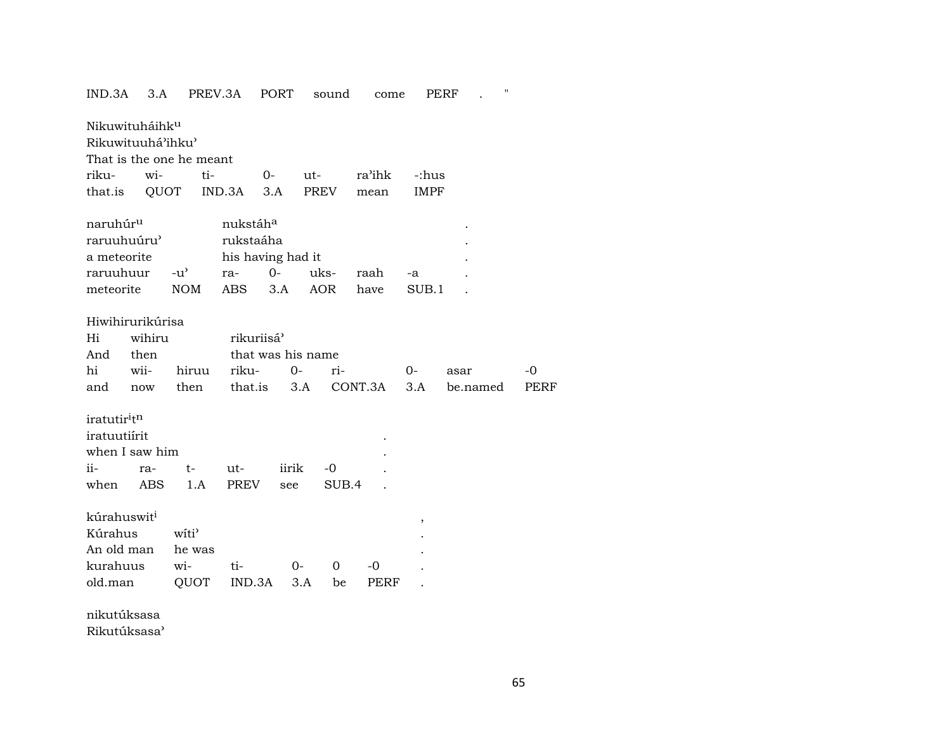| IND.3A<br>3.A                                   |                   | PREV.3A                | PORT  | sound             | come    | PERF        | $\pmb{\mathsf{H}}$ |             |
|-------------------------------------------------|-------------------|------------------------|-------|-------------------|---------|-------------|--------------------|-------------|
| Nikuwituháihk <sup>u</sup><br>Rikuwituuhá'ihku' |                   |                        |       |                   |         |             |                    |             |
| That is the one he meant                        |                   |                        |       |                   |         |             |                    |             |
| riku-<br>wi-                                    | ti-               |                        | $0-$  | ut-               | ra'ihk  | -:hus       |                    |             |
| that.is                                         | QUOT              | IND.3A                 | 3.A   | <b>PREV</b>       | mean    | <b>IMPF</b> |                    |             |
|                                                 |                   |                        |       |                   |         |             |                    |             |
| naruhúr <sup>u</sup>                            |                   | nukstáha               |       |                   |         |             |                    |             |
| raruuhuúru'                                     |                   | rukstaáha              |       |                   |         |             |                    |             |
| a meteorite                                     |                   | his having had it      |       |                   |         |             |                    |             |
| raruuhuur                                       | $-u^{\prime}$     | ra-                    | $0-$  | uks-              | raah    | -a          |                    |             |
| meteorite                                       | <b>NOM</b>        | ABS                    | 3.A   | AOR               | have    | SUB.1       |                    |             |
|                                                 |                   |                        |       |                   |         |             |                    |             |
| Hiwihirurikúrisa                                |                   |                        |       |                   |         |             |                    |             |
| wihiru<br>Hi                                    |                   | rikuriisá <sup>9</sup> |       |                   |         |             |                    |             |
| then<br>And                                     |                   |                        |       | that was his name |         |             |                    |             |
| hi<br>wii-                                      | hiruu             | riku-                  | $O-$  | ri-               |         | $0-$        | asar               | $-0$        |
| and<br>now                                      | then              | that.is                |       | 3.A               | CONT.3A | 3.A         | be.named           | <b>PERF</b> |
|                                                 |                   |                        |       |                   |         |             |                    |             |
| iratutir <sup>itn</sup>                         |                   |                        |       |                   |         |             |                    |             |
| iratuutiírit                                    |                   |                        |       |                   |         |             |                    |             |
| when I saw him                                  |                   |                        |       |                   |         |             |                    |             |
| ii-<br>ra-                                      | $t-$              | ut-                    | iirik | $-0$              |         |             |                    |             |
| when<br><b>ABS</b>                              | 1.A               | PREV                   | see   | SUB.4             |         |             |                    |             |
|                                                 |                   |                        |       |                   |         |             |                    |             |
| kúrahuswit <sup>i</sup>                         |                   |                        |       |                   |         | ,           |                    |             |
| Kúrahus                                         | witi <sup>3</sup> |                        |       |                   |         |             |                    |             |
| An old man                                      | he was            |                        |       |                   |         |             |                    |             |
| kurahuus                                        | wi-               | ti-                    | $0-$  | $\mathbf 0$       | $-0$    |             |                    |             |
| old.man                                         | QUOT              | IND.3A                 |       | 3.A<br>be         | PERF    |             |                    |             |
|                                                 |                   |                        |       |                   |         |             |                    |             |

nikutúksasa

Rikutúksasa<sup></sup>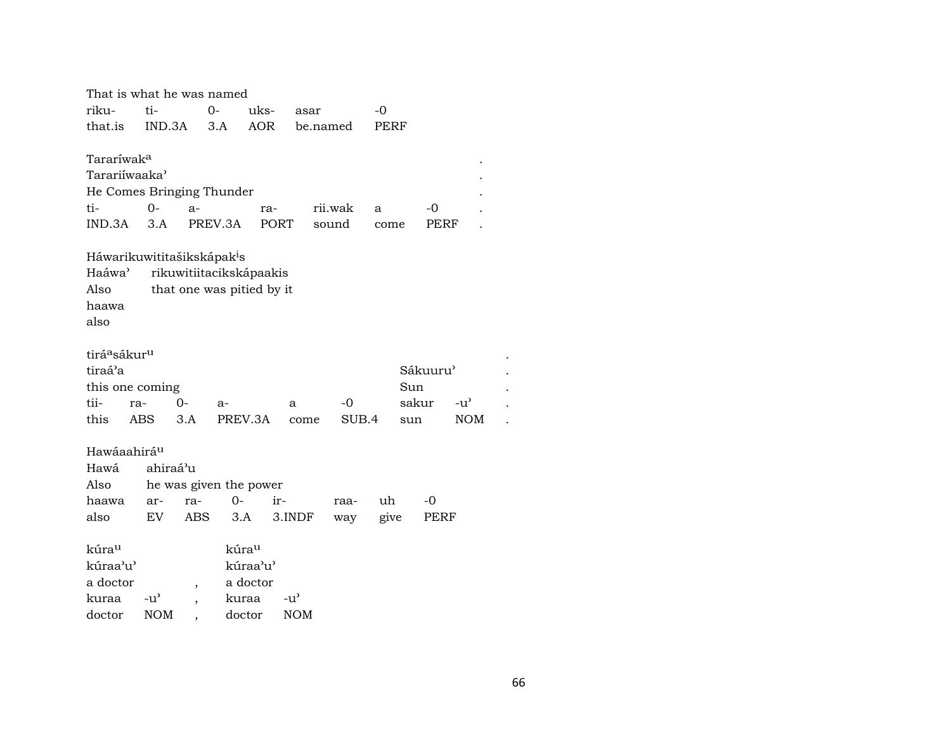| That is what he was named              |               |                          |                           |               |            |         |       |          |               |  |
|----------------------------------------|---------------|--------------------------|---------------------------|---------------|------------|---------|-------|----------|---------------|--|
| riku-                                  | ti-           |                          | 0-<br>uks-                |               | asar       |         | -0    |          |               |  |
| that.is                                | IND.3A        |                          | AOR<br>3.A                |               | be.named   |         | PERF  |          |               |  |
|                                        |               |                          |                           |               |            |         |       |          |               |  |
| Tararíwak <sup>a</sup>                 |               |                          |                           |               |            |         |       |          |               |  |
| Tarariíwaaka'                          |               |                          |                           |               |            |         |       |          |               |  |
| He Comes Bringing Thunder              |               |                          |                           |               |            |         |       |          |               |  |
| ti-                                    | $0-$          | $a-$                     |                           | ra-           |            | rii.wak | a     | -0       |               |  |
| IND.3A                                 | 3.A           |                          | PREV.3A                   | <b>PORT</b>   |            | sound   | come  | PERF     |               |  |
| Háwarikuwititašikskápak <sup>i</sup> s |               |                          |                           |               |            |         |       |          |               |  |
| Haáwa <sup>3</sup>                     |               |                          | rikuwitiitacikskápaakis   |               |            |         |       |          |               |  |
| Also                                   |               |                          | that one was pitied by it |               |            |         |       |          |               |  |
| haawa                                  |               |                          |                           |               |            |         |       |          |               |  |
| also                                   |               |                          |                           |               |            |         |       |          |               |  |
|                                        |               |                          |                           |               |            |         |       |          |               |  |
| tirá <sup>a</sup> sákur <sup>u</sup>   |               |                          |                           |               |            |         |       |          |               |  |
| tiraá'a                                |               |                          |                           |               |            |         |       | Sákuuru' |               |  |
| this one coming                        |               |                          |                           |               |            |         | Sun   |          |               |  |
| tii-                                   | ra-           | $0-$                     | a-                        |               | a          | $-0$    | sakur |          | $-u^{\prime}$ |  |
| this                                   | ABS           | 3.A                      | PREV.3A                   |               | come       | SUB.4   | sun   |          | <b>NOM</b>    |  |
|                                        |               |                          |                           |               |            |         |       |          |               |  |
| Hawáaahirá <sup>u</sup>                |               |                          |                           |               |            |         |       |          |               |  |
| Hawá                                   | ahiraá'u      |                          |                           |               |            |         |       |          |               |  |
| Also                                   |               |                          | he was given the power    |               |            |         |       |          |               |  |
| haawa                                  | ar-           | ra-                      | $0-$                      | ir-           |            | raa-    | uh    | -0       |               |  |
| also                                   | EV            | ABS                      | 3.A                       |               | 3.INDF     | way     | give  | PERF     |               |  |
| kúra <sup>u</sup>                      |               |                          | kúrau                     |               |            |         |       |          |               |  |
| kúraa'u'                               |               |                          | kúraa'u'                  |               |            |         |       |          |               |  |
| a doctor                               |               | $\overline{\phantom{a}}$ | a doctor                  |               |            |         |       |          |               |  |
| kuraa                                  | $-u^{\prime}$ | $\overline{\phantom{a}}$ | kuraa                     | $-u^{\prime}$ |            |         |       |          |               |  |
| doctor                                 | <b>NOM</b>    |                          | doctor                    |               | <b>NOM</b> |         |       |          |               |  |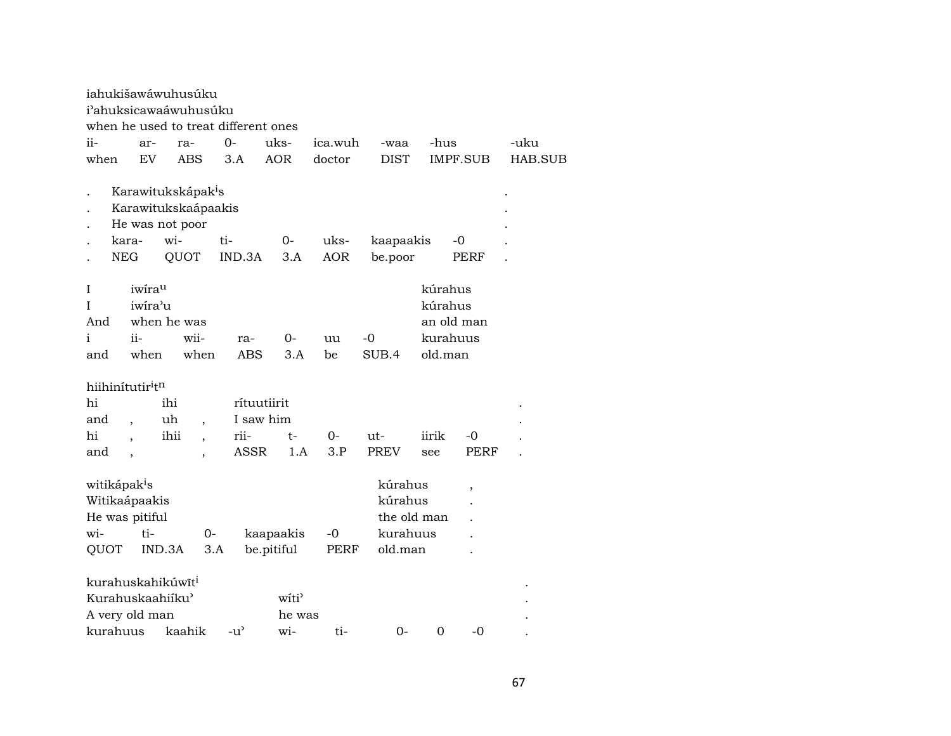|                                                                                                                                                                                                                                                                                                                                                             | iahukišawáwuhusúku<br>i'ahuksicawaáwuhusúku<br>when he used to treat different ones |                                  |                                                                                         |                          |                          |                       |                    |                      |                                           |            |         |  |
|-------------------------------------------------------------------------------------------------------------------------------------------------------------------------------------------------------------------------------------------------------------------------------------------------------------------------------------------------------------|-------------------------------------------------------------------------------------|----------------------------------|-----------------------------------------------------------------------------------------|--------------------------|--------------------------|-----------------------|--------------------|----------------------|-------------------------------------------|------------|---------|--|
| ii-                                                                                                                                                                                                                                                                                                                                                         |                                                                                     | ar-                              | ra-                                                                                     |                          | $0-$                     | uks-                  | ica.wuh            | -waa                 | -hus                                      |            | -uku    |  |
| when                                                                                                                                                                                                                                                                                                                                                        |                                                                                     | EV                               | <b>ABS</b>                                                                              |                          | 3.A                      | <b>AOR</b>            | doctor             | <b>DIST</b>          |                                           | IMPF.SUB   | HAB.SUB |  |
|                                                                                                                                                                                                                                                                                                                                                             | kara-<br><b>NEG</b>                                                                 |                                  | Karawitukskápak <sup>i</sup> s<br>Karawitukskaápaakis<br>He was not poor<br>wi-<br>QUOT |                          | ti-<br>IND.3A            | $O -$<br>3.A          | uks-<br><b>AOR</b> | kaapaakis<br>be.poor |                                           | -0<br>PERF |         |  |
| Ι<br>$\mathbf{I}$<br>And<br>$\mathbf{i}$<br>and                                                                                                                                                                                                                                                                                                             |                                                                                     | iwirau<br>iwira'u<br>ii-<br>when | when he was<br>wii-                                                                     | when                     | ra-<br><b>ABS</b>        | 0-<br>3.A             | uu<br>be           | -0<br>SUB.4          | kúrahus<br>kúrahus<br>kurahuus<br>old.man | an old man |         |  |
| hi<br>and                                                                                                                                                                                                                                                                                                                                                   |                                                                                     | hiihinitutir <sup>itn</sup>      | ihi<br>uh                                                                               |                          | rítuutiirit<br>I saw him |                       |                    |                      |                                           |            |         |  |
| hi                                                                                                                                                                                                                                                                                                                                                          |                                                                                     |                                  | ihii                                                                                    | $\overline{\phantom{a}}$ | rii-                     | t-                    | 0-                 | ut-                  | iirik                                     | -0         |         |  |
| <b>ASSR</b><br>3.P<br><b>PREV</b><br><b>PERF</b><br>1.A<br>and<br>see<br>$\cdot$<br>$\overline{\phantom{a}}$<br>witikápak <sup>i</sup> s<br>kúrahus<br>$\overline{\phantom{a}}$<br>Witikaápaakis<br>kúrahus<br>the old man<br>He was pitiful<br>wi-<br>ti-<br>kaapaakis<br>kurahuus<br>0-<br>$-0$<br>be.pitiful<br>old.man<br>QUOT<br>IND.3A<br>3.A<br>PERF |                                                                                     |                                  |                                                                                         |                          |                          |                       |                    |                      |                                           |            |         |  |
| kurahuus                                                                                                                                                                                                                                                                                                                                                    |                                                                                     | A very old man                   | kurahuskahikúwīt <sup>i</sup><br>Kurahuskaahiiku'<br>kaahik                             |                          | $-u^{\prime}$            | witi<br>he was<br>wi- | ti-                | $0-$                 | $\mathbf 0$                               | -0         |         |  |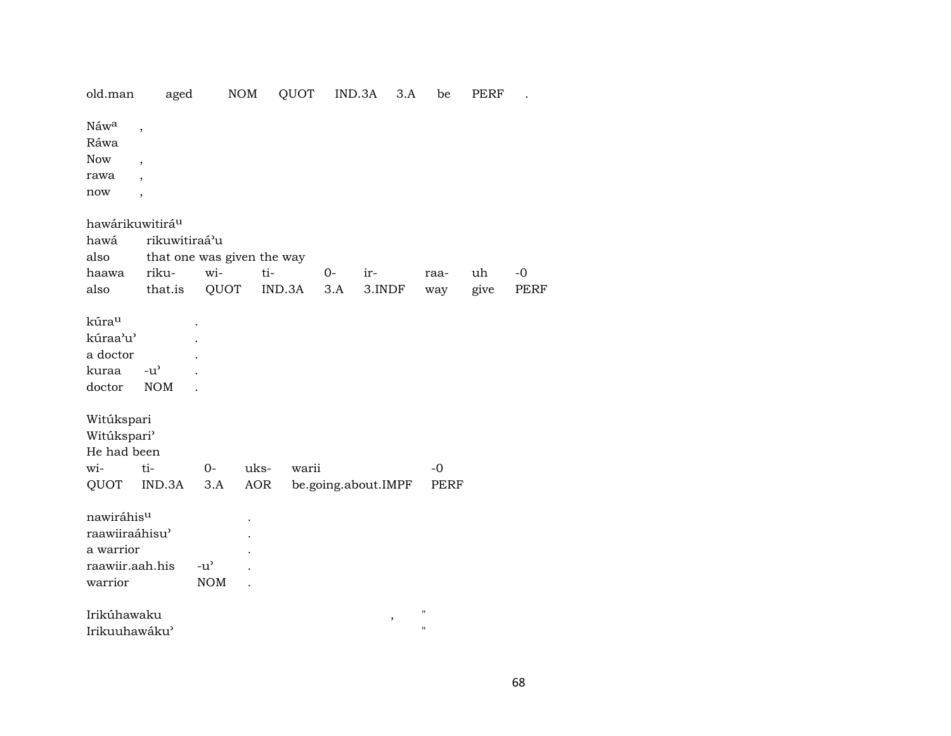| old.man                                                                 | aged                                                                                       |                                                   | NOM  | QUOT   | IND.3A              |        | 3.A    | be                                       | PERF |             |  |  |
|-------------------------------------------------------------------------|--------------------------------------------------------------------------------------------|---------------------------------------------------|------|--------|---------------------|--------|--------|------------------------------------------|------|-------------|--|--|
| Náwa<br>Ráwa<br><b>Now</b><br>rawa<br>now                               | $\, ,$<br>$\overline{\phantom{a}}$<br>$\overline{\phantom{a}}$<br>$\overline{\phantom{a}}$ |                                                   |      |        |                     |        |        |                                          |      |             |  |  |
|                                                                         | hawárikuwitirá <sup>u</sup>                                                                |                                                   |      |        |                     |        |        |                                          |      |             |  |  |
| hawá                                                                    | rikuwitiraá'u                                                                              |                                                   |      |        |                     |        |        |                                          |      |             |  |  |
| also                                                                    |                                                                                            | that one was given the way                        |      |        |                     |        |        |                                          |      |             |  |  |
| haawa                                                                   | riku-                                                                                      | wi-                                               | ti-  |        | $O-$                | ir-    |        | raa-                                     | uh   | $-0$        |  |  |
| also                                                                    | that.is                                                                                    | QUOT                                              |      | IND.3A | 3.A                 | 3.INDF |        | way                                      | give | <b>PERF</b> |  |  |
| kúrau<br>kúraa'u'<br>a doctor<br>kuraa<br>doctor                        | $-u$ <sup><math>\prime</math></sup><br><b>NOM</b>                                          |                                                   |      |        |                     |        |        |                                          |      |             |  |  |
| Witúkspari<br>Witúkspari'                                               |                                                                                            |                                                   |      |        |                     |        |        |                                          |      |             |  |  |
| He had been                                                             |                                                                                            |                                                   |      |        |                     |        |        |                                          |      |             |  |  |
| wi-                                                                     | ti-                                                                                        | $0-$                                              | uks- | warii  |                     |        |        | $-0$                                     |      |             |  |  |
| QUOT                                                                    | IND.3A                                                                                     | 3.A                                               | AOR  |        | be.going.about.IMPF |        |        | PERF                                     |      |             |  |  |
| nawiráhisu<br>raawiiraáhisu'<br>a warrior<br>raawiir.aah.his<br>warrior |                                                                                            | $-u$ <sup><math>\prime</math></sup><br><b>NOM</b> |      |        |                     |        |        |                                          |      |             |  |  |
| Irikúhawaku<br>Irikuuhawáku'                                            |                                                                                            |                                                   |      |        |                     |        | $\, ,$ | $\pmb{\mathsf{H}}$<br>$\pmb{\mathsf{H}}$ |      |             |  |  |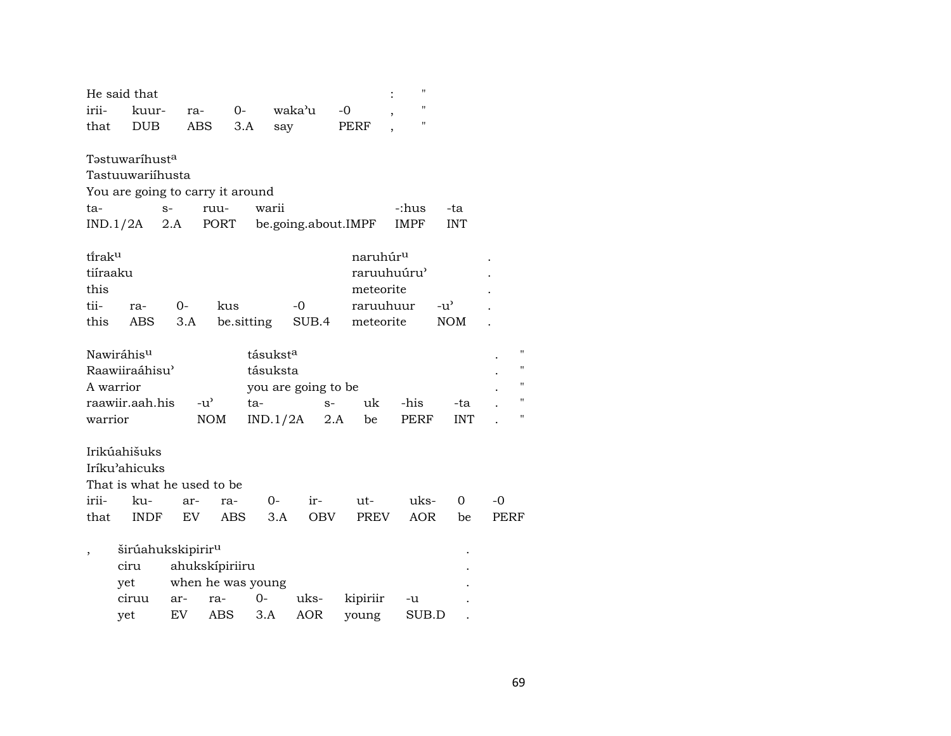|                          | He said that                             |      |                   |                                  |                     |             |                      | $^{\prime}$  |            |                |
|--------------------------|------------------------------------------|------|-------------------|----------------------------------|---------------------|-------------|----------------------|--------------|------------|----------------|
| irii-                    | kuur-                                    | ra-  |                   | $O-$                             | waka'u              |             | $-0$                 | $\mathbf{H}$ |            |                |
| that                     | <b>DUB</b>                               | ABS  |                   | 3.A                              | say                 |             | PERF                 | $^{\prime}$  |            |                |
|                          | Tastuwaríhust <sup>a</sup>               |      |                   |                                  |                     |             |                      |              |            |                |
|                          | Tastuuwariihusta                         |      |                   |                                  |                     |             |                      |              |            |                |
|                          | You are going to carry it around         |      |                   |                                  |                     |             |                      |              |            |                |
| ta-                      |                                          | $S-$ | ruu-              | warii                            |                     |             |                      | -:hus        | -ta        |                |
|                          | IND.1/2A                                 | 2.A  | PORT              |                                  |                     |             | be.going.about.IMPF  | IMPF         | <b>INT</b> |                |
| tirak <sup>u</sup>       |                                          |      |                   |                                  |                     |             | naruhúr <sup>u</sup> |              |            |                |
| tiíraaku                 |                                          |      |                   |                                  |                     |             | raruuhuúru'          |              |            |                |
| this                     |                                          |      |                   |                                  |                     |             | meteorite            |              |            |                |
| tii-                     | ra-                                      | 0-   | kus               |                                  | -0                  |             | raruuhuur            |              | $-u'$      |                |
| this                     | ABS                                      | 3.A  |                   | be.sitting                       |                     | SUB.4       | meteorite            |              | <b>NOM</b> |                |
|                          |                                          |      |                   |                                  |                     |             |                      |              |            | 11             |
|                          | Nawiráhis <sup>u</sup><br>Raawiiraáhisu' |      |                   | tásukst <sup>a</sup><br>tásuksta |                     |             |                      |              |            | $\blacksquare$ |
| A warrior                |                                          |      |                   |                                  |                     |             |                      |              |            | $^{\prime}$    |
|                          | raawiir.aah.his                          |      | $-u^{\prime}$     | ta-                              | you are going to be |             | uk                   | -his         | -ta        | 11             |
| warrior                  |                                          |      | <b>NOM</b>        |                                  | IND.1/2A            | $S-$<br>2.A | be                   | PERF         | <b>INT</b> | 11             |
|                          |                                          |      |                   |                                  |                     |             |                      |              |            |                |
|                          | Irikúahišuks                             |      |                   |                                  |                     |             |                      |              |            |                |
|                          | Iríku'ahicuks                            |      |                   |                                  |                     |             |                      |              |            |                |
|                          | That is what he used to be               |      |                   |                                  |                     |             |                      |              |            |                |
| irii-                    | ku-                                      | ar-  | ra-               |                                  | $0-$                | ir-         | ut-                  | uks-         | 0          | $-0$           |
| that                     | <b>INDF</b>                              | EV   | ABS               |                                  | 3.A                 | OBV         | PREV                 | <b>AOR</b>   | be         | <b>PERF</b>    |
| $\overline{\phantom{a}}$ | širúahukskipirir <sup>u</sup>            |      |                   |                                  |                     |             |                      |              |            |                |
|                          | ciru                                     |      | ahukskípiriiru    |                                  |                     |             |                      |              |            |                |
|                          | yet                                      |      | when he was young |                                  |                     |             |                      |              |            |                |
|                          | ciruu                                    | ar-  | ra-               | $0 -$                            | uks-                |             | kipiriir             | -u           |            |                |
|                          | yet                                      | EV   | ABS               | 3.A                              | <b>AOR</b>          |             | young                | SUB.D        |            |                |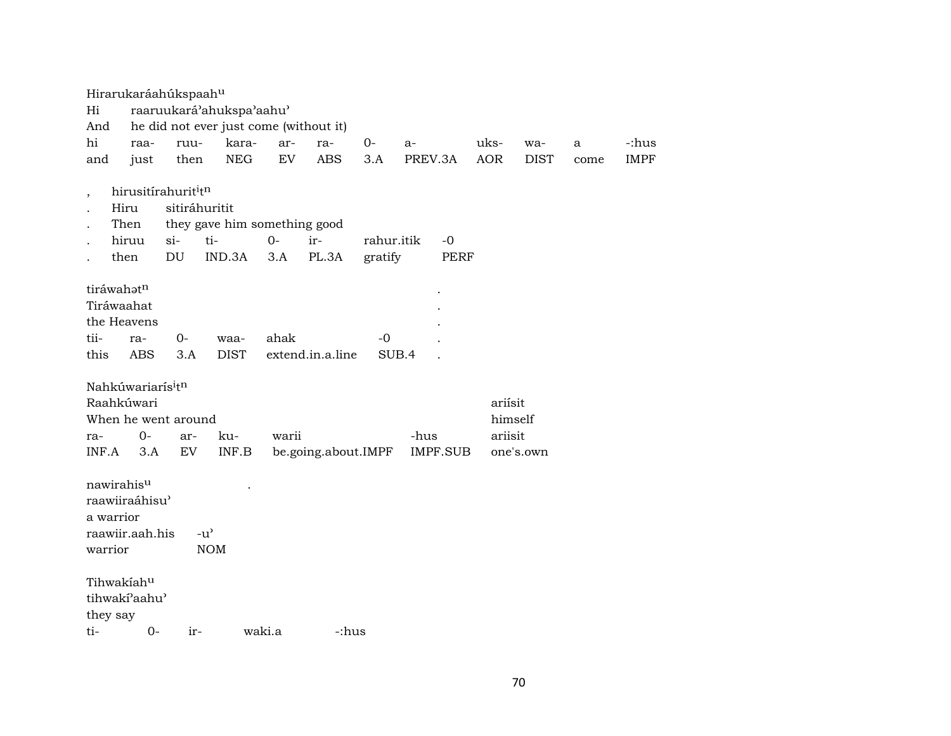|         | Hirarukaráahúkspaahu            |               |                                                     |        |                     |            |       |             |            |             |      |             |
|---------|---------------------------------|---------------|-----------------------------------------------------|--------|---------------------|------------|-------|-------------|------------|-------------|------|-------------|
| Hi      |                                 |               | raaruukará'ahukspa'aahu'                            |        |                     |            |       |             |            |             |      |             |
| And     |                                 |               | he did not ever just come (without it)              |        |                     |            |       |             |            |             |      |             |
| hi      | raa-                            | ruu-          | kara-                                               | ar-    | ra-                 | $0-$       | $a-$  |             | uks-       | wa-         | a    | -:hus       |
| and     | just                            | then          | <b>NEG</b>                                          | EV     | <b>ABS</b>          | 3.A        |       | PREV.3A     | <b>AOR</b> | <b>DIST</b> | come | <b>IMPF</b> |
|         | hirusitírahurit <sup>i</sup> tn |               |                                                     |        |                     |            |       |             |            |             |      |             |
|         | Hiru                            | sitiráhuritit |                                                     |        |                     |            |       |             |            |             |      |             |
|         | Then                            |               | they gave him something good                        |        |                     |            |       |             |            |             |      |             |
|         | hiruu                           | $si-$         | ti-                                                 | $0-$   | ir-                 | rahur.itik |       | $-0$        |            |             |      |             |
|         | then                            | DU            | IND.3A                                              | 3.A    | PL.3A               | gratify    |       | <b>PERF</b> |            |             |      |             |
|         | tiráwahatn                      |               |                                                     |        |                     |            |       |             |            |             |      |             |
|         | Tiráwaahat                      |               |                                                     |        |                     |            |       |             |            |             |      |             |
|         | the Heavens                     |               |                                                     |        |                     |            |       |             |            |             |      |             |
| tii-    | ra-                             | $0-$          | waa-                                                | ahak   |                     | $-0$       |       |             |            |             |      |             |
| this    | <b>ABS</b>                      | 3.A           | <b>DIST</b>                                         |        | extend.in.a.line    |            | SUB.4 |             |            |             |      |             |
|         | Nahkúwariarís <sup>i</sup> tn   |               |                                                     |        |                     |            |       |             |            |             |      |             |
|         | Raahkúwari                      |               |                                                     |        |                     |            |       |             | ariísit    |             |      |             |
|         | When he went around             |               |                                                     |        |                     |            |       |             |            | himself     |      |             |
| ra-     | $0-$                            | ar-           | ku-                                                 | warii  |                     |            | -hus  |             | ariisit    |             |      |             |
| INF.A   | 3.A                             | ${\rm EV}$    | $\ensuremath{\mathsf{INF}}.\ensuremath{\mathsf{B}}$ |        | be.going.about.IMPF |            |       | IMPF.SUB    |            | one's.own   |      |             |
|         | nawirahisu                      |               |                                                     |        |                     |            |       |             |            |             |      |             |
|         | raawiiraáhisu'                  |               |                                                     |        |                     |            |       |             |            |             |      |             |
|         | a warrior                       |               |                                                     |        |                     |            |       |             |            |             |      |             |
|         | raawiir.aah.his                 |               | $-u$ <sup><math>\prime</math></sup>                 |        |                     |            |       |             |            |             |      |             |
| warrior |                                 |               | <b>NOM</b>                                          |        |                     |            |       |             |            |             |      |             |
|         |                                 |               |                                                     |        |                     |            |       |             |            |             |      |             |
|         | Tihwakiahu                      |               |                                                     |        |                     |            |       |             |            |             |      |             |
|         | tihwakí'aahu'                   |               |                                                     |        |                     |            |       |             |            |             |      |             |
|         | they say                        |               |                                                     |        |                     |            |       |             |            |             |      |             |
| ti-     | $0-$                            | ir-           |                                                     | waki.a | -:hus               |            |       |             |            |             |      |             |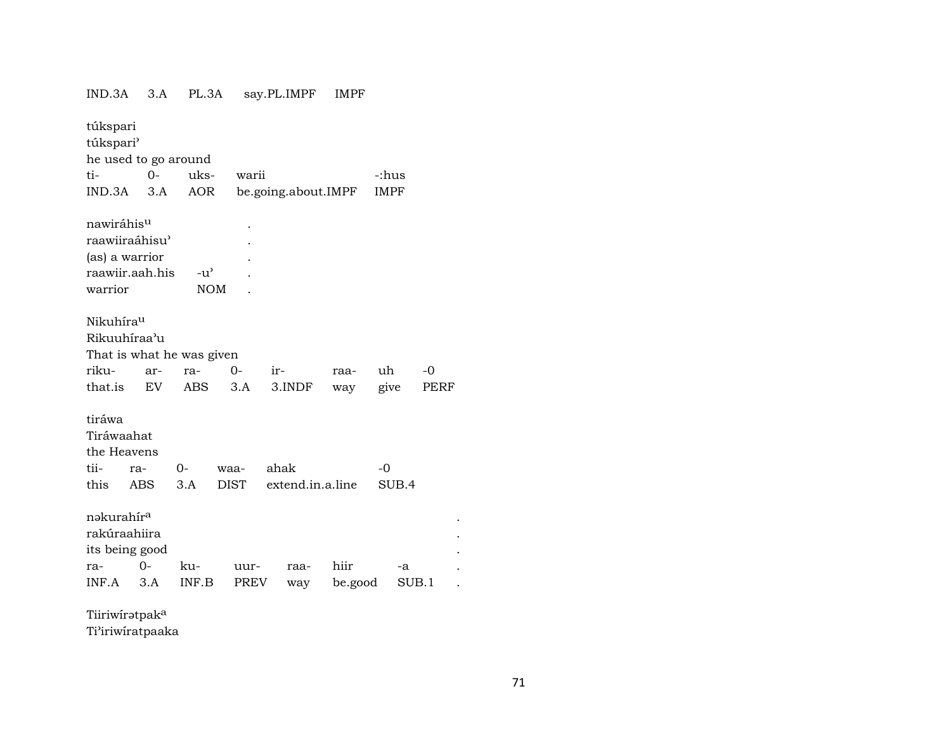### IND.3A 3.A PL.3A say.PL.IMPF  $\ensuremath{\mathsf{IMPF}}$

| túkspari               |           |                           |             |                     |         |             |       |  |  |  |  |
|------------------------|-----------|---------------------------|-------------|---------------------|---------|-------------|-------|--|--|--|--|
| túkspari'              |           |                           |             |                     |         |             |       |  |  |  |  |
| he used to go around   |           |                           |             |                     |         |             |       |  |  |  |  |
| ti-                    | $O -$     | uks-                      | warii       |                     |         | -:hus       |       |  |  |  |  |
| IND.3A                 | 3.A       | AOR                       |             | be.going.about.IMPF |         | <b>IMPF</b> |       |  |  |  |  |
|                        |           |                           |             |                     |         |             |       |  |  |  |  |
| nawiráhis <sup>u</sup> |           |                           |             |                     |         |             |       |  |  |  |  |
| raawiiraáhisu'         |           |                           |             |                     |         |             |       |  |  |  |  |
| (as) a warrior         |           |                           |             |                     |         |             |       |  |  |  |  |
| raawiir.aah.his        |           | $-u^{\prime}$             |             |                     |         |             |       |  |  |  |  |
| warrior                |           | <b>NOM</b>                |             |                     |         |             |       |  |  |  |  |
|                        |           |                           |             |                     |         |             |       |  |  |  |  |
| Nikuhíra <sup>u</sup>  |           |                           |             |                     |         |             |       |  |  |  |  |
| Rikuuhíraa'u           |           |                           |             |                     |         |             |       |  |  |  |  |
|                        |           | That is what he was given |             |                     |         |             |       |  |  |  |  |
| riku-                  | ar-       | ra-                       | $0-$        | ir-                 | raa-    | uh          | $-0$  |  |  |  |  |
| that.is                | <b>EV</b> | ABS                       | 3.A         | 3.INDF              | way     | give        | PERF  |  |  |  |  |
| tiráwa                 |           |                           |             |                     |         |             |       |  |  |  |  |
| Tiráwaahat             |           |                           |             |                     |         |             |       |  |  |  |  |
| the Heavens            |           |                           |             |                     |         |             |       |  |  |  |  |
| tii-                   | ra-       | $0-$                      | waa-        | ahak                |         | $-0$        |       |  |  |  |  |
| this                   | ABS       | 3.A                       | <b>DIST</b> | extend.in.a.line    |         | SUB.4       |       |  |  |  |  |
|                        |           |                           |             |                     |         |             |       |  |  |  |  |
| nakurahíra             |           |                           |             |                     |         |             |       |  |  |  |  |
| rakúraahiira           |           |                           |             |                     |         |             |       |  |  |  |  |
| its being good         |           |                           |             |                     |         |             |       |  |  |  |  |
| ra-                    | $O -$     | ku-                       | uur-        | raa-                | hiir    | -a          |       |  |  |  |  |
|                        |           |                           |             |                     |         |             |       |  |  |  |  |
| INF.A                  | 3.A       | INF.B                     | <b>PREV</b> | way                 | be.good |             | SUB.1 |  |  |  |  |

Tiiriwirətpak<sup>a</sup> Ti'iriwiratpaaka  $\mathbb{Z}^2$  $\mathcal{L}^{\pm}$  $\mathcal{L}^{\pm}$  $\mathcal{L}^{\pm}$  $\mathcal{L}^{\pm}$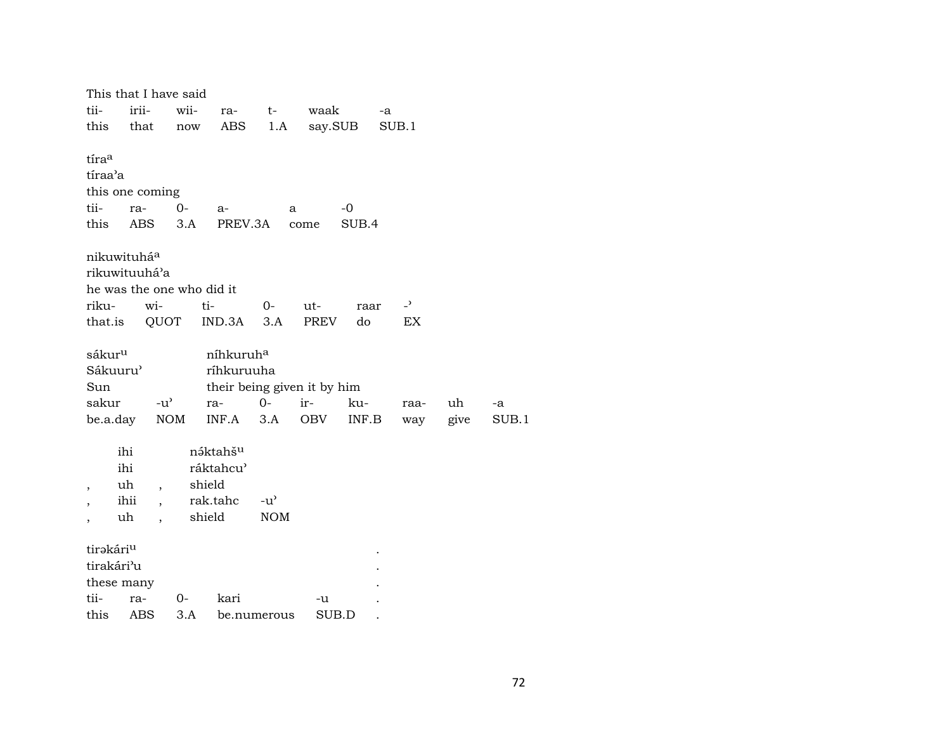| This that I have said     |       |                          |        |                       |               |                             |         |       |                          |      |
|---------------------------|-------|--------------------------|--------|-----------------------|---------------|-----------------------------|---------|-------|--------------------------|------|
| tii-                      | irii- |                          | wii-   | ra-                   | $t-$          | waak                        |         | -a    |                          |      |
| this                      | that  |                          | now    | ABS                   | 1.A           |                             | say.SUB | SUB.1 |                          |      |
|                           |       |                          |        |                       |               |                             |         |       |                          |      |
| tíraa                     |       |                          |        |                       |               |                             |         |       |                          |      |
| tíraa'a                   |       |                          |        |                       |               |                             |         |       |                          |      |
| this one coming           |       |                          |        |                       |               |                             |         |       |                          |      |
| tii-                      | ra-   |                          | $0 -$  | $a-$                  | a             |                             | $-0$    |       |                          |      |
| this                      | ABS   |                          | 3.A    | PREV.3A               |               | come                        | SUB.4   |       |                          |      |
|                           |       |                          |        |                       |               |                             |         |       |                          |      |
| nikuwituhá <sup>a</sup>   |       |                          |        |                       |               |                             |         |       |                          |      |
| rikuwituuhá'a             |       |                          |        |                       |               |                             |         |       |                          |      |
| he was the one who did it |       |                          |        |                       |               |                             |         |       |                          |      |
| riku-                     |       | wi-                      | ti-    |                       | $0-$          | $ut-$                       |         |       | $\overline{\phantom{0}}$ |      |
|                           |       |                          |        |                       |               |                             | raar    |       |                          |      |
| that.is                   |       | QUOT                     |        | IND.3A                | 3.A           | <b>PREV</b>                 | do      |       | EX                       |      |
|                           |       |                          |        |                       |               |                             |         |       |                          |      |
| sákur <sup>u</sup>        |       |                          |        | níhkuruh <sup>a</sup> |               |                             |         |       |                          |      |
| Sákuuru'                  |       |                          |        | ríhkuruuha            |               |                             |         |       |                          |      |
| Sun                       |       |                          |        |                       |               | their being given it by him |         |       |                          |      |
| sakur                     |       | $-u^{\prime}$            |        | ra-                   | $O -$         | ir-                         | ku-     |       | raa-                     | uh   |
| be.a.day                  |       | <b>NOM</b>               |        | INF.A                 | 3.A           | OBV                         | INF.B   |       | way                      | give |
|                           |       |                          |        |                       |               |                             |         |       |                          |      |
|                           | ihi   |                          |        | náktahšu              |               |                             |         |       |                          |      |
|                           | ihi   |                          |        | ráktahcu'             |               |                             |         |       |                          |      |
|                           | uh    | $\overline{\phantom{a}}$ | shield |                       |               |                             |         |       |                          |      |
|                           | ihii  | $\overline{\phantom{a}}$ |        | rak.tahc              | $-u^{\prime}$ |                             |         |       |                          |      |
|                           | uh    | $\ddot{\phantom{0}}$     | shield |                       | <b>NOM</b>    |                             |         |       |                          |      |
|                           |       |                          |        |                       |               |                             |         |       |                          |      |
| tirakári <sup>u</sup>     |       |                          |        |                       |               |                             |         |       |                          |      |
| tirakári <sup>3</sup> u   |       |                          |        |                       |               |                             |         |       |                          |      |
| these many                |       |                          |        |                       |               |                             |         |       |                          |      |
| tii-                      | ra-   |                          | 0-     | kari                  |               | -u                          |         |       |                          |      |
| this ABS                  |       |                          | 3.A    |                       | be numerous   | SUB.D                       |         |       |                          |      |

 $-a$ 

SUB.1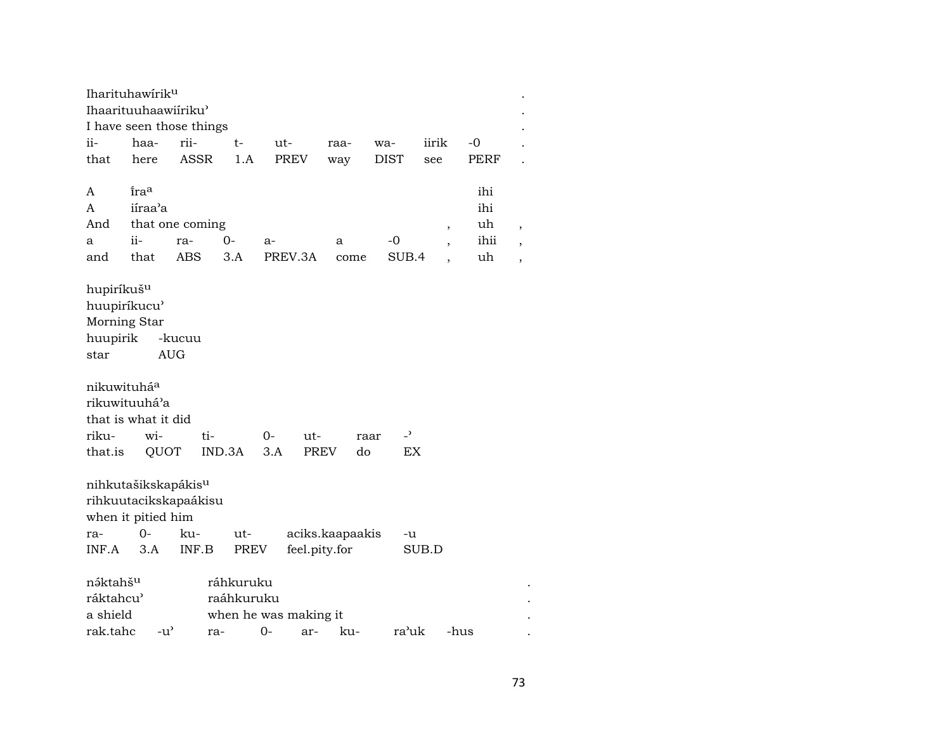|                                                              | Iharituhawirik <sup>u</sup>     |                       |           |             |                   |                                  |       |             |                          |
|--------------------------------------------------------------|---------------------------------|-----------------------|-----------|-------------|-------------------|----------------------------------|-------|-------------|--------------------------|
| Ihaarituuhaawiiriku'<br>I have seen those things             |                                 |                       |           |             |                   |                                  |       |             |                          |
| ii-                                                          | haa-                            | rii-                  | t-        | ut-         | raa-              | wa-                              | iirik | $-0$        |                          |
| that                                                         | here                            | <b>ASSR</b>           | 1.A       | <b>PREV</b> | way               | <b>DIST</b>                      | see   | <b>PERF</b> |                          |
|                                                              |                                 |                       |           |             |                   |                                  |       |             |                          |
| A                                                            | ira <sup>a</sup>                |                       |           |             |                   |                                  |       | ihi         |                          |
| A                                                            | iíraa'a                         |                       |           |             |                   |                                  |       | ihi         |                          |
| And                                                          | uh<br>that one coming<br>$\, ,$ |                       |           |             |                   |                                  |       |             | $\, ,$                   |
| a                                                            | ii-                             | ra-                   | 0-        | a-          | a                 | -0                               |       | ihii        | $\, ,$                   |
| and                                                          | that                            | ABS                   | 3.A       | PREV.3A     | come              | SUB.4                            |       | uh          | $\overline{\phantom{a}}$ |
|                                                              |                                 |                       |           |             |                   |                                  |       |             |                          |
| hupiríkuš <sup>u</sup>                                       |                                 |                       |           |             |                   |                                  |       |             |                          |
| huupiríkucu'                                                 |                                 |                       |           |             |                   |                                  |       |             |                          |
| Morning Star                                                 |                                 |                       |           |             |                   |                                  |       |             |                          |
| huupirik<br>-kucuu                                           |                                 |                       |           |             |                   |                                  |       |             |                          |
| star                                                         | <b>AUG</b>                      |                       |           |             |                   |                                  |       |             |                          |
|                                                              |                                 |                       |           |             |                   |                                  |       |             |                          |
| nikuwituháa                                                  |                                 |                       |           |             |                   |                                  |       |             |                          |
| rikuwituuhá'a                                                |                                 |                       |           |             |                   |                                  |       |             |                          |
|                                                              | that is what it did             |                       |           |             |                   |                                  |       |             |                          |
| riku-                                                        | wi-                             | ti-                   |           | 0-<br>ut-   |                   | $\overline{\phantom{a}}$<br>raar |       |             |                          |
| that.is                                                      | QUOT                            |                       | IND.3A    | 3.A         | <b>PREV</b><br>do | EX                               |       |             |                          |
|                                                              |                                 |                       |           |             |                   |                                  |       |             |                          |
| nihkutašikskapákis <sup>u</sup>                              |                                 |                       |           |             |                   |                                  |       |             |                          |
|                                                              |                                 | rihkuutacikskapaákisu |           |             |                   |                                  |       |             |                          |
|                                                              | when it pitied him              |                       |           |             |                   |                                  |       |             |                          |
| ra-                                                          | $0-$                            | ku-                   | ut-       |             | aciks.kaapaakis   | -u                               |       |             |                          |
| INF.A                                                        | 3.A                             | INF.B                 | PREV      |             | feel.pity.for     |                                  | SUB.D |             |                          |
|                                                              |                                 |                       |           |             |                   |                                  |       |             |                          |
| náktahš <sup>u</sup>                                         |                                 |                       | ráhkuruku |             |                   |                                  |       |             |                          |
| ráktahcu <sup>3</sup><br>raáhkuruku<br>when he was making it |                                 |                       |           |             |                   |                                  |       |             |                          |
| a shield                                                     |                                 |                       |           |             |                   |                                  |       |             |                          |
| rak.tahc                                                     | $-u^{\prime}$                   | ra-                   |           | $0-$<br>ar- | ku-               | ra'uk                            |       | -hus        |                          |